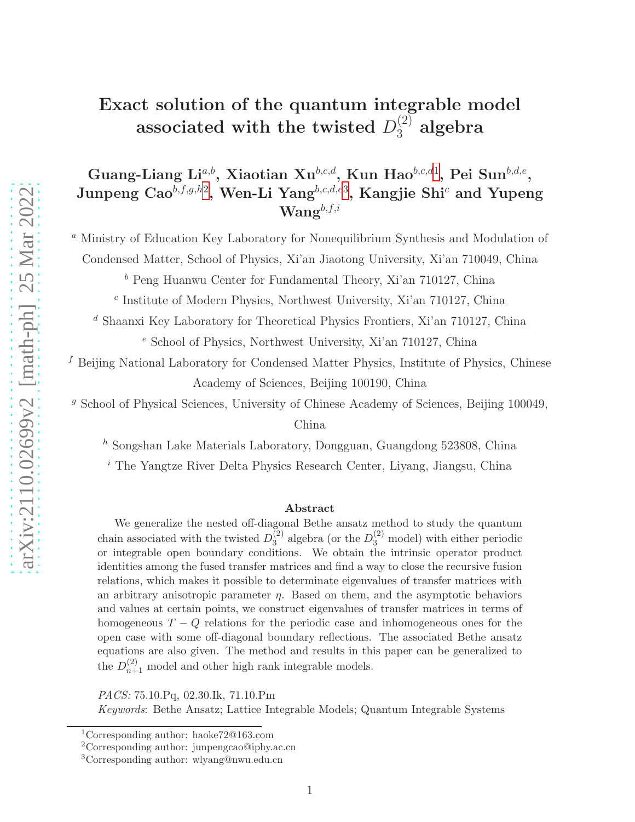# Exact solution of the quantum integrable model associated with the twisted  $D_3^{(2)}$  algebra

Guang-Liang Li<sup>a,b</sup>, Xiaotian Xu<sup>b,c,d</sup>, Kun Hao<sup>b,c,d[1](#page-0-0)</sup>, Pei Sun<sup>b,d,e</sup>, Junpeng Cao $^{b,f,g,h2}$  $^{b,f,g,h2}$  $^{b,f,g,h2}$ , Wen-Li Yang $^{b,c,d,e3}$  $^{b,c,d,e3}$  $^{b,c,d,e3}$ , Kangjie Shi $^c$  and Yupeng  $\mathbf{W}\mathbf{an} \mathbf{g}^{b,f,i}$ 

<sup>a</sup> Ministry of Education Key Laboratory for Nonequilibrium Synthesis and Modulation of Condensed Matter, School of Physics, Xi'an Jiaotong University, Xi'an 710049, China

<sup>b</sup> Peng Huanwu Center for Fundamental Theory, Xi'an 710127, China

c Institute of Modern Physics, Northwest University, Xi'an 710127, China

<sup>d</sup> Shaanxi Key Laboratory for Theoretical Physics Frontiers, Xi'an 710127, China <sup>e</sup> School of Physics, Northwest University, Xi'an 710127, China

<sup>f</sup> Beijing National Laboratory for Condensed Matter Physics, Institute of Physics, Chinese Academy of Sciences, Beijing 100190, China

<sup>g</sup> School of Physical Sciences, University of Chinese Academy of Sciences, Beijing 100049,

China

 $h$  Songshan Lake Materials Laboratory, Dongguan, Guangdong 523808, China

<sup>i</sup> The Yangtze River Delta Physics Research Center, Liyang, Jiangsu, China

#### Abstract

We generalize the nested off-diagonal Bethe ansatz method to study the quantum chain associated with the twisted  $D_3^{(2)}$  $\binom{2}{3}$  algebra (or the  $D_3^{(2)}$  model) with either periodic or integrable open boundary conditions. We obtain the intrinsic operator product identities among the fused transfer matrices and find a way to close the recursive fusion relations, which makes it possible to determinate eigenvalues of transfer matrices with an arbitrary anisotropic parameter  $\eta$ . Based on them, and the asymptotic behaviors and values at certain points, we construct eigenvalues of transfer matrices in terms of homogeneous  $T - Q$  relations for the periodic case and inhomogeneous ones for the open case with some off-diagonal boundary reflections. The associated Bethe ansatz equations are also given. The method and results in this paper can be generalized to the  $D_{n+1}^{(2)}$  model and other high rank integrable models.

PACS: 75.10.Pq, 02.30.Ik, 71.10.Pm

Keywords: Bethe Ansatz; Lattice Integrable Models; Quantum Integrable Systems

<sup>1</sup>Corresponding author: haoke72@163.com

<span id="page-0-0"></span><sup>2</sup>Corresponding author: junpengcao@iphy.ac.cn

<span id="page-0-2"></span><span id="page-0-1"></span><sup>3</sup>Corresponding author: wlyang@nwu.edu.cn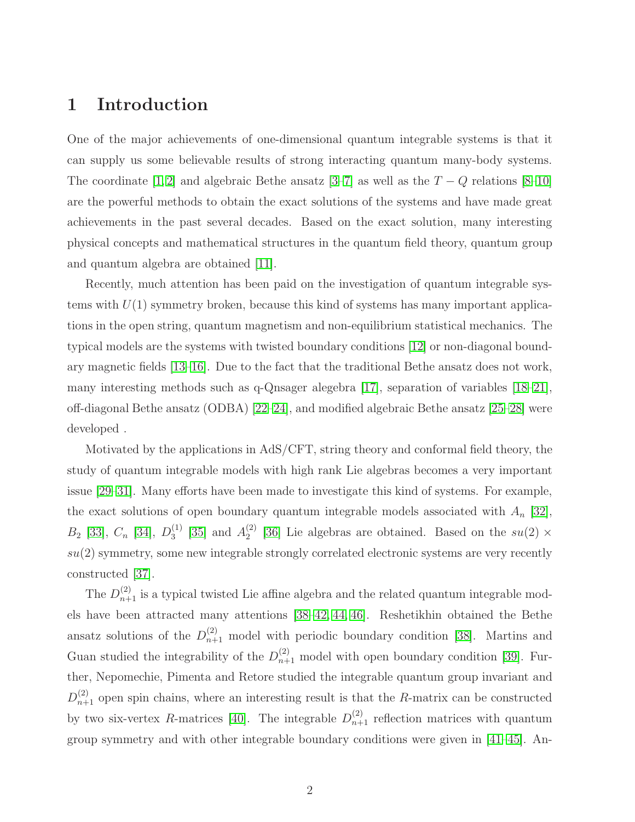### 1 Introduction

One of the major achievements of one-dimensional quantum integrable systems is that it can supply us some believable results of strong interacting quantum many-body systems. The coordinate [\[1,](#page-35-0) [2\]](#page-35-1) and algebraic Bethe ansatz [\[3–](#page-35-2)[7\]](#page-35-3) as well as the  $T - Q$  relations [\[8–](#page-35-4)[10\]](#page-35-5) are the powerful methods to obtain the exact solutions of the systems and have made great achievements in the past several decades. Based on the exact solution, many interesting physical concepts and mathematical structures in the quantum field theory, quantum group and quantum algebra are obtained [\[11\]](#page-35-6).

Recently, much attention has been paid on the investigation of quantum integrable systems with  $U(1)$  symmetry broken, because this kind of systems has many important applications in the open string, quantum magnetism and non-equilibrium statistical mechanics. The typical models are the systems with twisted boundary conditions [\[12\]](#page-35-7) or non-diagonal boundary magnetic fields [\[13–](#page-36-0)[16\]](#page-36-1). Due to the fact that the traditional Bethe ansatz does not work, many interesting methods such as q-Qnsager alegebra [\[17\]](#page-36-2), separation of variables [\[18–](#page-36-3)[21\]](#page-36-4), off-diagonal Bethe ansatz (ODBA) [\[22–](#page-36-5)[24\]](#page-36-6), and modified algebraic Bethe ansatz [\[25–](#page-37-0)[28\]](#page-37-1) were developed .

Motivated by the applications in AdS/CFT, string theory and conformal field theory, the study of quantum integrable models with high rank Lie algebras becomes a very important issue [\[29](#page-37-2)[–31\]](#page-37-3). Many efforts have been made to investigate this kind of systems. For example, the exact solutions of open boundary quantum integrable models associated with  $A_n$  [\[32\]](#page-37-4),  $B_2$  [\[33\]](#page-37-5),  $C_n$  [\[34\]](#page-37-6),  $D_3^{(1)}$  $_3^{(1)}$  [\[35\]](#page-37-7) and  $A_2^{(2)}$  $2^{(2)}$  [\[36\]](#page-37-8) Lie algebras are obtained. Based on the  $su(2) \times$  $su(2)$  symmetry, some new integrable strongly correlated electronic systems are very recently constructed [\[37\]](#page-37-9).

The  $D_{n+1}^{(2)}$  is a typical twisted Lie affine algebra and the related quantum integrable models have been attracted many attentions [\[38–](#page-38-0)[42,](#page-38-1) [44,](#page-38-2) [46\]](#page-38-3). Reshetikhin obtained the Bethe ansatz solutions of the  $D_{n+1}^{(2)}$  model with periodic boundary condition [\[38\]](#page-38-0). Martins and Guan studied the integrability of the  $D_{n+1}^{(2)}$  model with open boundary condition [\[39\]](#page-38-4). Further, Nepomechie, Pimenta and Retore studied the integrable quantum group invariant and  $D_{n+1}^{(2)}$  open spin chains, where an interesting result is that the R-matrix can be constructed by two six-vertex R-matrices [\[40\]](#page-38-5). The integrable  $D_{n+1}^{(2)}$  reflection matrices with quantum group symmetry and with other integrable boundary conditions were given in [\[41–](#page-38-6)[45\]](#page-38-7). An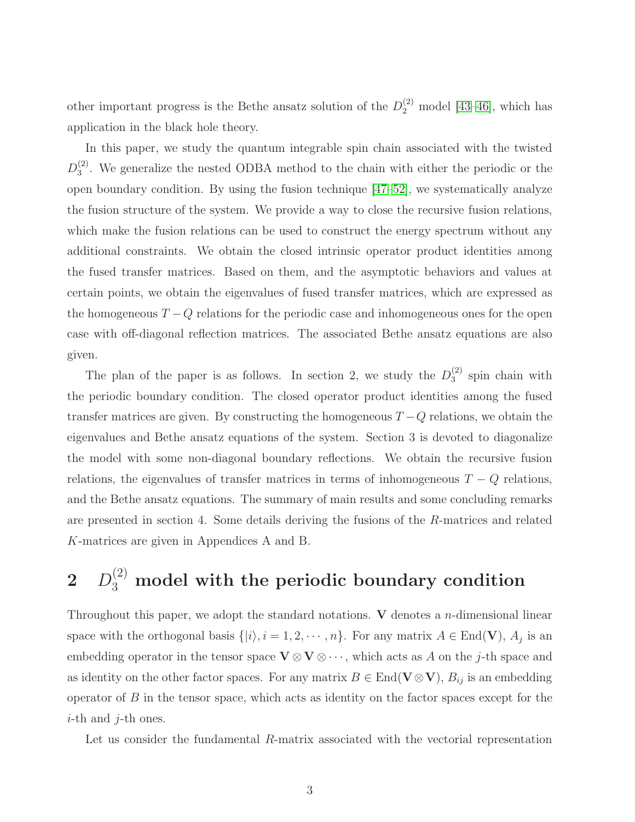other important progress is the Bethe ansatz solution of the  $D_2^{(2)}$  model [\[43–](#page-38-8)[46\]](#page-38-3), which has application in the black hole theory.

In this paper, we study the quantum integrable spin chain associated with the twisted  $D_3^{(2)}$  $_3<sup>(2)</sup>$ . We generalize the nested ODBA method to the chain with either the periodic or the open boundary condition. By using the fusion technique [\[47](#page-38-9)[–52\]](#page-39-0), we systematically analyze the fusion structure of the system. We provide a way to close the recursive fusion relations, which make the fusion relations can be used to construct the energy spectrum without any additional constraints. We obtain the closed intrinsic operator product identities among the fused transfer matrices. Based on them, and the asymptotic behaviors and values at certain points, we obtain the eigenvalues of fused transfer matrices, which are expressed as the homogeneous  $T - Q$  relations for the periodic case and inhomogeneous ones for the open case with off-diagonal reflection matrices. The associated Bethe ansatz equations are also given.

The plan of the paper is as follows. In section 2, we study the  $D_3^{(2)}$  $3^{(2)}$  spin chain with the periodic boundary condition. The closed operator product identities among the fused transfer matrices are given. By constructing the homogeneous  $T - Q$  relations, we obtain the eigenvalues and Bethe ansatz equations of the system. Section 3 is devoted to diagonalize the model with some non-diagonal boundary reflections. We obtain the recursive fusion relations, the eigenvalues of transfer matrices in terms of inhomogeneous  $T - Q$  relations, and the Bethe ansatz equations. The summary of main results and some concluding remarks are presented in section 4. Some details deriving the fusions of the R-matrices and related K-matrices are given in Appendices A and B.

# $2\quad D_3^{(2)}$  model with the periodic boundary condition

Throughout this paper, we adopt the standard notations. V denotes a *n*-dimensional linear space with the orthogonal basis  $\{|i\rangle, i = 1, 2, \cdots, n\}$ . For any matrix  $A \in End(V)$ ,  $A_j$  is an embedding operator in the tensor space  $\mathbf{V} \otimes \mathbf{V} \otimes \cdots$ , which acts as A on the j-th space and as identity on the other factor spaces. For any matrix  $B \in \text{End}(\mathbf{V} \otimes \mathbf{V}), B_{ij}$  is an embedding operator of  $B$  in the tensor space, which acts as identity on the factor spaces except for the  $i$ -th and  $j$ -th ones.

Let us consider the fundamental R-matrix associated with the vectorial representation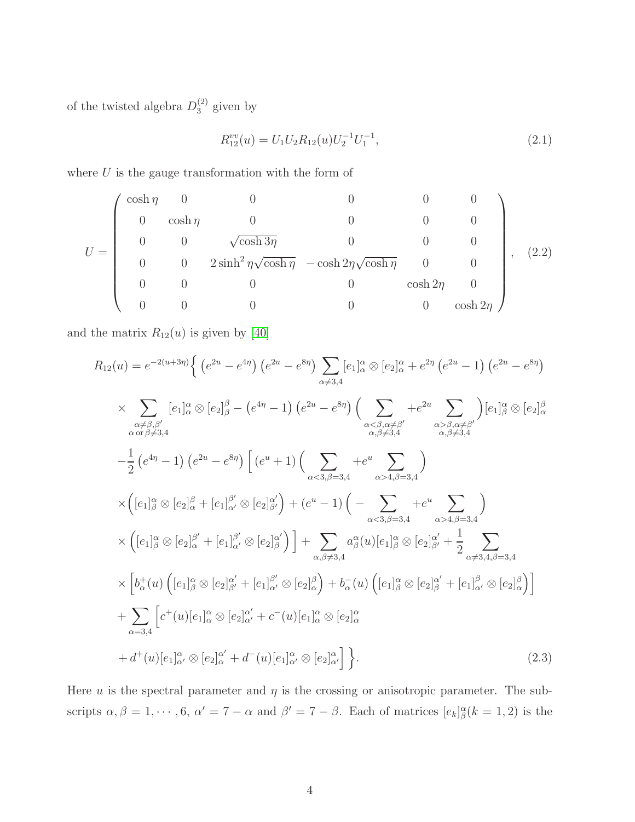of the twisted algebra  $D_3^{(2)}$  given by

<span id="page-3-0"></span>
$$
R_{12}^{vv}(u) = U_1 U_2 R_{12}(u) U_2^{-1} U_1^{-1}, \qquad (2.1)
$$

where  $U$  is the gauge transformation with the form of

$$
U = \begin{pmatrix} \cosh \eta & 0 & 0 & 0 & 0 & 0 \\ 0 & \cosh \eta & 0 & 0 & 0 & 0 \\ 0 & 0 & \sqrt{\cosh 3\eta} & 0 & 0 & 0 \\ 0 & 0 & 2\sinh^2 \eta \sqrt{\cosh \eta} & -\cosh 2\eta \sqrt{\cosh \eta} & 0 & 0 \\ 0 & 0 & 0 & 0 & \cosh 2\eta & 0 \\ 0 & 0 & 0 & 0 & 0 & \cosh 2\eta \end{pmatrix}, (2.2)
$$

and the matrix  $R_{12}(u)$  is given by [\[40\]](#page-38-5)

$$
R_{12}(u) = e^{-2(u+3\eta)} \Big\{ \left(e^{2u} - e^{4\eta}\right) \left(e^{2u} - e^{8\eta}\right) \sum_{\alpha \neq 3,4} [e_1]_{\alpha}^{\alpha} \otimes [e_2]_{\alpha}^{\alpha} + e^{2\eta} \left(e^{2u} - 1\right) \left(e^{2u} - e^{8\eta}\right)
$$
  
\n
$$
\times \sum_{\substack{\alpha \neq \beta, \beta' \\ \alpha \text{ or } \beta \neq 3,4}} [e_1]_{\alpha}^{\alpha} \otimes [e_2]_{\beta}^{\beta} - \left(e^{4\eta} - 1\right) \left(e^{2u} - e^{8\eta}\right) \Big( \sum_{\substack{\alpha \leq \beta, \alpha \neq \beta' \\ \alpha, \beta \neq 3,4}} + e^{2u} \sum_{\substack{\alpha \geq \beta, \alpha \neq \beta' \\ \alpha, \beta \neq 3,4}} [e_1]_{\beta}^{\alpha} \otimes [e_2]_{\alpha}^{\beta}
$$
  
\n
$$
-\frac{1}{2} \left(e^{4\eta} - 1\right) \left(e^{2u} - e^{8\eta}\right) \Big[ \left(e^u + 1\right) \Big( \sum_{\substack{\alpha \leq \beta, \alpha \neq 3 \\ \alpha, \beta \neq 3,4}} + e^u \sum_{\substack{\alpha > \beta, \beta \neq 3,4}} \Big)
$$
  
\n
$$
\times \Big( [e_1]_{\beta}^{\alpha} \otimes [e_2]_{\alpha}^{\beta} + [e_1]_{\alpha'}^{\beta'} \otimes [e_2]_{\beta'}^{\alpha'} \Big) + \left(e^u - 1\right) \Big( - \sum_{\substack{\alpha \leq \beta, \beta \neq 3,4}} + e^u \sum_{\substack{\alpha > \beta, \beta \neq 3,4}} \Big)
$$
  
\n
$$
\times \Big[ e_1]_{\beta}^{\alpha} \otimes [e_2]_{\alpha}^{\beta'} + [e_1]_{\alpha'}^{\beta'} \otimes [e_2]_{\beta}^{\alpha'} \Big) \Big] + \sum_{\alpha, \beta \neq 3,4} a_{\beta}^{\alpha}(u) [e_1]_{\beta}^{\alpha} \otimes [e_2]_{\beta'}^{\alpha'}
$$

Here u is the spectral parameter and  $\eta$  is the crossing or anisotropic parameter. The subscripts  $\alpha, \beta = 1, \dots, 6, \ \alpha' = 7 - \alpha$  and  $\beta' = 7 - \beta$ . Each of matrices  $[e_k]_{\beta}^{\alpha}(k = 1, 2)$  is the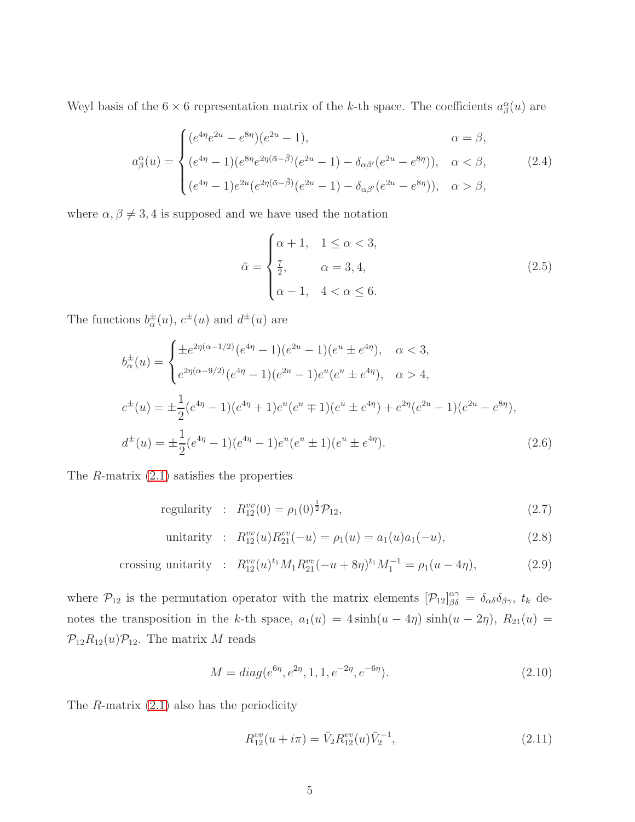Weyl basis of the  $6 \times 6$  representation matrix of the k-th space. The coefficients  $a^{\alpha}_{\beta}(u)$  are

$$
a_{\beta}^{\alpha}(u) = \begin{cases} (e^{4\eta}e^{2u} - e^{8\eta})(e^{2u} - 1), & \alpha = \beta, \\ (e^{4\eta} - 1)(e^{8\eta}e^{2\eta(\bar{\alpha} - \bar{\beta})}(e^{2u} - 1) - \delta_{\alpha\beta'}(e^{2u} - e^{8\eta})), & \alpha < \beta, \\ (e^{4\eta} - 1)e^{2u}(e^{2\eta(\bar{\alpha} - \bar{\beta})}(e^{2u} - 1) - \delta_{\alpha\beta'}(e^{2u} - e^{8\eta})), & \alpha > \beta, \end{cases}
$$
(2.4)

where  $\alpha, \beta \neq 3, 4$  is supposed and we have used the notation

$$
\bar{\alpha} = \begin{cases}\n\alpha + 1, & 1 \leq \alpha < 3, \\
\frac{7}{2}, & \alpha = 3, 4, \\
\alpha - 1, & 4 < \alpha \leq 6.\n\end{cases}
$$
\n(2.5)

The functions  $b_{\alpha}^{\pm}(u)$ ,  $c^{\pm}(u)$  and  $d^{\pm}(u)$  are

$$
b_{\alpha}^{\pm}(u) = \begin{cases} \pm e^{2\eta(\alpha - 1/2)} (e^{4\eta} - 1)(e^{2u} - 1)(e^u \pm e^{4\eta}), & \alpha < 3, \\ e^{2\eta(\alpha - 9/2)} (e^{4\eta} - 1)(e^{2u} - 1)e^u(e^u \pm e^{4\eta}), & \alpha > 4, \end{cases}
$$

$$
c^{\pm}(u) = \pm \frac{1}{2} (e^{4\eta} - 1)(e^{4\eta} + 1)e^u(e^u \mp 1)(e^u \pm e^{4\eta}) + e^{2\eta}(e^{2u} - 1)(e^{2u} - e^{8\eta}),
$$

$$
d^{\pm}(u) = \pm \frac{1}{2} (e^{4\eta} - 1)(e^{4\eta} - 1)e^u(e^u \pm 1)(e^u \pm e^{4\eta}). \tag{2.6}
$$

The  $R$ -matrix  $(2.1)$  satisfies the properties

regularity : 
$$
R_{12}^{vv}(0) = \rho_1(0)^{\frac{1}{2}} \mathcal{P}_{12},
$$
 (2.7)

unitarity : 
$$
R_{12}^{vv}(u)R_{21}^{vv}(-u) = \rho_1(u) = a_1(u)a_1(-u),
$$
 (2.8)

crossing unitarity : 
$$
R_{12}^{vv}(u)^{t_1}M_1R_{21}^{vv}(-u+8\eta)^{t_1}M_1^{-1} = \rho_1(u-4\eta),
$$
 (2.9)

where  $\mathcal{P}_{12}$  is the permutation operator with the matrix elements  $[\mathcal{P}_{12}]_{\beta\delta}^{\alpha\gamma} = \delta_{\alpha\delta}\delta_{\beta\gamma}$ ,  $t_k$  denotes the transposition in the k-th space,  $a_1(u) = 4 \sinh(u - 4\eta) \sinh(u - 2\eta)$ ,  $R_{21}(u) =$  $\mathcal{P}_{12}R_{12}(u)\mathcal{P}_{12}$ . The matrix M reads

$$
M = diag(e^{6\eta}, e^{2\eta}, 1, 1, e^{-2\eta}, e^{-6\eta}).
$$
\n(2.10)

The  $R$ -matrix  $(2.1)$  also has the periodicity

$$
R_{12}^{vv}(u+i\pi) = \bar{V}_2 R_{12}^{vv}(u)\bar{V}_2^{-1},\tag{2.11}
$$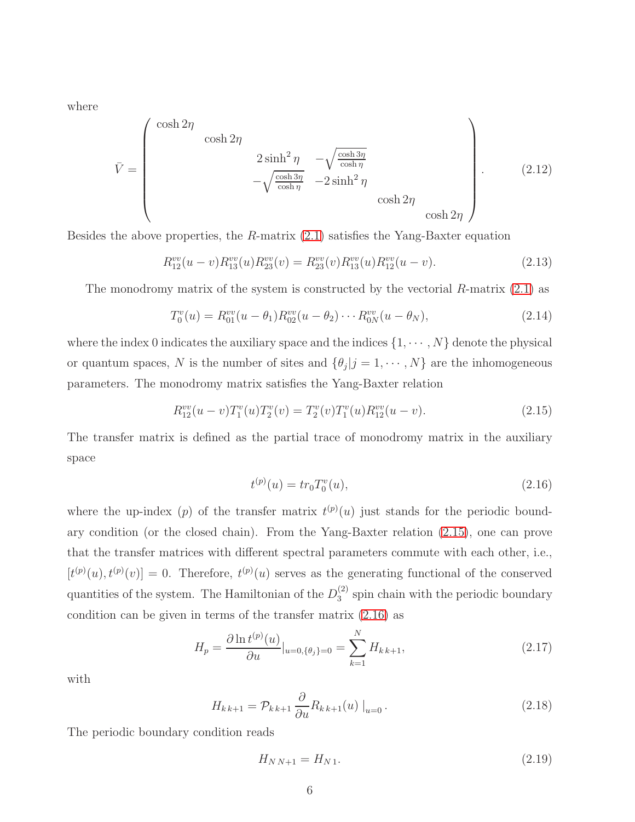where

$$
\bar{V} = \begin{pmatrix}\n\cosh 2\eta & & & \\
& \cosh 2\eta & & \\
& & 2\sinh^2 \eta & -\sqrt{\frac{\cosh 3\eta}{\cosh \eta}} \\
& & -\sqrt{\frac{\cosh 3\eta}{\cosh \eta}} & -2\sinh^2 \eta & \\
& & & \cosh 2\eta & \\
& & & & \cosh 2\eta\n\end{pmatrix} .
$$
\n(2.12)

Besides the above properties, the R-matrix [\(2.1\)](#page-3-0) satisfies the Yang-Baxter equation

$$
R_{12}^{vv}(u-v)R_{13}^{vv}(u)R_{23}^{vv}(v) = R_{23}^{vv}(v)R_{13}^{vv}(u)R_{12}^{vv}(u-v).
$$
\n(2.13)

The monodromy matrix of the system is constructed by the vectorial  $R$ -matrix  $(2.1)$  as

<span id="page-5-3"></span>
$$
T_0^v(u) = R_{01}^{vv}(u - \theta_1)R_{02}^{vv}(u - \theta_2) \cdots R_{0N}^{vv}(u - \theta_N),
$$
\n(2.14)

where the index 0 indicates the auxiliary space and the indices  $\{1, \dots, N\}$  denote the physical or quantum spaces, N is the number of sites and  $\{\theta_j | j = 1, \dots, N\}$  are the inhomogeneous parameters. The monodromy matrix satisfies the Yang-Baxter relation

<span id="page-5-0"></span>
$$
R_{12}^{vv}(u-v)T_1^v(u)T_2^v(v) = T_2^v(v)T_1^v(u)R_{12}^{vv}(u-v).
$$
\n(2.15)

The transfer matrix is defined as the partial trace of monodromy matrix in the auxiliary space

<span id="page-5-1"></span>
$$
t^{(p)}(u) = tr_0 T_0^v(u), \tag{2.16}
$$

where the up-index (p) of the transfer matrix  $t^{(p)}(u)$  just stands for the periodic boundary condition (or the closed chain). From the Yang-Baxter relation [\(2.15\)](#page-5-0), one can prove that the transfer matrices with different spectral parameters commute with each other, i.e.,  $[t^{(p)}(u), t^{(p)}(v)] = 0$ . Therefore,  $t^{(p)}(u)$  serves as the generating functional of the conserved quantities of the system. The Hamiltonian of the  $D_3^{(2)}$  $s_3^{(2)}$  spin chain with the periodic boundary condition can be given in terms of the transfer matrix [\(2.16\)](#page-5-1) as

<span id="page-5-2"></span>
$$
H_p = \frac{\partial \ln t^{(p)}(u)}{\partial u}|_{u=0, \{\theta_j\}=0} = \sum_{k=1}^{N} H_{k,k+1},
$$
\n(2.17)

with

<span id="page-5-4"></span>
$$
H_{k\,k+1} = \mathcal{P}_{k\,k+1} \frac{\partial}{\partial u} R_{k\,k+1}(u) \big|_{u=0} \,. \tag{2.18}
$$

The periodic boundary condition reads

$$
H_{NN+1} = H_{N1}.\t\t(2.19)
$$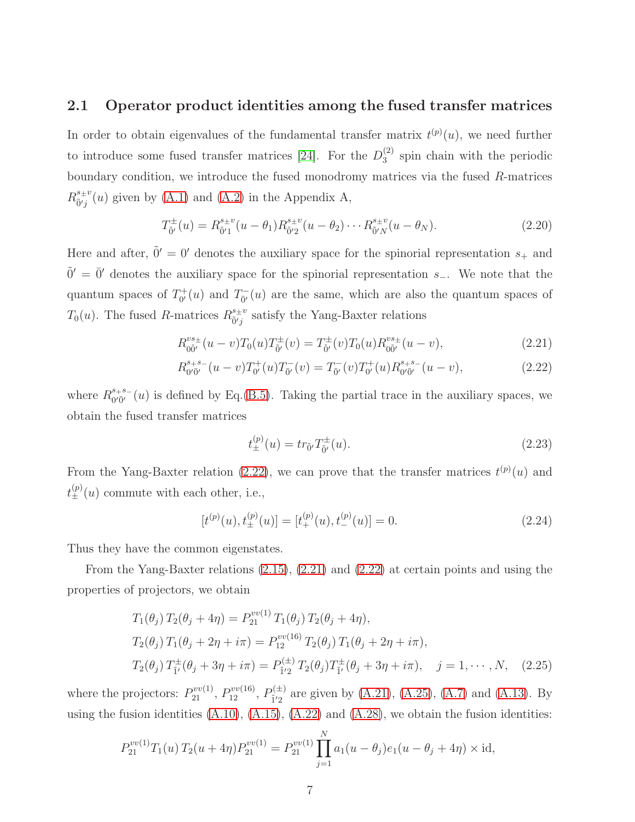#### 2.1 Operator product identities among the fused transfer matrices

In order to obtain eigenvalues of the fundamental transfer matrix  $t^{(p)}(u)$ , we need further to introduce some fused transfer matrices [\[24\]](#page-36-6). For the  $D_3^{(2)}$  $_3<sup>(2)</sup>$  spin chain with the periodic boundary condition, we introduce the fused monodromy matrices via the fused R-matrices  $R^{s_{\pm}v}_{\tilde{p}'i}$  $\delta^{s}_{\tilde{p}'j}(u)$  given by [\(A.1\)](#page-32-0) and [\(A.2\)](#page-24-0) in the Appendix A,

<span id="page-6-3"></span>
$$
T^{\pm}_{\tilde{0}'}(u) = R^{s_{\pm}v}_{\tilde{0}'1}(u - \theta_1) R^{s_{\pm}v}_{\tilde{0}'2}(u - \theta_2) \cdots R^{s_{\pm}v}_{\tilde{0}'N}(u - \theta_N).
$$
 (2.20)

Here and after,  $\tilde{0}' = 0'$  denotes the auxiliary space for the spinorial representation  $s_+$  and  $\tilde{0}' = \overline{0}'$  denotes the auxiliary space for the spinorial representation s<sub>-</sub>. We note that the quantum spaces of  $T_{0'}^+$  $T_{0'}^{+}(u)$  and  $T_{0'}^{-}(u)$  are the same, which are also the quantum spaces of  $T_0(u)$ . The fused R-matrices  $R^{s_{\pm}v}_{\tilde{0}'i}$  $\frac{s+v}{\tilde{0}'j}$  satisfy the Yang-Baxter relations

<span id="page-6-0"></span>
$$
R_{0\tilde{0}'}^{vs_{\pm}}(u-v)T_0(u)T_{\tilde{0}'}^{\pm}(v) = T_{\tilde{0}'}^{\pm}(v)T_0(u)R_{0\tilde{0}'}^{vs_{\pm}}(u-v),
$$
\n(2.21)

$$
R_{0'\bar{0}'}^{s+s-}(u-v)T_{0'}^+(u)T_{\bar{0}'}^-(v) = T_{\bar{0}'}^-(v)T_{0'}^+(u)R_{0'\bar{0}'}^{s+s-}(u-v),\tag{2.22}
$$

where  $R^{s+s-}_{\Omega'\bar{\Omega}'}$  $^{s_+s_-}_{0'\bar{0}'}(u)$  is defined by Eq.[\(B.5\)](#page-32-1). Taking the partial trace in the auxiliary spaces, we obtain the fused transfer matrices

$$
t_{\pm}^{(p)}(u) = tr_{\tilde{0}'} T_{\tilde{0}'}^{\pm}(u). \tag{2.23}
$$

From the Yang-Baxter relation [\(2.22\)](#page-6-0), we can prove that the transfer matrices  $t^{(p)}(u)$  and  $t_{\pm}^{(p)}(u)$  commute with each other, i.e.,

$$
[t^{(p)}(u), t^{(p)}_{\pm}(u)] = [t^{(p)}_{+}(u), t^{(p)}_{-}(u)] = 0.
$$
 (2.24)

Thus they have the common eigenstates.

From the Yang-Baxter relations [\(2.15\)](#page-5-0), [\(2.21\)](#page-6-0) and [\(2.22\)](#page-6-0) at certain points and using the properties of projectors, we obtain

<span id="page-6-2"></span>
$$
T_1(\theta_j) T_2(\theta_j + 4\eta) = P_{21}^{vv(1)} T_1(\theta_j) T_2(\theta_j + 4\eta),
$$
  
\n
$$
T_2(\theta_j) T_1(\theta_j + 2\eta + i\pi) = P_{12}^{vv(16)} T_2(\theta_j) T_1(\theta_j + 2\eta + i\pi),
$$
  
\n
$$
T_2(\theta_j) T_{\tilde{i}'}^{\pm}(\theta_j + 3\eta + i\pi) = P_{\tilde{i}'2}^{(\pm)} T_2(\theta_j) T_{\tilde{i}'}^{\pm}(\theta_j + 3\eta + i\pi), \quad j = 1, \cdots, N, \quad (2.25)
$$

where the projectors:  $P_{21}^{vv(1)}$ ,  $P_{12}^{vv(16)}$ ,  $P_{1'2}^{(\pm)}$  $_{1/2}^{(1/2)}$  are given by [\(A.21\)](#page-28-0), [\(A.25\)](#page-28-1), [\(A.7\)](#page-33-0) and [\(A.13\)](#page-34-0). By using the fusion identities  $(A.10)$ ,  $(A.15)$ ,  $(A.22)$  and  $(A.28)$ , we obtain the fusion identities:

<span id="page-6-1"></span>
$$
P_{21}^{vv(1)}T_1(u) T_2(u+4\eta) P_{21}^{vv(1)} = P_{21}^{vv(1)} \prod_{j=1}^N a_1(u-\theta_j) e_1(u-\theta_j+4\eta) \times \text{id},
$$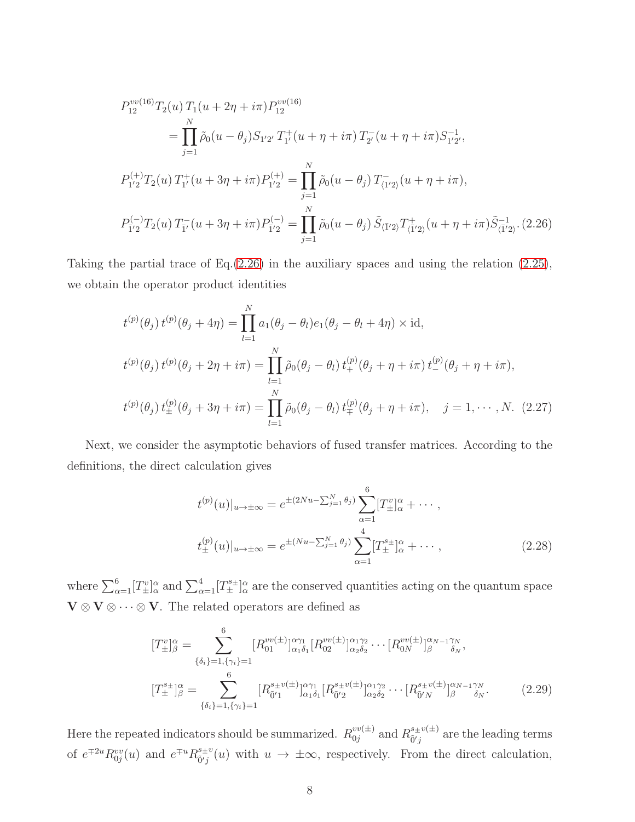$$
P_{12}^{vv(16)}T_2(u) T_1(u + 2\eta + i\pi) P_{12}^{vv(16)}
$$
  
= 
$$
\prod_{j=1}^N \tilde{\rho}_0(u - \theta_j) S_{1'2'} T_1^+(u + \eta + i\pi) T_2^-(u + \eta + i\pi) S_{1'2'}^{-1},
$$
  

$$
P_{1'2}^{(+)}T_2(u) T_1^+(u + 3\eta + i\pi) P_{1'2}^{(+)} = \prod_{j=1}^N \tilde{\rho}_0(u - \theta_j) T_{(1'2)}^-(u + \eta + i\pi),
$$
  

$$
P_{1'2}^{(-)}T_2(u) T_{1'}^-(u + 3\eta + i\pi) P_{1'2}^{(-)} = \prod_{j=1}^N \tilde{\rho}_0(u - \theta_j) \tilde{S}_{\langle \overline{1}'2 \rangle} T_{\langle \overline{1}'2 \rangle}^+(u + \eta + i\pi) \tilde{S}_{\langle \overline{1}'2 \rangle}^{-1}.
$$
(2.26)

Taking the partial trace of Eq. $(2.26)$  in the auxiliary spaces and using the relation  $(2.25)$ , we obtain the operator product identities

<span id="page-7-0"></span>
$$
t^{(p)}(\theta_j) t^{(p)}(\theta_j + 4\eta) = \prod_{l=1}^N a_l(\theta_j - \theta_l) e_l(\theta_j - \theta_l + 4\eta) \times \text{id},
$$
  

$$
t^{(p)}(\theta_j) t^{(p)}(\theta_j + 2\eta + i\pi) = \prod_{l=1}^N \tilde{\rho}_0(\theta_j - \theta_l) t^{(p)}_+(\theta_j + \eta + i\pi) t^{(p)}_-(\theta_j + \eta + i\pi),
$$
  

$$
t^{(p)}(\theta_j) t^{(p)}_+(\theta_j + 3\eta + i\pi) = \prod_{l=1}^N \tilde{\rho}_0(\theta_j - \theta_l) t^{(p)}_+(\theta_j + \eta + i\pi), \quad j = 1, \cdots, N. \tag{2.27}
$$

Next, we consider the asymptotic behaviors of fused transfer matrices. According to the definitions, the direct calculation gives

$$
t^{(p)}(u)|_{u \to \pm \infty} = e^{\pm (2Nu - \sum_{j=1}^{N} \theta_j)} \sum_{\alpha=1}^{6} [T_{\pm}^{v}]_{\alpha}^{\alpha} + \cdots ,
$$
  

$$
t_{\pm}^{(p)}(u)|_{u \to \pm \infty} = e^{\pm (Nu - \sum_{j=1}^{N} \theta_j)} \sum_{\alpha=1}^{4} [T_{\pm}^{s \pm}]_{\alpha}^{\alpha} + \cdots , \qquad (2.28)
$$

where  $\sum_{\alpha=1}^6 [T_{\pm}^v]_{\alpha}^{\alpha}$  and  $\sum_{\alpha=1}^4 [T_{\pm}^{s_{\pm}}]_{\alpha}^{\alpha}$  are the conserved quantities acting on the quantum space  $\mathbf{V} \otimes \mathbf{V} \otimes \cdots \otimes \mathbf{V}$ . The related operators are defined as

<span id="page-7-1"></span>
$$
[T_{\pm}^{v}]^{\alpha}_{\beta} = \sum_{\{\delta_{i}\}=1,\{\gamma_{i}\}=1}^{6} [R_{01}^{vv(\pm)}]^{\alpha\gamma_{1}}_{\alpha_{1}\delta_{1}} [R_{02}^{vv(\pm)}]^{\alpha_{1}\gamma_{2}}_{\alpha_{2}\delta_{2}} \cdots [R_{0N}^{vv(\pm)}]^{\alpha_{N-1}\gamma_{N}}_{\beta} ,
$$
  

$$
[T_{\pm}^{s\pm}]^{\alpha}_{\beta} = \sum_{\{\delta_{i}\}=1,\{\gamma_{i}\}=1}^{6} [R_{\tilde{0}'1}^{s\pm v(\pm)}]^{\alpha\gamma_{1}}_{\alpha_{1}\delta_{1}} [R_{\tilde{0}'2}^{s\pm v(\pm)}]^{\alpha_{1}\gamma_{2}}_{\alpha_{2}\delta_{2}} \cdots [R_{\tilde{0}'N}^{s\pm v(\pm)}]^{\alpha_{N-1}\gamma_{N}}_{\beta} .
$$
 (2.29)

Here the repeated indicators should be summarized.  $R_{0i}^{vv(\pm)}$  $v^{v(\pm)}$  and  $R^{s_{\pm}v(\pm)}_{\tilde{0}'j}$  $\tilde{\delta}^{j}$  are the leading terms of  $e^{\mp 2u} R_{0j}^{vv}(u)$  and  $e^{\mp u} R_{\tilde{0}j}^{s_{\pm}v}$  $\delta^{s+v}_{\tilde{p}'j}(u)$  with  $u \to \pm \infty$ , respectively. From the direct calculation,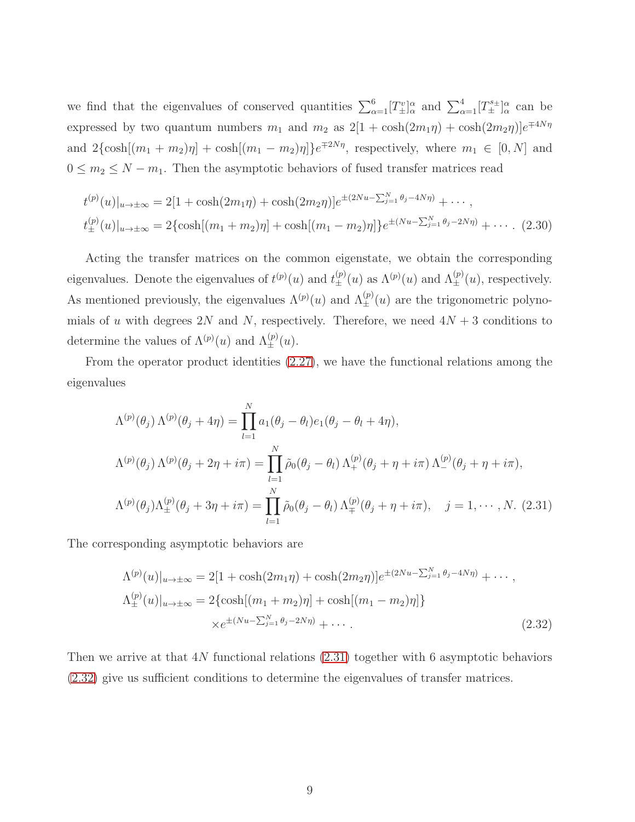we find that the eigenvalues of conserved quantities  $\sum_{\alpha=1}^{6} [T_{\pm}^{v}]_{\alpha}^{\alpha}$  and  $\sum_{\alpha=1}^{4} [T_{\pm}^{s\pm}]_{\alpha}^{\alpha}$  can be expressed by two quantum numbers  $m_1$  and  $m_2$  as  $2[1 + \cosh(2m_1\eta) + \cosh(2m_2\eta)]e^{\mp 4N\eta}$ and  $2\{\cosh[(m_1 + m_2)\eta] + \cosh[(m_1 - m_2)\eta]\}e^{\mp 2N\eta}$ , respectively, where  $m_1 \in [0, N]$  and  $0 \leq m_2 \leq N - m_1$ . Then the asymptotic behaviors of fused transfer matrices read

$$
t^{(p)}(u)|_{u\to\pm\infty} = 2[1 + \cosh(2m_1\eta) + \cosh(2m_2\eta)]e^{\pm(2Nu - \sum_{j=1}^N \theta_j - 4N\eta)} + \cdots,
$$
  

$$
t^{(p)}_{\pm}(u)|_{u\to\pm\infty} = 2\{\cosh[(m_1 + m_2)\eta] + \cosh[(m_1 - m_2)\eta]\}e^{\pm(Nu - \sum_{j=1}^N \theta_j - 2N\eta)} + \cdots.
$$
 (2.30)

Acting the transfer matrices on the common eigenstate, we obtain the corresponding eigenvalues. Denote the eigenvalues of  $t^{(p)}(u)$  and  $t^{(p)}_{\pm}(u)$  as  $\Lambda^{(p)}(u)$  and  $\Lambda^{(p)}_{\pm}(u)$ , respectively. As mentioned previously, the eigenvalues  $\Lambda^{(p)}(u)$  and  $\Lambda^{(p)}_{\pm}(u)$  are the trigonometric polynomials of u with degrees 2N and N, respectively. Therefore, we need  $4N + 3$  conditions to determine the values of  $\Lambda^{(p)}(u)$  and  $\Lambda^{(p)}_{\pm}(u)$ .

From the operator product identities [\(2.27\)](#page-7-0), we have the functional relations among the eigenvalues

<span id="page-8-0"></span>
$$
\Lambda^{(p)}(\theta_j) \Lambda^{(p)}(\theta_j + 4\eta) = \prod_{l=1}^N a_1(\theta_j - \theta_l) e_1(\theta_j - \theta_l + 4\eta),
$$
  
\n
$$
\Lambda^{(p)}(\theta_j) \Lambda^{(p)}(\theta_j + 2\eta + i\pi) = \prod_{l=1}^N \tilde{\rho}_0(\theta_j - \theta_l) \Lambda^{(p)}_+(\theta_j + \eta + i\pi) \Lambda^{(p)}_-(\theta_j + \eta + i\pi),
$$
  
\n
$$
\Lambda^{(p)}(\theta_j) \Lambda^{(p)}_{\pm}(\theta_j + 3\eta + i\pi) = \prod_{l=1}^N \tilde{\rho}_0(\theta_j - \theta_l) \Lambda^{(p)}_{\mp}(\theta_j + \eta + i\pi), \quad j = 1, \cdots, N.
$$
 (2.31)

The corresponding asymptotic behaviors are

<span id="page-8-1"></span>
$$
\Lambda^{(p)}(u)|_{u \to \pm \infty} = 2[1 + \cosh(2m_1\eta) + \cosh(2m_2\eta)]e^{\pm(2Nu - \sum_{j=1}^N \theta_j - 4N\eta)} + \cdots,
$$
  
\n
$$
\Lambda^{(p)}_{\pm}(u)|_{u \to \pm \infty} = 2\{\cosh[(m_1 + m_2)\eta] + \cosh[(m_1 - m_2)\eta]\}\
$$
  
\n
$$
\times e^{\pm(Nu - \sum_{j=1}^N \theta_j - 2N\eta)} + \cdots.
$$
\n(2.32)

Then we arrive at that 4N functional relations [\(2.31\)](#page-8-0) together with 6 asymptotic behaviors [\(2.32\)](#page-8-1) give us sufficient conditions to determine the eigenvalues of transfer matrices.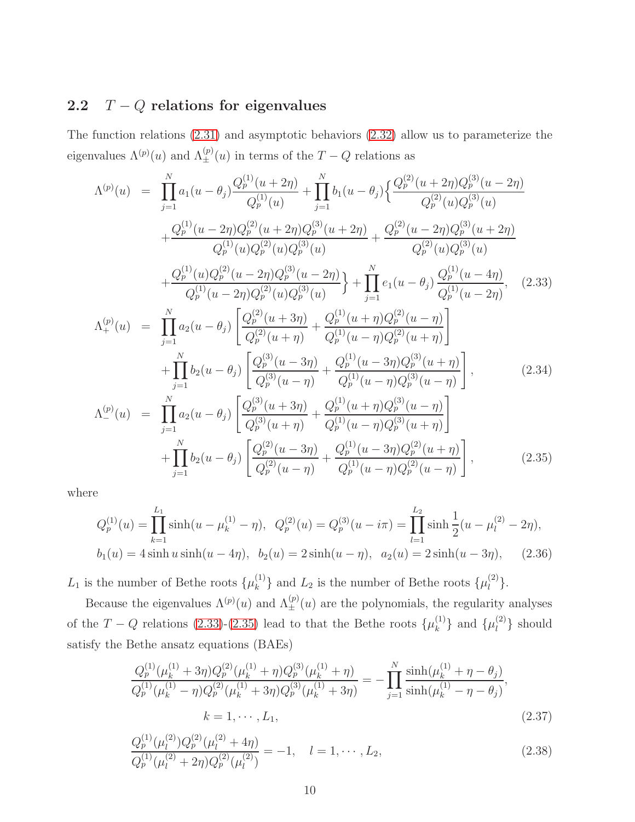# 2.2  $T - Q$  relations for eigenvalues

The function relations [\(2.31\)](#page-8-0) and asymptotic behaviors [\(2.32\)](#page-8-1) allow us to parameterize the eigenvalues  $\Lambda^{(p)}(u)$  and  $\Lambda^{(p)}_{\pm}(u)$  in terms of the  $T-Q$  relations as

<span id="page-9-0"></span>
$$
\Lambda^{(p)}(u) = \prod_{j=1}^{N} a_1(u - \theta_j) \frac{Q_p^{(1)}(u + 2\eta)}{Q_p^{(1)}(u)} + \prod_{j=1}^{N} b_1(u - \theta_j) \left\{ \frac{Q_p^{(2)}(u + 2\eta)Q_p^{(3)}(u - 2\eta)}{Q_p^{(2)}(u)Q_p^{(3)}(u)} \right\} \n+ \frac{Q_p^{(1)}(u - 2\eta)Q_p^{(2)}(u + 2\eta)Q_p^{(3)}(u + 2\eta)}{Q_p^{(1)}(u)Q_p^{(2)}(u)Q_p^{(3)}(u)} + \frac{Q_p^{(1)}(u)Q_p^{(2)}(u - 2\eta)Q_p^{(3)}(u - 2\eta)}{Q_p^{(1)}(u - 2\eta)Q_p^{(3)}(u)} \right\} + \prod_{j=1}^{N} e_1(u - \theta_j) \frac{Q_p^{(1)}(u - 4\eta)}{Q_p^{(1)}(u - 2\eta)}, \quad (2.33)
$$
\n
$$
\Lambda_+^{(p)}(u) = \prod_{j=1}^{N} a_2(u - \theta_j) \left[ \frac{Q_p^{(2)}(u + 3\eta)}{Q_p^{(2)}(u + \eta)} + \frac{Q_p^{(1)}(u + \eta)Q_p^{(2)}(u - \eta)}{Q_p^{(1)}(u - \eta)Q_p^{(2)}(u + \eta)} \right] \n+ \prod_{j=1}^{N} b_2(u - \theta_j) \left[ \frac{Q_p^{(3)}(u + 3\eta)}{Q_p^{(3)}(u - \eta)} + \frac{Q_p^{(1)}(u + \eta)Q_p^{(2)}(u + \eta)}{Q_p^{(1)}(u - \eta)Q_p^{(3)}(u + \eta)} \right], \quad (2.34)
$$
\n
$$
\Lambda_-^{(p)}(u) = \prod_{j=1}^{N} a_2(u - \theta_j) \left[ \frac{Q_p^{(3)}(u + 3\eta)}{Q_p^{(3)}(u + \eta)} + \frac{Q_p^{(1)}(u + \eta)Q_p^{(3)}(u - \eta)}{Q_p^{(1)}(u - \eta)Q_p^{(3)}(u + \eta)} \right], \quad (2.34)
$$
\n
$$
\Lambda_-^{(p)}(u) = \prod_{j=1}^{N} a_2(u - \
$$

where

$$
Q_p^{(1)}(u) = \prod_{k=1}^{L_1} \sinh(u - \mu_k^{(1)} - \eta), \quad Q_p^{(2)}(u) = Q_p^{(3)}(u - i\pi) = \prod_{l=1}^{L_2} \sinh\frac{1}{2}(u - \mu_l^{(2)} - 2\eta),
$$
  

$$
b_1(u) = 4\sinh u \sinh(u - 4\eta), \quad b_2(u) = 2\sinh(u - \eta), \quad a_2(u) = 2\sinh(u - 3\eta), \tag{2.36}
$$

 $L_1$  is the number of Bethe roots  $\{\mu_k^{(1)}\}$  ${k \choose k}$  and  $L_2$  is the number of Bethe roots  $\{\mu_l^{(2)}\}$  $\begin{bmatrix} 2 \end{bmatrix}$ .

Because the eigenvalues  $\Lambda^{(p)}(u)$  and  $\Lambda^{(p)}_{\pm}(u)$  are the polynomials, the regularity analyses of the  $T - Q$  relations [\(2.33\)](#page-9-0)-[\(2.35\)](#page-9-0) lead to that the Bethe roots  $\{\mu_k^{(1)}\}$  $\{\mu_l^{(1)}\}$  and  $\{\mu_l^{(2)}\}$  $\binom{2}{l}$  should satisfy the Bethe ansatz equations (BAEs)

<span id="page-9-1"></span>
$$
\frac{Q_p^{(1)}(\mu_k^{(1)} + 3\eta)Q_p^{(2)}(\mu_k^{(1)} + \eta)Q_p^{(3)}(\mu_k^{(1)} + \eta)}{Q_p^{(1)}(\mu_k^{(1)} - \eta)Q_p^{(2)}(\mu_k^{(1)} + 3\eta)Q_p^{(3)}(\mu_k^{(1)} + 3\eta)} = -\prod_{j=1}^N \frac{\sinh(\mu_k^{(1)} + \eta - \theta_j)}{\sinh(\mu_k^{(1)} - \eta - \theta_j)},
$$
\n
$$
k = 1, \cdots, L_1,
$$
\n(2.37)

$$
\frac{Q_p^{(1)}(\mu_l^{(2)})Q_p^{(2)}(\mu_l^{(2)} + 4\eta)}{Q_p^{(1)}(\mu_l^{(2)} + 2\eta)Q_p^{(2)}(\mu_l^{(2)})} = -1, \quad l = 1, \cdots, L_2,
$$
\n(2.38)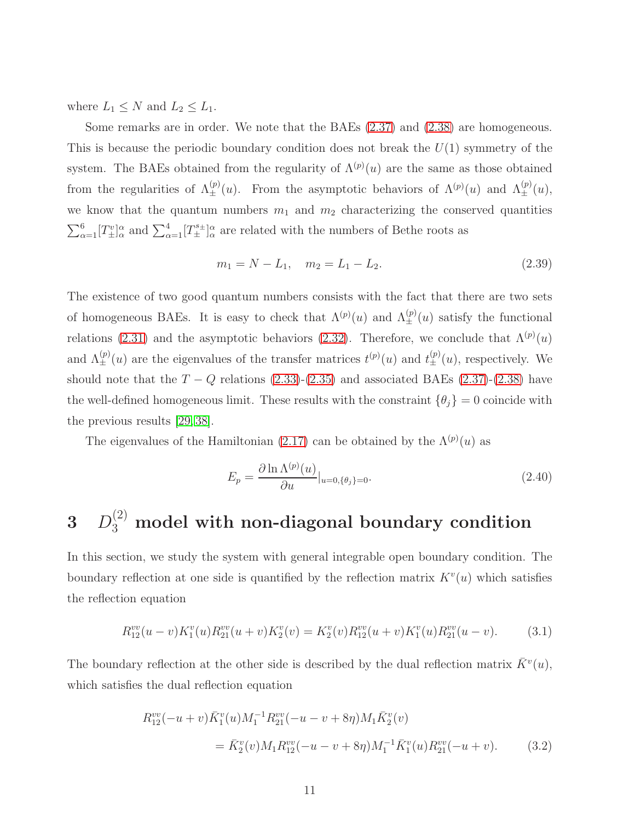where  $L_1 \leq N$  and  $L_2 \leq L_1$ .

Some remarks are in order. We note that the BAEs [\(2.37\)](#page-9-1) and [\(2.38\)](#page-9-1) are homogeneous. This is because the periodic boundary condition does not break the  $U(1)$  symmetry of the system. The BAEs obtained from the regularity of  $\Lambda^{(p)}(u)$  are the same as those obtained from the regularities of  $\Lambda_{\pm}^{(p)}(u)$ . From the asymptotic behaviors of  $\Lambda^{(p)}(u)$  and  $\Lambda_{\pm}^{(p)}(u)$ , we know that the quantum numbers  $m_1$  and  $m_2$  characterizing the conserved quantities  $\sum_{\alpha=1}^6 [T_{\pm}^v]_{\alpha}^{\alpha}$  and  $\sum_{\alpha=1}^4 [T_{\pm}^{s_{\pm}}]_{\alpha}^{\alpha}$  are related with the numbers of Bethe roots as

$$
m_1 = N - L_1, \quad m_2 = L_1 - L_2. \tag{2.39}
$$

The existence of two good quantum numbers consists with the fact that there are two sets of homogeneous BAEs. It is easy to check that  $\Lambda^{(p)}(u)$  and  $\Lambda^{(p)}_{\pm}(u)$  satisfy the functional relations [\(2.31\)](#page-8-0) and the asymptotic behaviors [\(2.32\)](#page-8-1). Therefore, we conclude that  $\Lambda^{(p)}(u)$ and  $\Lambda_{\pm}^{(p)}(u)$  are the eigenvalues of the transfer matrices  $t^{(p)}(u)$  and  $t^{(p)}_{\pm}(u)$ , respectively. We should note that the  $T - Q$  relations [\(2.33\)](#page-9-0)-[\(2.35\)](#page-9-0) and associated BAEs [\(2.37\)](#page-9-1)-[\(2.38\)](#page-9-1) have the well-defined homogeneous limit. These results with the constraint  $\{\theta_j\} = 0$  coincide with the previous results [\[29,](#page-37-2) [38\]](#page-38-0).

The eigenvalues of the Hamiltonian [\(2.17\)](#page-5-2) can be obtained by the  $\Lambda^{(p)}(u)$  as

$$
E_p = \frac{\partial \ln \Lambda^{(p)}(u)}{\partial u}|_{u=0, \{\theta_j\}=0}.\tag{2.40}
$$

# $3$   $D_3^{(2)}$  model with non-diagonal boundary condition

In this section, we study the system with general integrable open boundary condition. The boundary reflection at one side is quantified by the reflection matrix  $K^v(u)$  which satisfies the reflection equation

<span id="page-10-0"></span>
$$
R_{12}^{vv}(u-v)K_1^v(u)R_{21}^{vv}(u+v)K_2^v(v) = K_2^v(v)R_{12}^{vv}(u+v)K_1^v(u)R_{21}^{vv}(u-v).
$$
 (3.1)

The boundary reflection at the other side is described by the dual reflection matrix  $\bar{K}^v(u)$ , which satisfies the dual reflection equation

<span id="page-10-1"></span>
$$
R_{12}^{vv}(-u+v)\bar{K}_1^v(u)M_1^{-1}R_{21}^{vv}(-u-v+8\eta)M_1\bar{K}_2^v(v)
$$
  
=  $\bar{K}_2^v(v)M_1R_{12}^{vv}(-u-v+8\eta)M_1^{-1}\bar{K}_1^v(u)R_{21}^{vv}(-u+v).$  (3.2)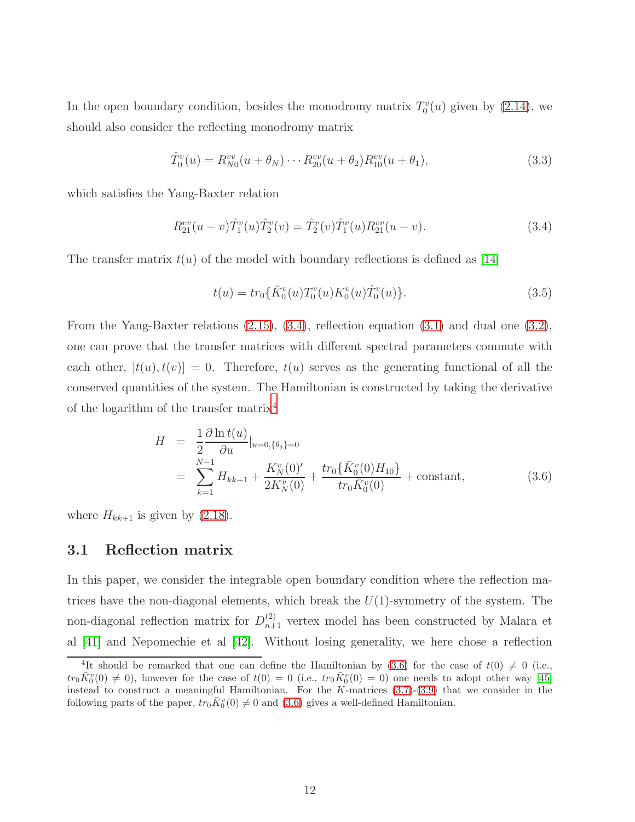In the open boundary condition, besides the monodromy matrix  $T_0^v(u)$  given by [\(2.14\)](#page-5-3), we should also consider the reflecting monodromy matrix

$$
\hat{T}_0^v(u) = R_{N0}^{vv}(u + \theta_N) \cdots R_{20}^{vv}(u + \theta_2) R_{10}^{vv}(u + \theta_1), \tag{3.3}
$$

which satisfies the Yang-Baxter relation

<span id="page-11-0"></span>
$$
R_{21}^{vv}(u-v)\hat{T}_1^v(u)\hat{T}_2^v(v) = \hat{T}_2^v(v)\hat{T}_1^v(u)R_{21}^{vv}(u-v).
$$
\n(3.4)

The transfer matrix  $t(u)$  of the model with boundary reflections is defined as [\[14\]](#page-36-7)

$$
t(u) = tr_0\{\bar{K}_0^v(u)T_0^v(u)K_0^v(u)\hat{T}_0^v(u)\}.
$$
\n(3.5)

From the Yang-Baxter relations [\(2.15\)](#page-5-0), [\(3.4\)](#page-11-0), reflection equation [\(3.1\)](#page-10-0) and dual one [\(3.2\)](#page-10-1), one can prove that the transfer matrices with different spectral parameters commute with each other,  $[t(u), t(v)] = 0$ . Therefore,  $t(u)$  serves as the generating functional of all the conserved quantities of the system. The Hamiltonian is constructed by taking the derivative of the logarithm of the transfer matrix<sup>[4](#page-11-1)</sup>

<span id="page-11-2"></span>
$$
H = \frac{1}{2} \frac{\partial \ln t(u)}{\partial u}|_{u=0, \{\theta_j\}=0}
$$
  
= 
$$
\sum_{k=1}^{N-1} H_{kk+1} + \frac{K_N^v(0)'}{2K_N^v(0)} + \frac{tr_0\{\bar{K}_0^v(0)H_{10}\}}{tr_0\bar{K}_0^v(0)} + \text{constant},
$$
 (3.6)

where  $H_{kk+1}$  is given by  $(2.18)$ .

#### 3.1 Reflection matrix

In this paper, we consider the integrable open boundary condition where the reflection matrices have the non-diagonal elements, which break the  $U(1)$ -symmetry of the system. The non-diagonal reflection matrix for  $D_{n+1}^{(2)}$  vertex model has been constructed by Malara et al [\[41\]](#page-38-6) and Nepomechie et al [\[42\]](#page-38-1). Without losing generality, we here chose a reflection

<span id="page-11-1"></span><sup>&</sup>lt;sup>4</sup>It should be remarked that one can define the Hamiltonian by [\(3.6\)](#page-11-2) for the case of  $t(0) \neq 0$  (i.e.,  $tr_0 \bar{K}_0^v(0) \neq 0$ , however for the case of  $t(0) = 0$  (i.e.,  $tr_0 \bar{K}_0^v(0) = 0$ ) one needs to adopt other way [\[45\]](#page-38-7) instead to construct a meaningful Hamiltonian. For the  $K$ -matrices  $(3.7)-(3.9)$  $(3.7)-(3.9)$  that we consider in the following parts of the paper,  $tr_0 \overline{K}_0^v(0) \neq 0$  and [\(3.6\)](#page-11-2) gives a well-defined Hamiltonian.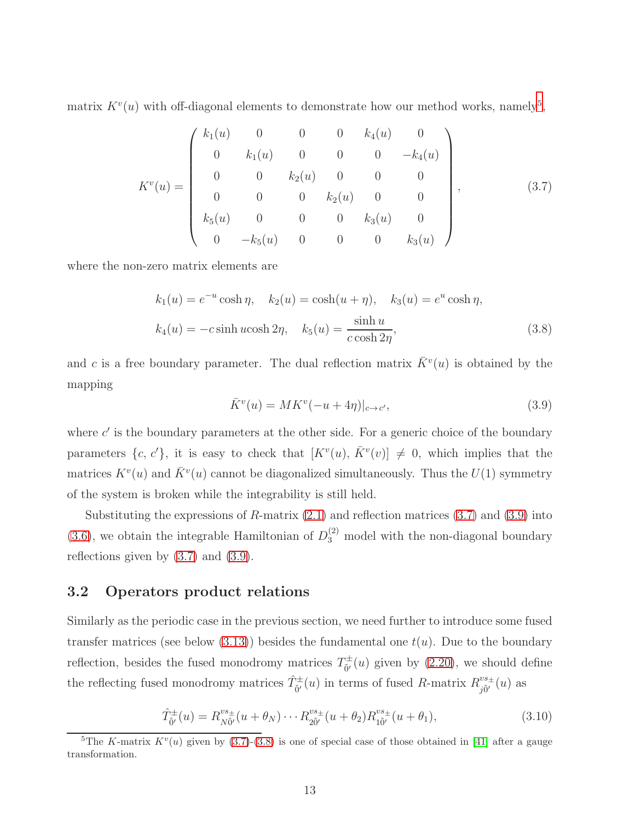matrix  $K^v(u)$  with off-diagonal elements to demonstrate how our method works, namely<sup>[5](#page-12-2)</sup>,

<span id="page-12-0"></span>
$$
K^{v}(u) = \begin{pmatrix} k_{1}(u) & 0 & 0 & 0 & k_{4}(u) & 0 \\ 0 & k_{1}(u) & 0 & 0 & 0 & -k_{4}(u) \\ 0 & 0 & k_{2}(u) & 0 & 0 & 0 \\ 0 & 0 & 0 & k_{2}(u) & 0 & 0 \\ k_{5}(u) & 0 & 0 & 0 & k_{3}(u) & 0 \\ 0 & -k_{5}(u) & 0 & 0 & 0 & k_{3}(u) \end{pmatrix},
$$
(3.7)

where the non-zero matrix elements are

<span id="page-12-3"></span>
$$
k_1(u) = e^{-u}\cosh\eta, \quad k_2(u) = \cosh(u+\eta), \quad k_3(u) = e^u\cosh\eta,
$$
  

$$
k_4(u) = -c\sinh u\cosh 2\eta, \quad k_5(u) = \frac{\sinh u}{c\cosh 2\eta}, \tag{3.8}
$$

and c is a free boundary parameter. The dual reflection matrix  $\bar{K}^v(u)$  is obtained by the mapping

<span id="page-12-1"></span>
$$
\bar{K}^v(u) = MK^v(-u+4\eta)|_{c \to c'},\tag{3.9}
$$

where  $c'$  is the boundary parameters at the other side. For a generic choice of the boundary parameters  $\{c, c'\}$ , it is easy to check that  $[K^v(u), \overline{K}^v(v)] \neq 0$ , which implies that the matrices  $K^v(u)$  and  $\overline{K}^v(u)$  cannot be diagonalized simultaneously. Thus the  $U(1)$  symmetry of the system is broken while the integrability is still held.

Substituting the expressions of  $R$ -matrix  $(2.1)$  and reflection matrices  $(3.7)$  and  $(3.9)$  into [\(3.6\)](#page-11-2), we obtain the integrable Hamiltonian of  $D_3^{(2)}$  model with the non-diagonal boundary reflections given by [\(3.7\)](#page-12-0) and [\(3.9\)](#page-12-1).

#### 3.2 Operators product relations

Similarly as the periodic case in the previous section, we need further to introduce some fused transfer matrices (see below  $(3.13)$ ) besides the fundamental one  $t(u)$ . Due to the boundary reflection, besides the fused monodromy matrices  $T^{\pm}_{\tilde{\rho}'}$  $\phi_{\tilde{0}'}^{\pm}(u)$  given by [\(2.20\)](#page-6-3), we should define the reflecting fused monodromy matrices  $\hat{T}_{\tilde{0}'}^{\pm}(u)$  in terms of fused R-matrix  $R_{j\tilde{0}'}^{vs_{\pm}}$  $_{j\tilde{0}^{\prime}}^{vs_{\pm}}(u)$  as

$$
\hat{T}_{\tilde{0}'}^{\pm}(u) = R_{N\tilde{0}'}^{vs_{\pm}}(u+\theta_N)\cdots R_{2\tilde{0}'}^{vs_{\pm}}(u+\theta_2)R_{1\tilde{0}'}^{vs_{\pm}}(u+\theta_1),
$$
\n(3.10)

<span id="page-12-2"></span><sup>&</sup>lt;sup>5</sup>The K-matrix  $K^v(u)$  given by [\(3.7\)](#page-12-0)-[\(3.8\)](#page-12-3) is one of special case of those obtained in [\[41\]](#page-38-6) after a gauge transformation.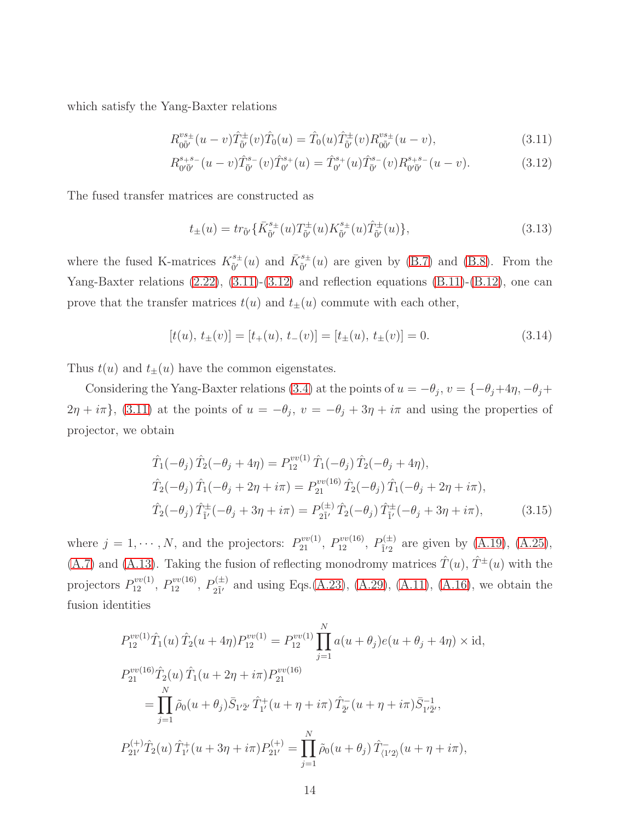which satisfy the Yang-Baxter relations

<span id="page-13-1"></span>
$$
R_{00'}^{vs_{\pm}}(u-v)\hat{T}_{0'}^{\pm}(v)\hat{T}_0(u) = \hat{T}_0(u)\hat{T}_{0'}^{\pm}(v)R_{00'}^{vs_{\pm}}(u-v),\tag{3.11}
$$

$$
R_{0'\bar{0}'}^{s+s-}(u-v)\hat{T}_{\bar{0}'}^{s-}(v)\hat{T}_{0'}^{s+}(u) = \hat{T}_{0'}^{s+}(u)\hat{T}_{\bar{0}'}^{s-}(v)R_{0'\bar{0}'}^{s+s-}(u-v).
$$
 (3.12)

The fused transfer matrices are constructed as

<span id="page-13-0"></span>
$$
t_{\pm}(u) = tr_{\tilde{0}'} \{ \bar{K}_{\tilde{0}'}^{s_{\pm}}(u) T_{\tilde{0}'}^{\pm}(u) K_{\tilde{0}'}^{s_{\pm}}(u) \hat{T}_{\tilde{0}'}^{\pm}(u) \},
$$
\n(3.13)

where the fused K-matrices  $K_{\tilde{\rho}}^{s_{\pm}}$  $\bar{\mathfrak{h}}^{\prime\text{}}(u)$  and  $\bar{K}_{\tilde{0}'}^{s\pm}$  $_{0}^{\epsilon_{\pm}}(u)$  are given by [\(B.7\)](#page-33-0) and [\(B.8\)](#page-33-1). From the Yang-Baxter relations [\(2.22\)](#page-6-0), [\(3.11\)](#page-13-1)-[\(3.12\)](#page-13-1) and reflection equations [\(B.11\)](#page-34-2)-[\(B.12\)](#page-34-3), one can prove that the transfer matrices  $t(u)$  and  $t_{\pm}(u)$  commute with each other,

$$
[t(u), t_{\pm}(v)] = [t_{+}(u), t_{-}(v)] = [t_{\pm}(u), t_{\pm}(v)] = 0.
$$
\n(3.14)

Thus  $t(u)$  and  $t_{\pm}(u)$  have the common eigenstates.

Considering the Yang-Baxter relations [\(3.4\)](#page-11-0) at the points of  $u = -\theta_j$ ,  $v = \{-\theta_j + 4\eta, -\theta_j + \theta_k\}$  $2\eta + i\pi$ , [\(3.11\)](#page-13-1) at the points of  $u = -\theta_j$ ,  $v = -\theta_j + 3\eta + i\pi$  and using the properties of projector, we obtain

<span id="page-13-2"></span>
$$
\hat{T}_1(-\theta_j)\,\hat{T}_2(-\theta_j+4\eta) = P_{12}^{vv(1)}\,\hat{T}_1(-\theta_j)\,\hat{T}_2(-\theta_j+4\eta),\n\hat{T}_2(-\theta_j)\,\hat{T}_1(-\theta_j+2\eta+i\pi) = P_{21}^{vv(16)}\,\hat{T}_2(-\theta_j)\,\hat{T}_1(-\theta_j+2\eta+i\pi),\n\hat{T}_2(-\theta_j)\,\hat{T}_{\tilde{1}'}^{\pm}(-\theta_j+3\eta+i\pi) = P_{2\tilde{1}'}^{(\pm)}\,\hat{T}_2(-\theta_j)\,\hat{T}_{\tilde{1}'}^{\pm}(-\theta_j+3\eta+i\pi),
$$
\n(3.15)

where  $j = 1, \dots, N$ , and the projectors:  $P_{21}^{vv(1)}$ ,  $P_{12}^{vv(16)}$ ,  $P_{1'2}^{(\pm)}$  $_{1/2}^{(1)}$  are given by [\(A.19\)](#page-28-3), [\(A.25\)](#page-28-1), [\(A.7\)](#page-33-0) and [\(A.13\)](#page-34-0). Taking the fusion of reflecting monodromy matrices  $\hat{T}(u)$ ,  $\hat{T}^{\pm}(u)$  with the projectors  $P_{12}^{vv(1)}$ ,  $P_{12}^{vv(16)}$ ,  $P_{21'}^{(\pm)}$  $_{2\tilde{I}'}^{(E)}$  and using Eqs.[\(A.23\)](#page-28-2), [\(A.29\)](#page-30-0), [\(A.11\)](#page-26-0), [\(A.16\)](#page-34-1), we obtain the fusion identities

<span id="page-13-3"></span>
$$
P_{12}^{vv(1)}\hat{T}_1(u)\,\hat{T}_2(u+4\eta)P_{12}^{vv(1)} = P_{12}^{vv(1)}\prod_{j=1}^N a(u+\theta_j)e(u+\theta_j+4\eta) \times \mathrm{id},
$$
  
\n
$$
P_{21}^{vv(16)}\hat{T}_2(u)\,\hat{T}_1(u+2\eta+i\pi)P_{21}^{vv(16)}
$$
  
\n
$$
= \prod_{j=1}^N \tilde{\rho}_0(u+\theta_j)\bar{S}_{1'\bar{2}'}\,\hat{T}_1^+(u+\eta+i\pi)\,\hat{T}_{\bar{2}'}^-(u+\eta+i\pi)\bar{S}_{1'\bar{2}'}^{-1},
$$
  
\n
$$
P_{21'}^{(+)}\hat{T}_2(u)\,\hat{T}_1^+(u+3\eta+i\pi)P_{21'}^{(+)} = \prod_{j=1}^N \tilde{\rho}_0(u+\theta_j)\,\hat{T}_{\langle 1'2\rangle}^-(u+\eta+i\pi),
$$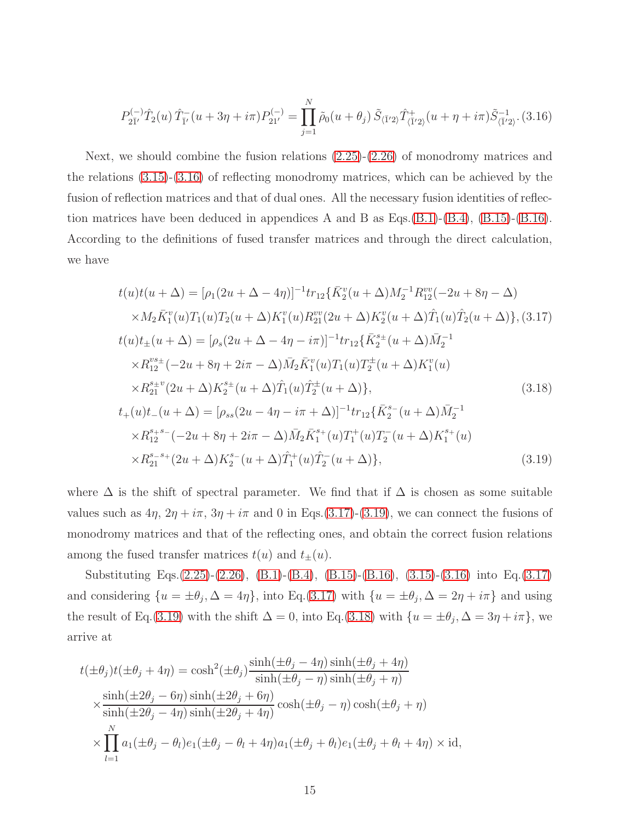$$
P_{2\bar{1}'}^{(-)}\hat{T}_2(u)\,\hat{T}_{\bar{1}'}^-(u+3\eta+i\pi)P_{21'}^{(-)} = \prod_{j=1}^N \tilde{\rho}_0(u+\theta_j)\,\tilde{S}_{\langle\bar{1}'2\rangle}\hat{T}_{\langle\bar{1}'2\rangle}^+(u+\eta+i\pi)\tilde{S}_{\langle\bar{1}'2\rangle}^{-1}.\,(3.16)
$$

Next, we should combine the fusion relations [\(2.25\)](#page-6-2)-[\(2.26\)](#page-6-1) of monodromy matrices and the relations [\(3.15\)](#page-13-2)-[\(3.16\)](#page-13-3) of reflecting monodromy matrices, which can be achieved by the fusion of reflection matrices and that of dual ones. All the necessary fusion identities of reflec-tion matrices have been deduced in appendices A and B as Eqs.[\(B.1\)](#page-32-0)-[\(B.4\)](#page-32-2),  $(B.15)$ - $(B.16)$ . According to the definitions of fused transfer matrices and through the direct calculation, we have

<span id="page-14-0"></span>
$$
t(u)t(u + \Delta) = [\rho_1(2u + \Delta - 4\eta)]^{-1}tr_{12}\{\bar{K}_2^v(u + \Delta)M_2^{-1}R_{12}^{vv}(-2u + 8\eta - \Delta)
$$
  
\n
$$
\times M_2\bar{K}_1^v(u)T_1(u)T_2(u + \Delta)K_1^v(u)R_{21}^{vv}(2u + \Delta)K_2^v(u + \Delta)\hat{T}_1(u)\hat{T}_2(u + \Delta)\}, (3.17)
$$
  
\n
$$
t(u)t_{\pm}(u + \Delta) = [\rho_s(2u + \Delta - 4\eta - i\pi)]^{-1}tr_{12}\{\bar{K}_2^{s_{\pm}}(u + \Delta)\bar{M}_2^{-1}
$$
  
\n
$$
\times R_{12}^{vs_{\pm}}(-2u + 8\eta + 2i\pi - \Delta)\bar{M}_2\bar{K}_1^v(u)T_1(u)T_2^{\pm}(u + \Delta)K_1^v(u)
$$
  
\n
$$
\times R_{21}^{s_{\pm}v}(2u + \Delta)K_2^{s_{\pm}}(u + \Delta)\hat{T}_1(u)\hat{T}_2^{\pm}(u + \Delta)\}, (3.18)
$$
  
\n
$$
t_{+}(u)t_{-}(u + \Delta) = [\rho_{ss}(2u - 4\eta - i\pi + \Delta)]^{-1}tr_{12}\{\bar{K}_2^{s_{-}}(u + \Delta)\bar{M}_2^{-1}
$$
  
\n
$$
\times R_{12}^{s_{+}s_{-}}(-2u + 8\eta + 2i\pi - \Delta)\bar{M}_2\bar{K}_1^{s_{+}}(u)T_1^{\pm}(u)T_2^-(u + \Delta)K_1^{s_{+}}(u)
$$
  
\n
$$
\times R_{21}^{s_{-}s_{+}}(2u + \Delta)K_2^{s_{-}}(u + \Delta)\hat{T}_1^{\pm}(u)\hat{T}_2^-(u + \Delta)\}, (3.19)
$$

where  $\Delta$  is the shift of spectral parameter. We find that if  $\Delta$  is chosen as some suitable values such as  $4\eta$ ,  $2\eta + i\pi$ ,  $3\eta + i\pi$  and 0 in Eqs.[\(3.17\)](#page-14-0)-[\(3.19\)](#page-14-0), we can connect the fusions of monodromy matrices and that of the reflecting ones, and obtain the correct fusion relations among the fused transfer matrices  $t(u)$  and  $t_{\pm}(u)$ .

Substituting Eqs.[\(2.25\)](#page-6-2)-[\(2.26\)](#page-6-1), [\(B.1\)](#page-32-0)-[\(B.4\)](#page-32-2), [\(B.15\)](#page-34-1)-[\(B.16\)](#page-34-1), [\(3.15\)](#page-13-2)-[\(3.16\)](#page-13-3) into Eq.[\(3.17\)](#page-14-0) and considering  $\{u = \pm \theta_j, \Delta = 4\eta\}$ , into Eq.[\(3.17\)](#page-14-0) with  $\{u = \pm \theta_j, \Delta = 2\eta + i\pi\}$  and using the result of Eq.[\(3.19\)](#page-14-0) with the shift  $\Delta = 0$ , into Eq.[\(3.18\)](#page-14-0) with  $\{u = \pm \theta_j, \Delta = 3\eta + i\pi\}$ , we arrive at

<span id="page-14-1"></span>
$$
t(\pm \theta_j)t(\pm \theta_j + 4\eta) = \cosh^2(\pm \theta_j) \frac{\sinh(\pm \theta_j - 4\eta) \sinh(\pm \theta_j + 4\eta)}{\sinh(\pm \theta_j - \eta) \sinh(\pm \theta_j + \eta)}
$$
  

$$
\times \frac{\sinh(\pm 2\theta_j - 6\eta) \sinh(\pm 2\theta_j + 6\eta)}{\sinh(\pm 2\theta_j - 4\eta) \sinh(\pm 2\theta_j + 4\eta)} \cosh(\pm \theta_j - \eta) \cosh(\pm \theta_j + \eta)
$$
  

$$
\times \prod_{l=1}^N a_1(\pm \theta_j - \theta_l) e_1(\pm \theta_j - \theta_l + 4\eta) a_1(\pm \theta_j + \theta_l) e_1(\pm \theta_j + \theta_l + 4\eta) \times \text{id},
$$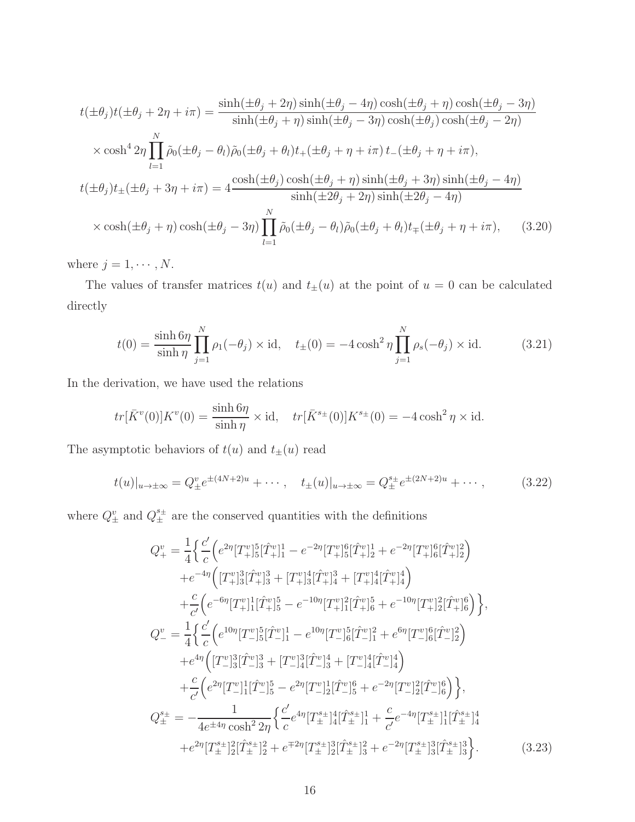$$
t(\pm\theta_j)t(\pm\theta_j+2\eta+i\pi) = \frac{\sinh(\pm\theta_j+2\eta)\sinh(\pm\theta_j-4\eta)\cosh(\pm\theta_j+\eta)\cosh(\pm\theta_j-3\eta)}{\sinh(\pm\theta_j+\eta)\sinh(\pm\theta_j-3\eta)\cosh(\pm\theta_j)\cosh(\pm\theta_j-2\eta)}
$$
  

$$
\times \cosh^4 2\eta \prod_{l=1}^N \tilde{\rho}_0(\pm\theta_j-\theta_l)\tilde{\rho}_0(\pm\theta_j+\theta_l)t_+(\pm\theta_j+\eta+i\pi)t_-(\pm\theta_j+\eta+i\pi),
$$
  

$$
t(\pm\theta_j)t_{\pm}(\pm\theta_j+3\eta+i\pi) = 4\frac{\cosh(\pm\theta_j)\cosh(\pm\theta_j+\eta)\sinh(\pm\theta_j+3\eta)\sinh(\pm\theta_j-4\eta)}{\sinh(\pm2\theta_j+2\eta)\sinh(\pm2\theta_j-4\eta)}
$$
  

$$
\times \cosh(\pm\theta_j+\eta)\cosh(\pm\theta_j-3\eta) \prod_{l=1}^N \tilde{\rho}_0(\pm\theta_j-\theta_l)\tilde{\rho}_0(\pm\theta_j+\theta_l)t_{\mp}(\pm\theta_j+\eta+i\pi), \qquad (3.20)
$$

where  $j = 1, \cdots, N$ .

The values of transfer matrices  $t(u)$  and  $t_{\pm}(u)$  at the point of  $u = 0$  can be calculated directly

<span id="page-15-0"></span>
$$
t(0) = \frac{\sinh 6\eta}{\sinh \eta} \prod_{j=1}^{N} \rho_1(-\theta_j) \times \text{id}, \quad t_{\pm}(0) = -4 \cosh^2 \eta \prod_{j=1}^{N} \rho_s(-\theta_j) \times \text{id}. \tag{3.21}
$$

In the derivation, we have used the relations

$$
tr[\bar{K}^v(0)]K^v(0) = \frac{\sinh 6\eta}{\sinh \eta} \times \mathrm{id}, \quad tr[\bar{K}^{s_\pm}(0)]K^{s_\pm}(0) = -4\cosh^2 \eta \times \mathrm{id}.
$$

The asymptotic behaviors of  $t(u)$  and  $t_{\pm}(u)$  read

<span id="page-15-1"></span>
$$
t(u)|_{u \to \pm \infty} = Q_{\pm}^{v} e^{\pm (4N+2)u} + \cdots, \quad t_{\pm}(u)|_{u \to \pm \infty} = Q_{\pm}^{s_{\pm}} e^{\pm (2N+2)u} + \cdots,
$$
 (3.22)

where  $Q^v_{\pm}$  and  $Q^{s_{\pm}}_{\pm}$  are the conserved quantities with the definitions

$$
Q_{+}^{v} = \frac{1}{4} \Big\{ \frac{c'}{c} \Big( e^{2\eta} [T_{+}^{v}]_{5}^{5} [\hat{T}_{+}^{v}]_{1}^{1} - e^{-2\eta} [T_{+}^{v}]_{5}^{6} [\hat{T}_{+}^{v}]_{2}^{1} + e^{-2\eta} [T_{+}^{v}]_{6}^{6} [\hat{T}_{+}^{v}]_{2}^{2} \Big) \Big\} + e^{-4\eta} \Big( [T_{+}^{v}]_{3}^{3} [\hat{T}_{+}^{v}]_{3}^{3} + [T_{+}^{v}]_{3}^{4} [\hat{T}_{+}^{v}]_{4}^{3} + [T_{+}^{v}]_{4}^{4} [\hat{T}_{+}^{v}]_{4}^{4} \Big) \Big\} + \frac{c}{c'} \Big( e^{-6\eta} [T_{+}^{v}]_{1}^{1} [\hat{T}_{+}^{v}]_{5}^{5} - e^{-10\eta} [T_{+}^{v}]_{1}^{2} [\hat{T}_{+}^{v}]_{6}^{5} + e^{-10\eta} [T_{+}^{v}]_{2}^{2} [\hat{T}_{+}^{v}]_{6}^{6} \Big) \Big\},
$$
  
\n
$$
Q_{-}^{v} = \frac{1}{4} \Big\{ \frac{c'}{c} \Big( e^{10\eta} [T_{-}^{v}]_{5}^{5} [\hat{T}_{-}^{v}]_{1}^{1} - e^{10\eta} [T_{-}^{v}]_{6}^{5} [\hat{T}_{-}^{v}]_{1}^{2} + e^{6\eta} [T_{-}^{v}]_{6}^{6} [\hat{T}_{-}^{v}]_{2}^{2} \Big) \Big\} + e^{4\eta} \Big( [T_{-}^{v}]_{3}^{3} [\hat{T}_{-}^{v}]_{3}^{3} + [T_{-}^{v}]_{4}^{3} [\hat{T}_{-}^{v}]_{3}^{4} + [T_{-}^{v}]_{4}^{4} [\hat{T}_{-}^{v}]_{4}^{4} \Big) \Big\} + \frac{c}{c'} \Big( e^{2\eta} [T_{-}^{v}]_{1}^{1} [\hat{T}_{-}^{v}]_{5}^{5} - e^{2\eta} [T_{-}^{v}]_{2}^{1} [\hat{T}_{-}^{v}]_{6}^{6} \Big) \Big\},
$$
  
\n
$$
Q_{\pm}^{s_{\pm}} = -\frac{1
$$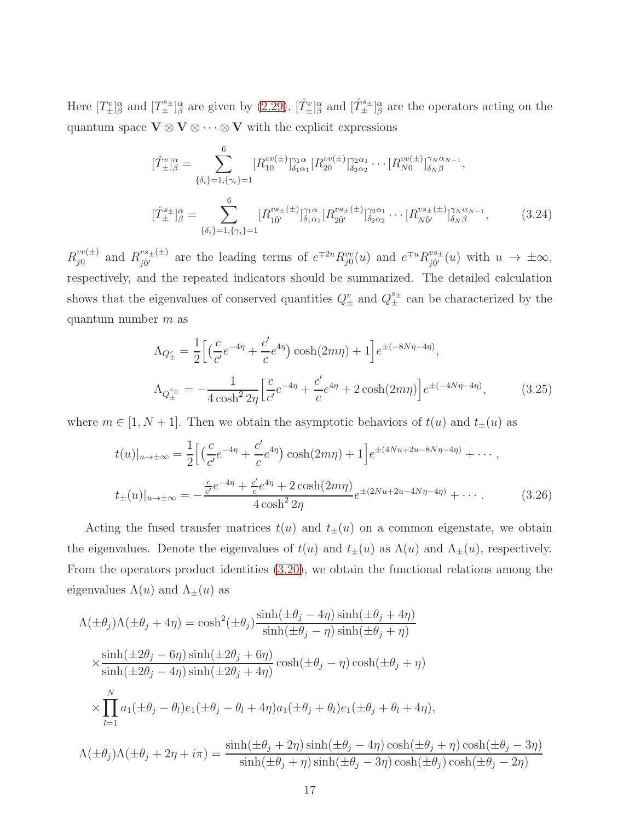Here  $[T^v_{\pm}]^{\alpha}_{\beta}$  and  $[T^{{s}_{\pm}}_{\pm}]^{\alpha}_{\beta}$  are given by [\(2.29\)](#page-7-1),  $[T^v_{\pm}]^{\alpha}_{\beta}$  and  $[T^{{s}_{\pm}}_{\pm}]^{\alpha}_{\beta}$  are the operators acting on the quantum space  $\mathbf{V} \otimes \mathbf{V} \otimes \cdots \otimes \mathbf{V}$  with the explicit expressions

$$
[\hat{T}_{\pm}^{v}]^{\alpha}_{\beta} = \sum_{\{\delta_{i}\}=1,\{\gamma_{i}\}=1}^{6} [R_{10}^{vv(\pm)}]^{\gamma_{1}\alpha}_{\delta_{1}\alpha_{1}} [R_{20}^{vv(\pm)}]^{\gamma_{2}\alpha_{1}}_{\delta_{2}\alpha_{2}} \cdots [R_{N0}^{vv(\pm)}]^{\gamma_{N}\alpha_{N-1}}_{\delta_{N}\beta},
$$

$$
[\hat{T}_{\pm}^{s\pm}]^{\alpha}_{\beta} = \sum_{\{\delta_{i}\}=1,\{\gamma_{i}\}=1}^{6} [R_{10}^{vs_{\pm}(\pm)}]^{\gamma_{1}\alpha}_{\delta_{1}\alpha_{1}} [R_{20}^{vs_{\pm}(\pm)}]^{\gamma_{2}\alpha_{1}}_{\delta_{2}\alpha_{2}} \cdots [R_{N0}^{vs_{\pm}(\pm)}]^{\gamma_{N}\alpha_{N-1}}_{\delta_{N}\beta}, \qquad (3.24)
$$

 $R_{i0}^{vv(\pm)}$  $v^{vv(\pm)}$  and  $R^{vs_{\pm}(\pm)}_{i\tilde{0}'}$  $j_{0j}^{vs_{\pm}(\pm)}$  are the leading terms of  $e^{\mp 2u}R_{j0}^{vv}(u)$  and  $e^{\mp u}R_{j0}^{vs_{\pm}}$  $j\tilde{p}^{v}_{j}$  (*u*) with  $u \to \pm \infty$ , respectively, and the repeated indicators should be summarized. The detailed calculation shows that the eigenvalues of conserved quantities  $Q^v_{\pm}$  and  $Q^{s_{\pm}}_{\pm}$  can be characterized by the quantum number  $m$  as

$$
\Lambda_{Q_{\pm}^{v}} = \frac{1}{2} \Big[ \Big( \frac{c}{c'} e^{-4\eta} + \frac{c'}{c} e^{4\eta} \Big) \cosh(2m\eta) + 1 \Big] e^{\pm (-8N\eta - 4\eta)},
$$
\n
$$
\Lambda_{Q_{\pm}^{s_{\pm}}} = -\frac{1}{4 \cosh^2 2\eta} \Big[ \frac{c}{c'} e^{-4\eta} + \frac{c'}{c} e^{4\eta} + 2 \cosh(2m\eta) \Big] e^{\pm (-4N\eta - 4\eta)}, \tag{3.25}
$$

where  $m \in [1, N + 1]$ . Then we obtain the asymptotic behaviors of  $t(u)$  and  $t_{\pm}(u)$  as

$$
t(u)|_{u \to \pm \infty} = \frac{1}{2} \Big[ \Big( \frac{c}{c'} e^{-4\eta} + \frac{c'}{c} e^{4\eta} \Big) \cosh(2m\eta) + 1 \Big] e^{\pm (4Nu + 2u - 8N\eta - 4\eta)} + \cdots ,
$$
  

$$
t_{\pm}(u)|_{u \to \pm \infty} = -\frac{\frac{c}{c'} e^{-4\eta} + \frac{c'}{c} e^{4\eta} + 2 \cosh(2m\eta)}{4 \cosh^2 2\eta} e^{\pm (2Nu + 2u - 4N\eta - 4\eta)} + \cdots . \tag{3.26}
$$

Acting the fused transfer matrices  $t(u)$  and  $t_{\pm}(u)$  on a common eigenstate, we obtain the eigenvalues. Denote the eigenvalues of  $t(u)$  and  $t_{\pm}(u)$  as  $\Lambda(u)$  and  $\Lambda_{\pm}(u)$ , respectively. From the operators product identities [\(3.20\)](#page-14-1), we obtain the functional relations among the eigenvalues  $\Lambda(u)$  and  $\Lambda_{\pm}(u)$  as

<span id="page-16-0"></span>
$$
\Lambda(\pm\theta_j)\Lambda(\pm\theta_j+4\eta) = \cosh^2(\pm\theta_j)\frac{\sinh(\pm\theta_j-4\eta)\sinh(\pm\theta_j+4\eta)}{\sinh(\pm\theta_j-\eta)\sinh(\pm\theta_j+\eta)}
$$
  

$$
\times \frac{\sinh(\pm 2\theta_j-6\eta)\sinh(\pm 2\theta_j+6\eta)}{\sinh(\pm 2\theta_j-4\eta)\sinh(\pm 2\theta_j+4\eta)}\cosh(\pm\theta_j-\eta)\cosh(\pm\theta_j+\eta)
$$
  

$$
\times \prod_{l=1}^N a_1(\pm\theta_j-\theta_l)e_1(\pm\theta_j-\theta_l+4\eta)a_1(\pm\theta_j+\theta_l)e_1(\pm\theta_j+\theta_l+4\eta),
$$
  

$$
\Lambda(\pm\theta_j)\Lambda(\pm\theta_j+2\eta+i\pi) = \frac{\sinh(\pm\theta_j+2\eta)\sinh(\pm\theta_j-4\eta)\cosh(\pm\theta_j+\eta)\cosh(\pm\theta_j-3\eta)}{\sinh(\pm\theta_j+\eta)\sinh(\pm\theta_j-3\eta)\cosh(\pm\theta_j)\cosh(\pm\theta_j-2\eta)}
$$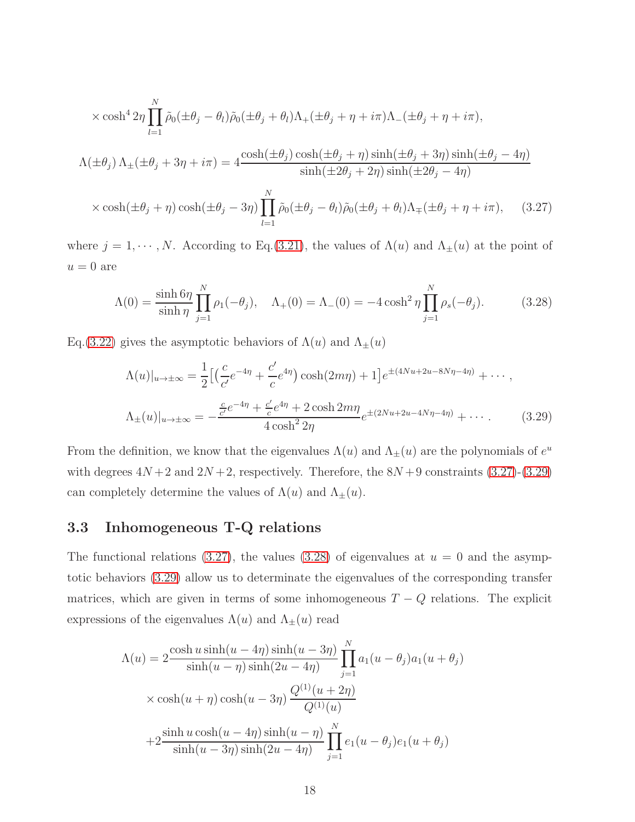$$
\times \cosh^4 2\eta \prod_{l=1}^N \tilde{\rho}_0(\pm \theta_j - \theta_l) \tilde{\rho}_0(\pm \theta_j + \theta_l) \Lambda_+(\pm \theta_j + \eta + i\pi) \Lambda_-(\pm \theta_j + \eta + i\pi),
$$
  

$$
\Lambda(\pm \theta_j) \Lambda_{\pm}(\pm \theta_j + 3\eta + i\pi) = 4 \frac{\cosh(\pm \theta_j) \cosh(\pm \theta_j + \eta) \sinh(\pm \theta_j + 3\eta) \sinh(\pm \theta_j - 4\eta)}{\sinh(\pm 2\theta_j + 2\eta) \sinh(\pm 2\theta_j - 4\eta)}
$$
  

$$
\times \cosh(\pm \theta_j + \eta) \cosh(\pm \theta_j - 3\eta) \prod_{l=1}^N \tilde{\rho}_0(\pm \theta_j - \theta_l) \tilde{\rho}_0(\pm \theta_j + \theta_l) \Lambda_{\mp}(\pm \theta_j + \eta + i\pi), \quad (3.27)
$$

where  $j = 1, \dots, N$ . According to Eq.[\(3.21\)](#page-15-0), the values of  $\Lambda(u)$  and  $\Lambda_{\pm}(u)$  at the point of  $u = 0$  are

<span id="page-17-1"></span>
$$
\Lambda(0) = \frac{\sinh 6\eta}{\sinh \eta} \prod_{j=1}^{N} \rho_1(-\theta_j), \quad \Lambda_+(0) = \Lambda_-(0) = -4 \cosh^2 \eta \prod_{j=1}^{N} \rho_s(-\theta_j). \tag{3.28}
$$

Eq.[\(3.22\)](#page-15-1) gives the asymptotic behaviors of  $\Lambda(u)$  and  $\Lambda_{\pm}(u)$ 

<span id="page-17-0"></span>
$$
\Lambda(u)|_{u \to \pm \infty} = \frac{1}{2} \left[ \left( \frac{c}{c'} e^{-4\eta} + \frac{c'}{c} e^{4\eta} \right) \cosh(2m\eta) + 1 \right] e^{\pm (4Nu + 2u - 8N\eta - 4\eta)} + \cdots ,
$$
  

$$
\Lambda_{\pm}(u)|_{u \to \pm \infty} = -\frac{\frac{c}{c'} e^{-4\eta} + \frac{c'}{c} e^{4\eta} + 2 \cosh 2m\eta}{4 \cosh^2 2\eta} e^{\pm (2Nu + 2u - 4N\eta - 4\eta)} + \cdots .
$$
 (3.29)

From the definition, we know that the eigenvalues  $\Lambda(u)$  and  $\Lambda_{\pm}(u)$  are the polynomials of  $e^u$ with degrees  $4N+2$  and  $2N+2$ , respectively. Therefore, the  $8N+9$  constraints  $(3.27)-(3.29)$  $(3.27)-(3.29)$ can completely determine the values of  $\Lambda(u)$  and  $\Lambda_{\pm}(u)$ .

#### 3.3 Inhomogeneous T-Q relations

The functional relations [\(3.27\)](#page-16-0), the values [\(3.28\)](#page-17-1) of eigenvalues at  $u = 0$  and the asymptotic behaviors [\(3.29\)](#page-17-0) allow us to determinate the eigenvalues of the corresponding transfer matrices, which are given in terms of some inhomogeneous  $T - Q$  relations. The explicit expressions of the eigenvalues  $\Lambda(u)$  and  $\Lambda_{\pm}(u)$  read

<span id="page-17-2"></span>
$$
\Lambda(u) = 2 \frac{\cosh u \sinh(u - 4\eta) \sinh(u - 3\eta)}{\sinh(u - \eta) \sinh(2u - 4\eta)} \prod_{j=1}^{N} a_1(u - \theta_j) a_1(u + \theta_j)
$$
  
 
$$
\times \cosh(u + \eta) \cosh(u - 3\eta) \frac{Q^{(1)}(u + 2\eta)}{Q^{(1)}(u)}
$$
  
+2
$$
\frac{\sinh u \cosh(u - 4\eta) \sinh(u - \eta)}{\sinh(u - 3\eta) \sinh(2u - 4\eta)} \prod_{j=1}^{N} e_1(u - \theta_j) e_1(u + \theta_j)
$$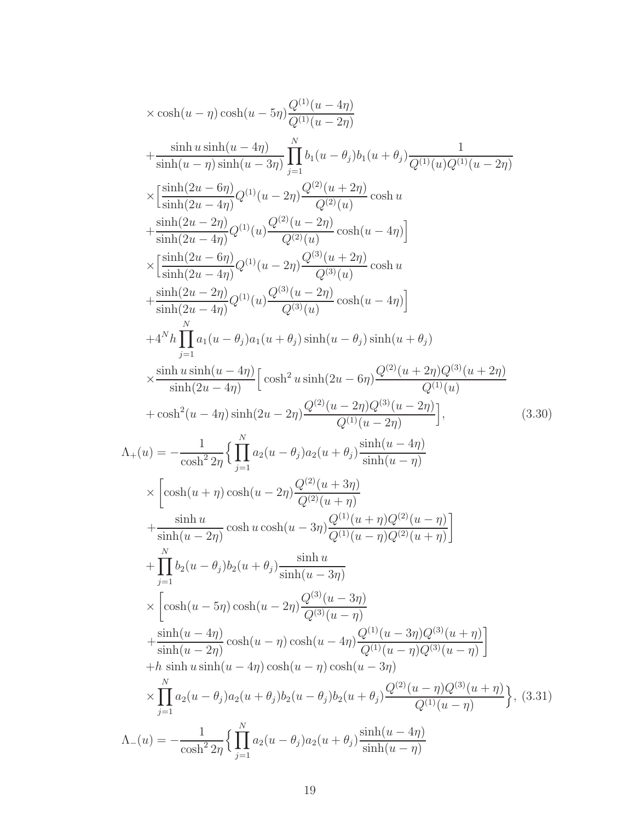$$
\times \cosh(u - \eta) \cosh(u - 5\eta) \frac{Q^{(1)}(u - 4\eta)}{Q^{(1)}(u - 2\eta)}
$$
\n
$$
+ \frac{\sinh u \sinh(u - 4\eta)}{\sinh(u - \eta) \sinh(u - 3\eta)} \prod_{j=1}^{N} b_{1}(u - \theta_{j}) b_{1}(u + \theta_{j}) \frac{1}{Q^{(1)}(u)Q^{(1)}(u - 2\eta)}
$$
\n
$$
\times \left[ \frac{\sinh(2u - 6\eta)}{\sinh(2u - 4\eta)} Q^{(1)}(u - 2\eta) \frac{Q^{(2)}(u + 2\eta)}{Q^{(2)}(u)} \cosh u + \frac{\sinh(2u - 2\eta)}{\sinh(2u - 4\eta)} Q^{(1)}(u) \frac{Q^{(2)}(u - 2\eta)}{Q^{(2)}(u)} \cosh(u - 4\eta) \right]
$$
\n
$$
\times \left[ \frac{\sinh(2u - 6\eta)}{\sinh(2u - 4\eta)} Q^{(1)}(u - 2\eta) \frac{Q^{(3)}(u - 2\eta)}{Q^{(3)}(u)} \cosh u + \frac{\sinh(2u - 2\eta)}{\sinh(2u - 4\eta)} Q^{(1)}(u - 2\eta) \frac{Q^{(3)}(u - 2\eta)}{Q^{(3)}(u)} \cosh(u - 4\eta) \right]
$$
\n
$$
+ 4^N h \prod_{j=1}^{N} a_1(u - \theta_j) a_1(u + \theta_j) \sinh(u - \theta_j) \sinh(u + \theta_j)
$$
\n
$$
\times \frac{\sinh u \sinh(u - 4\eta)}{\sinh(2u - 4\eta)} \left[ \cosh^2 u \sinh(2u - 6\eta) \frac{Q^{(2)}(u + 2\eta)Q^{(3)}(u + 2\eta)}{Q^{(1)}(u)} \right],
$$
\n
$$
+ \cosh^2(u - 4\eta) \sinh(2u - 2\eta) \frac{Q^{(2)}(u - 2\eta)Q^{(3)}(u - 2\eta)}{Q^{(1)}(u - 2\eta)} \right],
$$
\n
$$
\Lambda_{+}(u) = -\frac{1}{\cosh^2 2\eta} \left\{ \prod_{j=1}^{N} a_2(u - \
$$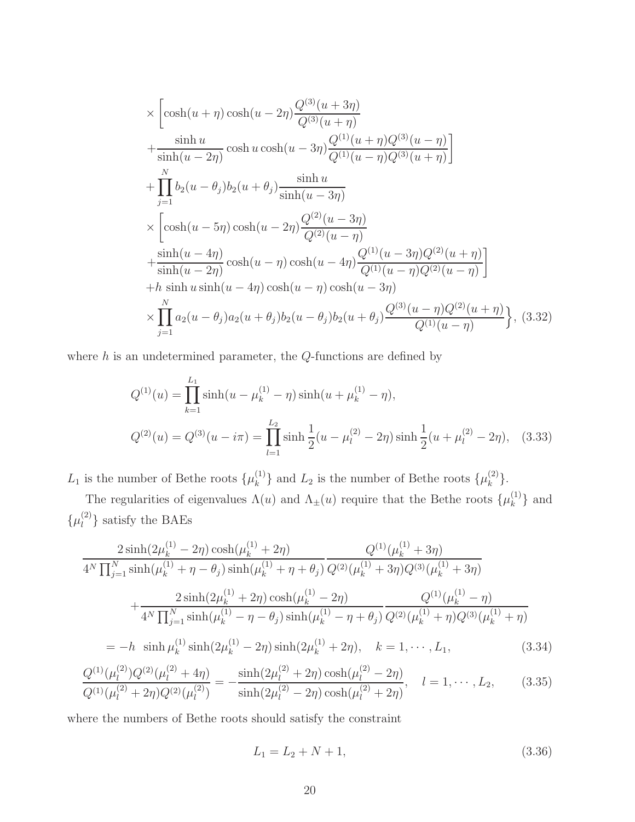$$
\times \left[\cosh(u+\eta)\cosh(u-2\eta)\frac{Q^{(3)}(u+3\eta)}{Q^{(3)}(u+\eta)} + \frac{\sinh u}{\sinh(u-2\eta)}\cosh u \cosh(u-3\eta)\frac{Q^{(1)}(u+\eta)Q^{(3)}(u-\eta)}{Q^{(1)}(u-\eta)Q^{(3)}(u+\eta)}\right] + \prod_{j=1}^{N} b_2(u-\theta_j)b_2(u+\theta_j)\frac{\sinh u}{\sinh(u-3\eta)} \times \left[\cosh(u-5\eta)\cosh(u-2\eta)\frac{Q^{(2)}(u-3\eta)}{Q^{(2)}(u-\eta)} + \frac{\sinh(u-4\eta)}{\sinh(u-2\eta)}\cosh(u-\eta)\cosh(u-4\eta)\frac{Q^{(1)}(u-3\eta)Q^{(2)}(u+\eta)}{Q^{(1)}(u-\eta)Q^{(2)}(u-\eta)}\right] + h \sinh u \sinh(u-4\eta)\cosh(u-\eta)\cosh(u-3\eta) \times \prod_{j=1}^{N} a_2(u-\theta_j)a_2(u+\theta_j)b_2(u-\theta_j)b_2(u+\theta_j)\frac{Q^{(3)}(u-\eta)Q^{(2)}(u+\eta)}{Q^{(1)}(u-\eta)}\right\}, (3.32)
$$

where  $h$  is an undetermined parameter, the  $Q$ -functions are defined by

$$
Q^{(1)}(u) = \prod_{k=1}^{L_1} \sinh(u - \mu_k^{(1)} - \eta) \sinh(u + \mu_k^{(1)} - \eta),
$$
  

$$
Q^{(2)}(u) = Q^{(3)}(u - i\pi) = \prod_{l=1}^{L_2} \sinh\frac{1}{2}(u - \mu_l^{(2)} - 2\eta) \sinh\frac{1}{2}(u + \mu_l^{(2)} - 2\eta), \quad (3.33)
$$

 $L_1$  is the number of Bethe roots  $\{\mu_k^{(1)}\}$  ${k \choose k}$  and  $L_2$  is the number of Bethe roots  $\{\mu_k^{(2)}\}$  $\begin{matrix} (2) \\ k \end{matrix}$ .

The regularities of eigenvalues  $\Lambda(u)$  and  $\Lambda_{\pm}(u)$  require that the Bethe roots  $\{\mu_k^{(1)}\}$  $\{a^{(1)}\}\$ and  $\{\mu_l^{(2)}\}$  $\binom{2}{l}$  satisfy the BAEs

<span id="page-19-0"></span>
$$
\frac{2\sinh(2\mu_k^{(1)} - 2\eta)\cosh(\mu_k^{(1)} + 2\eta)}{4^N \prod_{j=1}^N \sinh(\mu_k^{(1)} + \eta - \theta_j)\sinh(\mu_k^{(1)} + \eta + \theta_j)} \frac{Q^{(1)}(\mu_k^{(1)} + 3\eta)}{Q^{(2)}(\mu_k^{(1)} + 3\eta)Q^{(3)}(\mu_k^{(1)} + 3\eta)}
$$

$$
+\frac{2\sinh(2\mu_k^{(1)} + 2\eta)\cosh(\mu_k^{(1)} - 2\eta)}{4^N \prod_{j=1}^N \sinh(\mu_k^{(1)} - \eta - \theta_j)\sinh(\mu_k^{(1)} - \eta + \theta_j)} \frac{Q^{(1)}(\mu_k^{(1)} - \eta)}{Q^{(2)}(\mu_k^{(1)} + \eta)Q^{(3)}(\mu_k^{(1)} + \eta)}
$$

$$
= -h \sinh(\mu_k^{(1)}\sinh(2\mu_k^{(1)} - 2\eta)\sinh(2\mu_k^{(1)} + 2\eta) - h = 1 \text{ and } I.
$$
(3.34)

$$
= -h \sinh \mu_k^{(1)} \sinh(2\mu_k^{(1)} - 2\eta) \sinh(2\mu_k^{(1)} + 2\eta), \quad k = 1, \cdots, L_1,
$$
\n(3.34)

$$
\frac{Q^{(1)}(\mu_l^{(2)})Q^{(2)}(\mu_l^{(2)}+4\eta)}{Q^{(1)}(\mu_l^{(2)}+2\eta)Q^{(2)}(\mu_l^{(2)})} = -\frac{\sinh(2\mu_l^{(2)}+2\eta)\cosh(\mu_l^{(2)}-2\eta)}{\sinh(2\mu_l^{(2)}-2\eta)\cosh(\mu_l^{(2)}+2\eta)}, \quad l = 1, \cdots, L_2,
$$
\n(3.35)

where the numbers of Bethe roots should satisfy the constraint

$$
L_1 = L_2 + N + 1,\t\t(3.36)
$$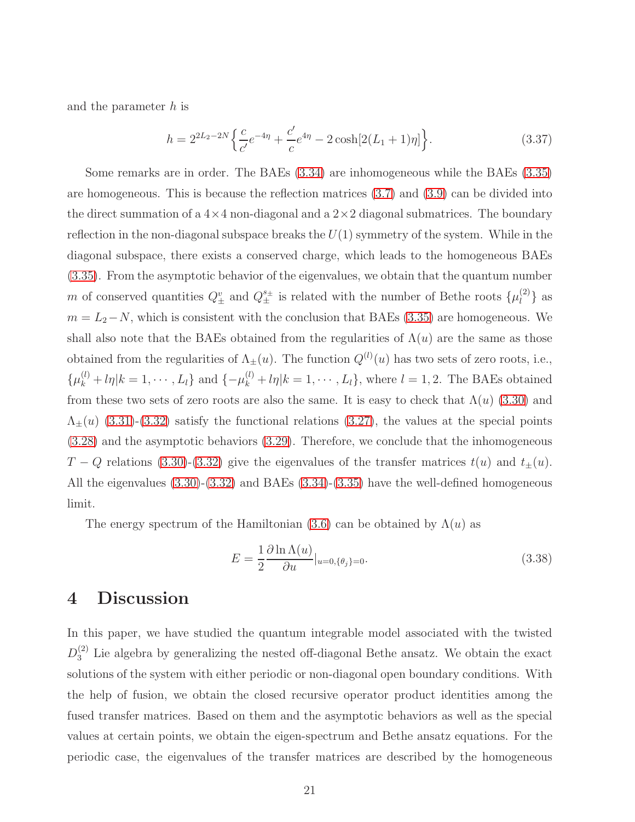and the parameter h is

$$
h = 2^{2L_2 - 2N} \left\{ \frac{c}{c'} e^{-4\eta} + \frac{c'}{c} e^{4\eta} - 2 \cosh[2(L_1 + 1)\eta] \right\}.
$$
 (3.37)

Some remarks are in order. The BAEs [\(3.34\)](#page-19-0) are inhomogeneous while the BAEs [\(3.35\)](#page-19-0) are homogeneous. This is because the reflection matrices [\(3.7\)](#page-12-0) and [\(3.9\)](#page-12-1) can be divided into the direct summation of a  $4\times4$  non-diagonal and a  $2\times2$  diagonal submatrices. The boundary reflection in the non-diagonal subspace breaks the  $U(1)$  symmetry of the system. While in the diagonal subspace, there exists a conserved charge, which leads to the homogeneous BAEs [\(3.35\)](#page-19-0). From the asymptotic behavior of the eigenvalues, we obtain that the quantum number m of conserved quantities  $Q^v_{\pm}$  and  $Q^{s_{\pm}}_{\pm}$  is related with the number of Bethe roots  $\{\mu_l^{(2)}\}$  $\begin{bmatrix} 2 \end{bmatrix}$  as  $m = L_2 - N$ , which is consistent with the conclusion that BAEs [\(3.35\)](#page-19-0) are homogeneous. We shall also note that the BAEs obtained from the regularities of  $\Lambda(u)$  are the same as those obtained from the regularities of  $\Lambda_{\pm}(u)$ . The function  $Q^{(l)}(u)$  has two sets of zero roots, i.e.,  $\{\mu_k^{(l)}+l\eta|k=1,\cdots,L_l\}$  and  $\{-\mu_k^{(l)}+l\eta|k=1,\cdots,L_l\}$ , where  $l=1,2$ . The BAEs obtained from these two sets of zero roots are also the same. It is easy to check that  $\Lambda(u)$  [\(3.30\)](#page-17-2) and  $\Lambda_{\pm}(u)$  [\(3.31\)](#page-17-2)-[\(3.32\)](#page-17-2) satisfy the functional relations [\(3.27\)](#page-16-0), the values at the special points [\(3.28\)](#page-17-1) and the asymptotic behaviors [\(3.29\)](#page-17-0). Therefore, we conclude that the inhomogeneous T − Q relations [\(3.30\)](#page-17-2)-[\(3.32\)](#page-17-2) give the eigenvalues of the transfer matrices  $t(u)$  and  $t_{\pm}(u)$ . All the eigenvalues [\(3.30\)](#page-17-2)-[\(3.32\)](#page-17-2) and BAEs [\(3.34\)](#page-19-0)-[\(3.35\)](#page-19-0) have the well-defined homogeneous limit.

The energy spectrum of the Hamiltonian [\(3.6\)](#page-11-2) can be obtained by  $\Lambda(u)$  as

$$
E = \frac{1}{2} \frac{\partial \ln \Lambda(u)}{\partial u}|_{u=0, \{\theta_j\}=0}.
$$
\n(3.38)

## 4 Discussion

In this paper, we have studied the quantum integrable model associated with the twisted  $D_3^{(2)}$  Lie algebra by generalizing the nested off-diagonal Bethe ansatz. We obtain the exact solutions of the system with either periodic or non-diagonal open boundary conditions. With the help of fusion, we obtain the closed recursive operator product identities among the fused transfer matrices. Based on them and the asymptotic behaviors as well as the special values at certain points, we obtain the eigen-spectrum and Bethe ansatz equations. For the periodic case, the eigenvalues of the transfer matrices are described by the homogeneous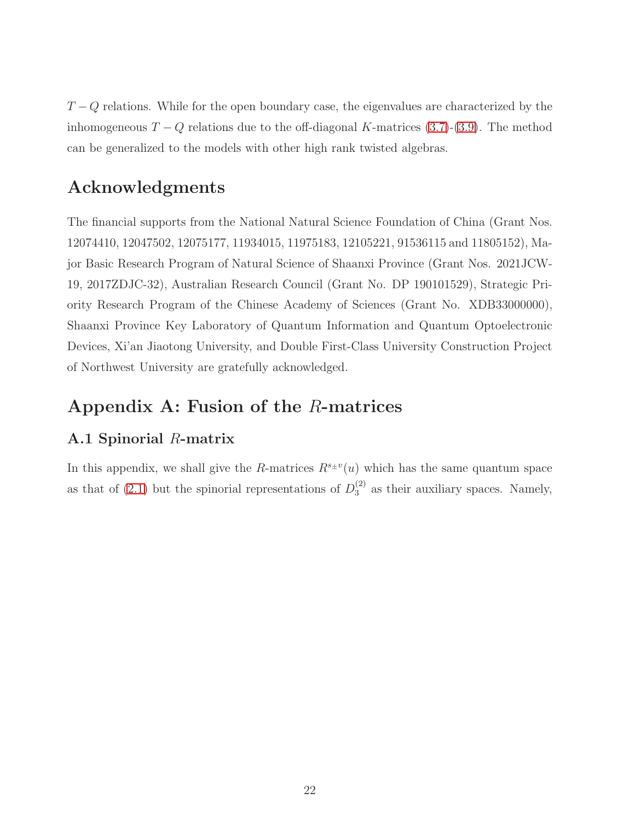$T - Q$  relations. While for the open boundary case, the eigenvalues are characterized by the inhomogeneous  $T - Q$  relations due to the off-diagonal K-matrices [\(3.7\)](#page-12-0)-[\(3.9\)](#page-12-1). The method can be generalized to the models with other high rank twisted algebras.

# Acknowledgments

The financial supports from the National Natural Science Foundation of China (Grant Nos. 12074410, 12047502, 12075177, 11934015, 11975183, 12105221, 91536115 and 11805152), Major Basic Research Program of Natural Science of Shaanxi Province (Grant Nos. 2021JCW-19, 2017ZDJC-32), Australian Research Council (Grant No. DP 190101529), Strategic Priority Research Program of the Chinese Academy of Sciences (Grant No. XDB33000000), Shaanxi Province Key Laboratory of Quantum Information and Quantum Optoelectronic Devices, Xi'an Jiaotong University, and Double First-Class University Construction Project of Northwest University are gratefully acknowledged.

# Appendix A: Fusion of the R-matrices

### A.1 Spinorial R-matrix

In this appendix, we shall give the R-matrices  $R^{s_{\pm}v}(u)$  which has the same quantum space as that of [\(2.1\)](#page-3-0) but the spinorial representations of  $D_3^{(2)}$  as their auxiliary spaces. Namely,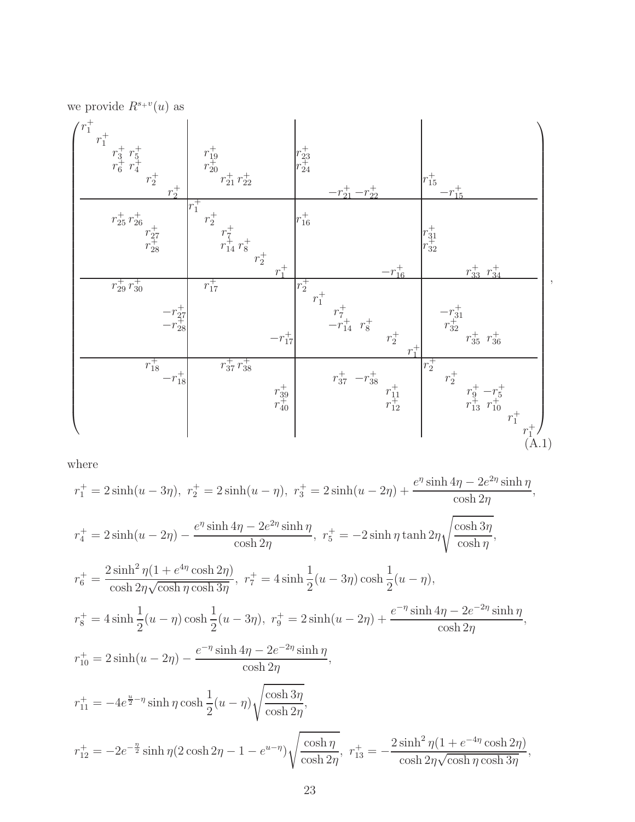we provide  $R^{s+v}(u)$  as



where

$$
r_1^+ = 2\sinh(u - 3\eta), \ r_2^+ = 2\sinh(u - \eta), \ r_3^+ = 2\sinh(u - 2\eta) + \frac{e^{\eta}\sinh 4\eta - 2e^{2\eta}\sinh \eta}{\cosh 2\eta},
$$
  
\n
$$
r_4^+ = 2\sinh(u - 2\eta) - \frac{e^{\eta}\sinh 4\eta - 2e^{2\eta}\sinh \eta}{\cosh 2\eta}, \ r_5^+ = -2\sinh \eta \tanh 2\eta \sqrt{\frac{\cosh 3\eta}{\cosh \eta}},
$$
  
\n
$$
r_6^+ = \frac{2\sinh^2 \eta (1 + e^{4\eta}\cosh 2\eta)}{\cosh 2\eta \sqrt{\cosh \eta \cosh 3\eta}}, \ r_7^+ = 4\sinh \frac{1}{2}(u - 3\eta)\cosh \frac{1}{2}(u - \eta),
$$
  
\n
$$
r_8^+ = 4\sinh \frac{1}{2}(u - \eta)\cosh \frac{1}{2}(u - 3\eta), \ r_9^+ = 2\sinh(u - 2\eta) + \frac{e^{-\eta}\sinh 4\eta - 2e^{-2\eta}\sinh \eta}{\cosh 2\eta},
$$
  
\n
$$
r_{10}^+ = 2\sinh(u - 2\eta) - \frac{e^{-\eta}\sinh 4\eta - 2e^{-2\eta}\sinh \eta}{\cosh 2\eta},
$$
  
\n
$$
r_{11}^+ = -4e^{\frac{u}{2}-\eta}\sinh \eta \cosh \frac{1}{2}(u - \eta)\sqrt{\frac{\cosh 3\eta}{\cosh 2\eta}},
$$
  
\n
$$
r_{12}^+ = -2e^{-\frac{\eta}{2}}\sinh \eta (2\cosh 2\eta - 1 - e^{u-\eta})\sqrt{\frac{\cosh \eta}{\cosh 2\eta}}, \ r_{13}^+ = -\frac{2\sinh^2 \eta (1 + e^{-4\eta}\cosh 2\eta)}{\cosh 2\eta \sqrt{\cosh \eta \cosh 3\eta}},
$$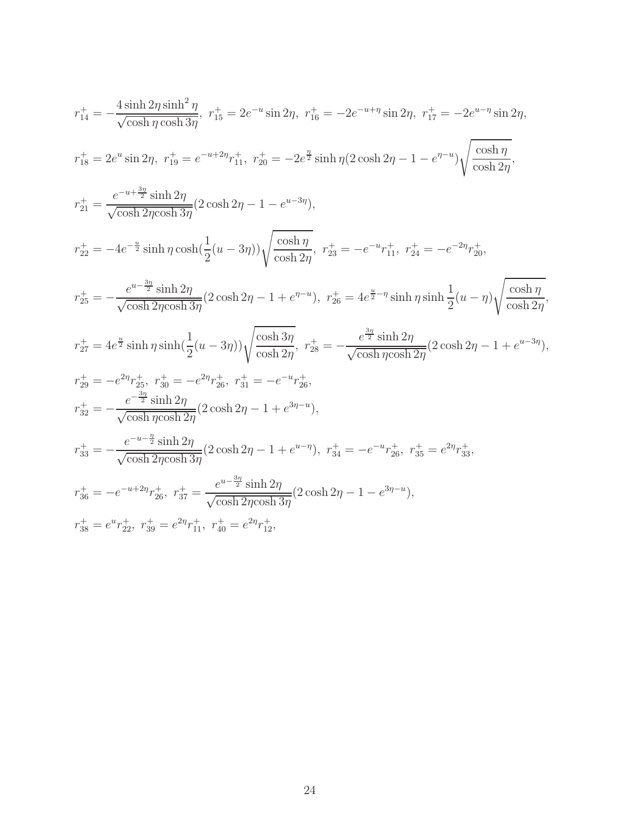$$
r_{14}^{+} = -\frac{4 \sinh 2\eta \sinh^2 \eta}{\sqrt{\cosh \eta \cosh 3\eta}}, \quad r_{15}^{+} = 2e^{-u} \sin 2\eta, \quad r_{16}^{+} = -2e^{-u+\eta} \sin 2\eta, \quad r_{17}^{+} = -2e^{u-\eta} \sin 2\eta,
$$
\n
$$
r_{18}^{+} = 2e^{u} \sin 2\eta, \quad r_{19}^{+} = e^{-u+2\eta} r_{11}^{+}, \quad r_{20}^{+} = -2e^{\frac{\eta}{2}} \sinh \eta (2 \cosh 2\eta - 1 - e^{\eta - u}) \sqrt{\frac{\cosh \eta}{\cosh 2\eta}},
$$
\n
$$
r_{21}^{+} = \frac{e^{-u+\frac{3\eta}{2}} \sinh 2\eta}{\sqrt{\cosh 2\eta \cosh 3\eta}} (2 \cosh 2\eta - 1 - e^{u-3\eta}),
$$
\n
$$
r_{22}^{+} = -4e^{-\frac{u}{2}} \sinh \eta \cosh(\frac{1}{2}(u-3\eta)) \sqrt{\frac{\cosh \eta}{\cosh 2\eta}}, \quad r_{23}^{+} = -e^{-u} r_{11}^{+}, \quad r_{24}^{+} = -e^{-2\eta} r_{20}^{+},
$$
\n
$$
r_{25}^{+} = -\frac{e^{u-\frac{3\eta}{2}} \sinh 2\eta}{\sqrt{\cosh 2\eta \cosh 3\eta}} (2 \cosh 2\eta - 1 + e^{\eta - u}), \quad r_{26}^{+} = 4e^{\frac{u}{2} - \eta} \sinh \eta \sinh \frac{1}{2}(u - \eta) \sqrt{\frac{\cosh \eta}{\cosh 2\eta}},
$$
\n
$$
r_{27}^{+} = 4e^{\frac{u}{2}} \sinh \eta \sinh(\frac{1}{2}(u-3\eta)) \sqrt{\frac{\cosh 3\eta}{\cosh 2\eta}}, \quad r_{28}^{+} = -\frac{e^{\frac{3\eta}{2}} \sinh 2\eta}{\sqrt{\cosh \eta \cosh 2\eta}} (2 \cosh 2\eta - 1 + e^{u-3\eta}),
$$
\n
$$
r_{29}^{+} = -e^{2\eta} r_{25}^{
$$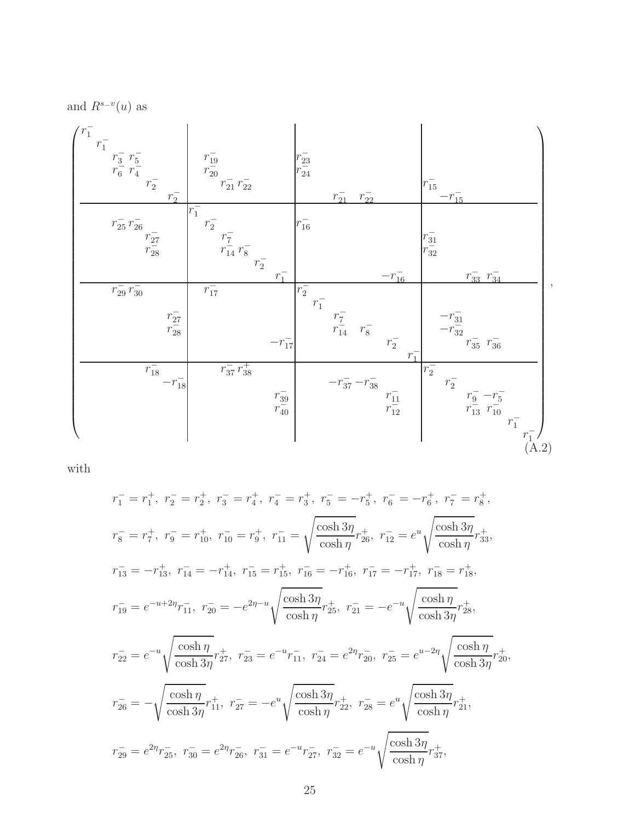and  $R^{s-v}(u)$  as

<span id="page-24-0"></span>

| $\frac{r_1}{r_1}$<br>$\frac{r_3^-}{r_6^-}\frac{r_5^-}{r_4^-}$<br>$r_2^-$<br>$r_2^-$     | $\frac{r_{19}^-}{r_{20}^-}$<br>$\frac{r_{21}^-}{r_{21}^-}$ $\frac{r_{22}^-}{r_{22}^-}$ |                                                             | $r_{23}^{-}$<br>$r_{24}^{-}$ | $r_{21}^-$                       | $r_{22}^{-}$ |                                      | $r_{15}^-$<br>$-r_{15}^{-}$                                                                                                                                                                            |  |
|-----------------------------------------------------------------------------------------|----------------------------------------------------------------------------------------|-------------------------------------------------------------|------------------------------|----------------------------------|--------------|--------------------------------------|--------------------------------------------------------------------------------------------------------------------------------------------------------------------------------------------------------|--|
| $r_{25}^{-} r_{26}^{-}$<br>$\frac{r_{27}^-}{r_{28}^-}$                                  | $r_1^-$<br>$\frac{r_2^+}{r_1}$ $\frac{r_7^-}{r_{14}^-}$ $r_8^-$<br>$r_2^-$             | $r_1^-$                                                     | $r_{16}^-$                   |                                  |              | $-r_{16}^{-}$                        | $r_{31}^{-}$<br>$r_{32}^{-}$<br>$r_{33}^ r_{34}^-$                                                                                                                                                     |  |
| $\frac{1}{r_{29}}\frac{1}{r_{30}}$<br>$\begin{matrix} r_{27}^- \ r_{28}^- \end{matrix}$ | $r_{17}^-$                                                                             | $-r_{17}^-$                                                 | $r_2^-$<br>$r_1^-$           | $\frac{r_7^-}{r_{14}^-}$ $r_8^-$ |              | $r_2^-$<br>$r_1^-$                   | $-r_{31}^{-}$<br>- $r_{32}^{-}$<br>$r_{35}^{-}$ $r_{36}^{-}$<br>-                                                                                                                                      |  |
| $\frac{1}{r_{18}^{-}}$<br>- $r_{18}^{-}$                                                | $r_{37}^ r_{38}^+$                                                                     | $\begin{matrix} r\frac{39}{2} \ r\frac{1}{40} \end{matrix}$ |                              | $-r_{37}^--r_{38}^--\,$          |              | $r_{\overline{11}}^- \over r_{12}^-$ | $r_2^-$<br>$r_2^-$<br>$\begin{array}{rl} r_9^- \!\!\!&\textcolor{red}{-}\!\!\!r_5^- \\ \hline r_{13}^- \!\!\!&\textcolor{red}{-}\!\!\!r_{10}^- \end{array}$<br>$r_1^-$<br>$\frac{r_1^-}{\text{(A.2)}}$ |  |

with

$$
r_1^- = r_1^+, r_2^- = r_2^+, r_3^- = r_4^+, r_4^- = r_3^+, r_5^- = -r_5^+, r_6^- = -r_6^+, r_7^- = r_8^+,
$$
  
\n
$$
r_8^- = r_7^+, r_9^- = r_{10}^+, r_{10}^- = r_9^+, r_{11}^- = \sqrt{\frac{\cosh 3\eta}{\cosh \eta}} r_{26}^+, r_{12}^- = e^u \sqrt{\frac{\cosh 3\eta}{\cosh \eta}} r_{33}^+,
$$
  
\n
$$
r_{13}^- = -r_{13}^+, r_{14}^- = -r_{14}^+, r_{15}^- = r_{15}^+, r_{16}^- = -r_{16}^+, r_{17}^- = -r_{17}^+, r_{18}^- = r_{18}^+,
$$
  
\n
$$
r_{19}^- = e^{-u+2\eta} r_{11}^-, r_{20}^- = -e^{2\eta-u} \sqrt{\frac{\cosh 3\eta}{\cosh \eta}} r_{25}^+, r_{21}^- = -e^{-u} \sqrt{\frac{\cosh \eta}{\cosh 3\eta}} r_{28}^+,
$$
  
\n
$$
r_{22}^- = e^{-u} \sqrt{\frac{\cosh \eta}{\cosh 3\eta}} r_{27}^+, r_{23}^- = e^{-u} r_{11}^-, r_{24}^- = e^{2\eta} r_{20}^-, r_{25}^- = e^{u-2\eta} \sqrt{\frac{\cosh \eta}{\cosh 3\eta}} r_{20}^+,
$$
  
\n
$$
r_{26}^- = -\sqrt{\frac{\cosh \eta}{\cosh 3\eta}} r_{11}^+, r_{27}^- = -e^u \sqrt{\frac{\cosh 3\eta}{\cosh \eta}} r_{22}^+, r_{28}^- = e^u \sqrt{\frac{\cosh 3\eta}{\cosh \eta}} r_{21}^+,
$$
  
\n
$$
r_{29}^- = e^{2\eta} r_{25}^-, r_{30}^- = e^{2\eta} r_{26}^-, r_{31}^- = e^{-u} r_{27}^-, r_{32}^- = e^{-u} \sqrt{\frac{\cosh 3\eta}{\cosh \eta}} r_{37}^+,
$$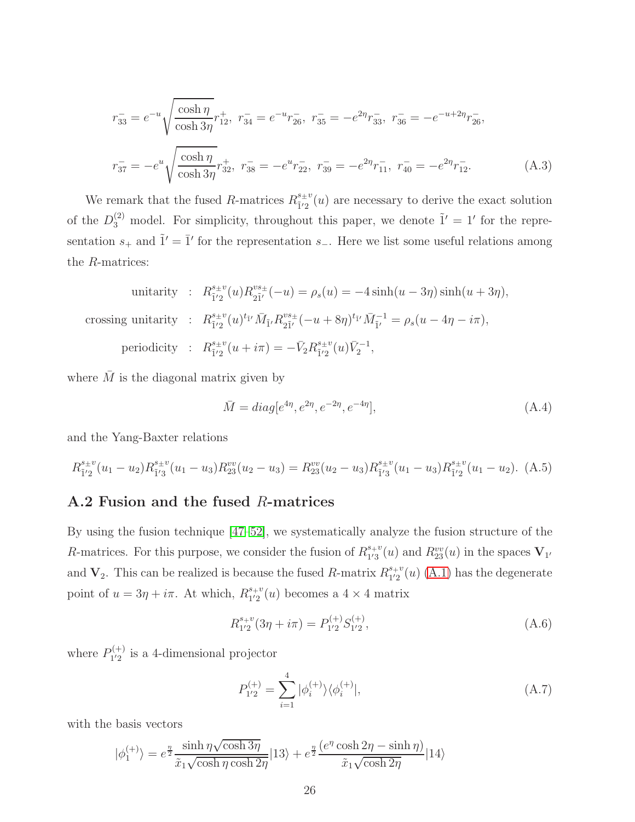$$
\overline{r}_{33}^- = e^{-u} \sqrt{\frac{\cosh \eta}{\cosh 3\eta}} r_{12}^+, \ \overline{r}_{34}^- = e^{-u} \overline{r}_{26}^-, \ \overline{r}_{35}^- = -e^{2\eta} \overline{r}_{33}^-, \ \overline{r}_{36}^- = -e^{-u+2\eta} \overline{r}_{26}^-,
$$
\n
$$
\overline{r}_{37}^- = -e^u \sqrt{\frac{\cosh \eta}{\cosh 3\eta}} \overline{r}_{32}^+, \ \overline{r}_{38}^- = -e^u \overline{r}_{22}^-, \ \overline{r}_{39}^- = -e^{2\eta} \overline{r}_{11}^-, \ \overline{r}_{40}^- = -e^{2\eta} \overline{r}_{12}^-.
$$
\n(A.3)

We remark that the fused R-matrices  $R_{1/2}^{s_{\pm}v}$  $\frac{s+v}{r^2}(u)$  are necessary to derive the exact solution of the  $D_3^{(2)}$  model. For simplicity, throughout this paper, we denote  $\tilde{1}' = 1'$  for the representation  $s_+$  and  $\tilde{1}' = \overline{1}'$  for the representation  $s_-$ . Here we list some useful relations among the R-matrices:

unitarity : 
$$
R_{\tilde{1}'2}^{s_{\pm}v}(u)R_{2\tilde{1}'}^{vs_{\pm}}(-u) = \rho_s(u) = -4\sinh(u - 3\eta)\sinh(u + 3\eta),
$$
  
crossing unitarity :  $R_{\tilde{1}'2}^{s_{\pm}v}(u)^{t_{\tilde{1}'}}\bar{M}_{\tilde{1}'}R_{2\tilde{1}'}^{vs_{\pm}}(-u + 8\eta)^{t_{\tilde{1}'}}\bar{M}_{\tilde{1}'}^{-1} = \rho_s(u - 4\eta - i\pi),$   
periodicity :  $R_{\tilde{1}'2}^{s_{\pm}v}(u + i\pi) = -\bar{V}_2R_{\tilde{1}'2}^{s_{\pm}v}(u)\bar{V}_2^{-1},$ 

where  $\overline{M}$  is the diagonal matrix given by

$$
\bar{M} = diag[e^{4\eta}, e^{2\eta}, e^{-2\eta}, e^{-4\eta}], \qquad (A.4)
$$

and the Yang-Baxter relations

$$
R_{\tilde{1}'2}^{s_{\pm}v}(u_1-u_2)R_{\tilde{1}'3}^{s_{\pm}v}(u_1-u_3)R_{23}^{vv}(u_2-u_3) = R_{23}^{vv}(u_2-u_3)R_{\tilde{1}'3}^{s_{\pm}v}(u_1-u_3)R_{\tilde{1}'2}^{s_{\pm}v}(u_1-u_2). \tag{A.5}
$$

#### A.2 Fusion and the fused R-matrices

By using the fusion technique [\[47](#page-38-9)[–52\]](#page-39-0), we systematically analyze the fusion structure of the R-matrices. For this purpose, we consider the fusion of  $R_{1/3}^{s+v}$  $t_{1/3}^{s+v}(u)$  and  $R_{23}^{vv}(u)$  in the spaces  $V_{1'}$ and  $V_2$ . This can be realized is because the fused R-matrix  $R_{12}^{s+v}$  $i_{12}^{s+v}(u)$  [\(A.1\)](#page-32-0) has the degenerate point of  $u = 3\eta + i\pi$ . At which,  $R_{1/2}^{s+v}$  $i_{12}^{s+v}(u)$  becomes a  $4 \times 4$  matrix

$$
R_{1'2}^{s_{+}v}(3\eta + i\pi) = P_{1'2}^{(+)}S_{1'2}^{(+)},\tag{A.6}
$$

where  $P_{1'2}^{(+)}$  $j_{12}^{(+)}$  is a 4-dimensional projector

$$
P_{1'2}^{(+)} = \sum_{i=1}^{4} |\phi_i^{(+)}\rangle\langle\phi_i^{(+)}|,\tag{A.7}
$$

with the basis vectors

$$
|\phi_1^{(+)}\rangle = e^{\frac{\eta}{2}} \frac{\sinh\eta \sqrt{\cosh 3\eta}}{\tilde{x}_1\sqrt{\cosh\eta\cosh 2\eta}} |13\rangle + e^{\frac{\eta}{2}} \frac{(e^{\eta}\cosh 2\eta - \sinh \eta)}{\tilde{x}_1\sqrt{\cosh 2\eta}} |14\rangle
$$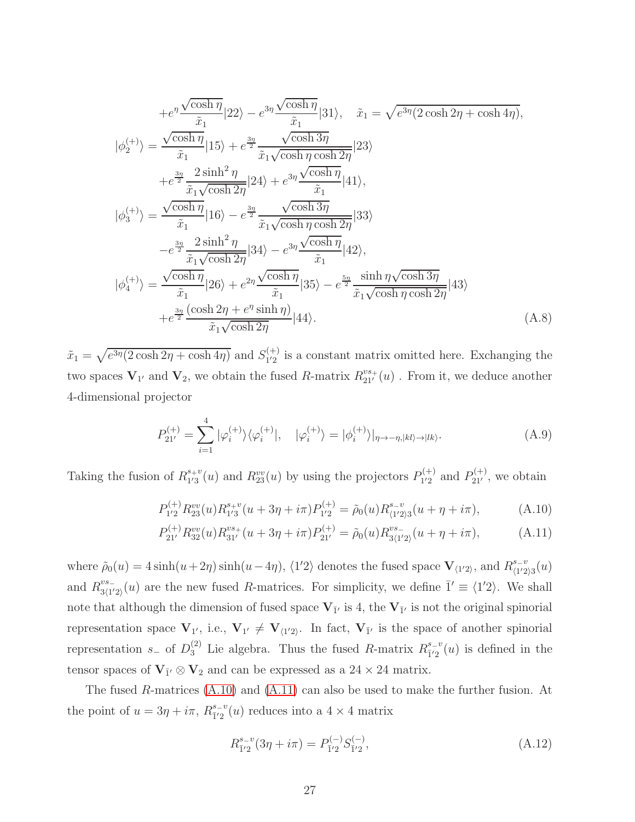$$
+e^{\eta} \frac{\sqrt{\cosh \eta}}{\tilde{x}_1} |22\rangle - e^{3\eta} \frac{\sqrt{\cosh \eta}}{\tilde{x}_1} |31\rangle, \quad \tilde{x}_1 = \sqrt{e^{3\eta}(2\cosh 2\eta + \cosh 4\eta)},
$$
  
\n
$$
|\phi_2^{(+)}\rangle = \frac{\sqrt{\cosh \eta}}{\tilde{x}_1} |15\rangle + e^{\frac{3\eta}{2}} \frac{\sqrt{\cosh 3\eta}}{\tilde{x}_1 \sqrt{\cosh \eta \cosh 2\eta}} |23\rangle
$$
  
\n
$$
+ e^{\frac{3\eta}{2}} \frac{2\sinh^2 \eta}{\tilde{x}_1 \sqrt{\cosh 2\eta}} |24\rangle + e^{3\eta} \frac{\sqrt{\cosh \eta}}{\tilde{x}_1} |41\rangle,
$$
  
\n
$$
|\phi_3^{(+)}\rangle = \frac{\sqrt{\cosh \eta}}{\tilde{x}_1} |16\rangle - e^{\frac{3\eta}{2}} \frac{\sqrt{\cosh 3\eta}}{\tilde{x}_1 \sqrt{\cosh \eta \cosh 2\eta}} |33\rangle
$$
  
\n
$$
- e^{\frac{3\eta}{2}} \frac{2\sinh^2 \eta}{\tilde{x}_1 \sqrt{\cosh 2\eta}} |34\rangle - e^{3\eta} \frac{\sqrt{\cosh \eta}}{\tilde{x}_1} |42\rangle,
$$
  
\n
$$
|\phi_4^{(+)}\rangle = \frac{\sqrt{\cosh \eta}}{\tilde{x}_1} |26\rangle + e^{2\eta} \frac{\sqrt{\cosh \eta}}{\tilde{x}_1} |35\rangle - e^{\frac{5\eta}{2}} \frac{\sinh \eta \sqrt{\cosh 3\eta}}{\tilde{x}_1 \sqrt{\cosh \eta \cosh 2\eta}} |43\rangle
$$
  
\n
$$
+ e^{\frac{3\eta}{2}} \frac{(\cosh 2\eta + e^{\eta} \sinh \eta)}{\tilde{x}_1 \sqrt{\cosh 2\eta}} |44\rangle.
$$
 (A.8)

 $\tilde{x}_1 = \sqrt{e^{3\eta}(2\cosh 2\eta + \cosh 4\eta)}$  and  $S_{1/2}^{(+)}$  $_{12}^{(+)}$  is a constant matrix omitted here. Exchanging the two spaces  $V_{1'}$  and  $V_2$ , we obtain the fused R-matrix  $R_{21'}^{vs+}(u)$ . From it, we deduce another 4-dimensional projector

$$
P_{21'}^{(+)} = \sum_{i=1}^{4} |\varphi_i^{(+)}\rangle\langle\varphi_i^{(+)}|, \quad |\varphi_i^{(+)}\rangle = |\phi_i^{(+)}\rangle|_{\eta \to -\eta, |kl\rangle \to |lk\rangle}.
$$
 (A.9)

Taking the fusion of  $R_{1/3}^{s+v}$  $t_1^{s+v}(u)$  and  $R_{23}^{vv}(u)$  by using the projectors  $P_{1'2}^{(+)}$  $P_{1'2}^{(+)}$  and  $P_{21'}^{(+)}$ , we obtain

<span id="page-26-0"></span>
$$
P_{1'2}^{(+)} R_{23}^{vv}(u) R_{1'3}^{s+v}(u+3\eta+i\pi) P_{1'2}^{(+)} = \tilde{\rho}_0(u) R_{\langle 1'2\rangle 3}^{s-v}(u+\eta+i\pi), \tag{A.10}
$$

$$
P_{21'}^{(+)}R_{32}^{vv}(u)R_{31'}^{vs+}(u+3\eta+i\pi)P_{21'}^{(+)} = \tilde{\rho}_0(u)R_{3\langle 1'2\rangle}^{vs-}(u+\eta+i\pi),\tag{A.11}
$$

where  $\tilde{\rho}_0(u) = 4 \sinh(u + 2\eta) \sinh(u - 4\eta)$ ,  $\langle 1'2 \rangle$  denotes the fused space  $\mathbf{V}_{\langle 1'2 \rangle}$ , and  $R_{\langle 1'2 \rangle}^{s-v}$  $\frac{s-v}{\langle 1'2\rangle 3}(u)$ and  $R^{vs-}_{3/1'}$  $\frac{v_{s-1}}{3\langle 1'2 \rangle}(u)$  are the new fused R-matrices. For simplicity, we define  $\bar{1}' \equiv \langle 1'2 \rangle$ . We shall note that although the dimension of fused space  $V_{\bar{1}'}$  is 4, the  $V_{\bar{1}'}$  is not the original spinorial representation space  $V_{1'}$ , i.e.,  $V_{1'} \neq V_{\langle 1'2 \rangle}$ . In fact,  $V_{\bar{1}'}$  is the space of another spinorial representation  $s_-$  of  $D_3^{(2)}$  Lie algebra. Thus the fused R-matrix  $R_{\bar{1}'2}^{s_-v}$  $\frac{s-v}{1^2}(u)$  is defined in the tensor spaces of  $V_{\bar{1}'} \otimes V_2$  and can be expressed as a 24 × 24 matrix.

The fused R-matrices [\(A.10\)](#page-26-0) and [\(A.11\)](#page-26-0) can also be used to make the further fusion. At the point of  $u = 3\eta + i\pi$ ,  $R_{\overline{1}^{1/2}}^{s-v}$  $\frac{s-v}{12}(u)$  reduces into a  $4 \times 4$  matrix

$$
R_{\bar{1}'2}^{s_v}(3\eta + i\pi) = P_{\bar{1}'2}^{(-)} S_{\bar{1}'2}^{(-)}, \tag{A.12}
$$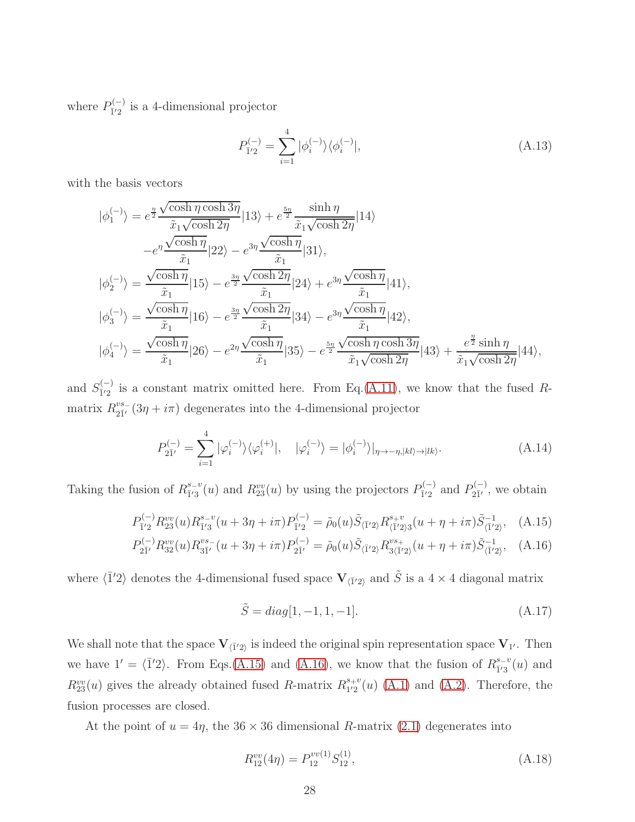where  $P_{\bar{1}'2}^{(-)}$  $\frac{1}{1}\left(2\right)$  is a 4-dimensional projector

$$
P_{\bar{1}'2}^{(-)} = \sum_{i=1}^{4} |\phi_i^{(-)}\rangle\langle\phi_i^{(-)}|,\tag{A.13}
$$

with the basis vectors

$$
|\phi_1^{(-)}\rangle = e^{\frac{\eta}{2}} \frac{\sqrt{\cosh \eta \cosh 3\eta}}{\tilde{x}_1 \sqrt{\cosh 2\eta}} |13\rangle + e^{\frac{5\eta}{2}} \frac{\sinh \eta}{\tilde{x}_1 \sqrt{\cosh 2\eta}} |14\rangle
$$
  
\n
$$
-e^{\eta} \frac{\sqrt{\cosh \eta}}{\tilde{x}_1} |22\rangle - e^{3\eta} \frac{\sqrt{\cosh \eta}}{\tilde{x}_1} |31\rangle,
$$
  
\n
$$
|\phi_2^{(-)}\rangle = \frac{\sqrt{\cosh \eta}}{\tilde{x}_1} |15\rangle - e^{\frac{3\eta}{2}} \frac{\sqrt{\cosh 2\eta}}{\tilde{x}_1} |24\rangle + e^{3\eta} \frac{\sqrt{\cosh \eta}}{\tilde{x}_1} |41\rangle,
$$
  
\n
$$
|\phi_3^{(-)}\rangle = \frac{\sqrt{\cosh \eta}}{\tilde{x}_1} |16\rangle - e^{\frac{3\eta}{2}} \frac{\sqrt{\cosh 2\eta}}{\tilde{x}_1} |34\rangle - e^{3\eta} \frac{\sqrt{\cosh \eta}}{\tilde{x}_1} |42\rangle,
$$
  
\n
$$
|\phi_4^{(-)}\rangle = \frac{\sqrt{\cosh \eta}}{\tilde{x}_1} |26\rangle - e^{2\eta} \frac{\sqrt{\cosh \eta}}{\tilde{x}_1} |35\rangle - e^{\frac{5\eta}{2}} \frac{\sqrt{\cosh \eta \cosh 3\eta}}{\tilde{x}_1 \sqrt{\cosh 2\eta}} |43\rangle + \frac{e^{\frac{\eta}{2}} \sinh \eta}{\tilde{x}_1 \sqrt{\cosh 2\eta}} |44\rangle,
$$

and  $S_{\bar{1}'2}^{(-)}$  $\frac{1}{12}$  is a constant matrix omitted here. From Eq.[\(A.11\)](#page-26-0), we know that the fused Rmatrix  $R^{vs-}_{2\bar{1}'}$  $\frac{v_{s-}}{2I'}(3\eta + i\pi)$  degenerates into the 4-dimensional projector

$$
P_{2\bar{1}'}^{(-)} = \sum_{i=1}^{4} |\varphi_i^{(-)}\rangle\langle\varphi_i^{(+)}|, \quad |\varphi_i^{(-)}\rangle = |\phi_i^{(-)}\rangle|_{\eta \to -\eta, |kl\rangle \to |lk\rangle}.
$$
 (A.14)

Taking the fusion of  $R_{\bar{1}'3}^{s=v}$  $\frac{s-v}{\tilde{l}'3}(u)$  and  $R_{23}^{vv}(u)$  by using the projectors  $P_{\tilde{l}'2}^{(-)}$  $P_{\bar{1}'2}^{(-)}$  and  $P_{2\bar{1}'}^{(-)}$  $\sum_{2\bar{1}'}^{2\bar{1}'}$ , we obtain

$$
P_{\bar{1}'2}^{(-)} R_{23}^{vv}(u) R_{\bar{1}'3}^{s-v}(u+3\eta+i\pi) P_{\bar{1}'2}^{(-)} = \tilde{\rho}_0(u) \tilde{S}_{\langle \bar{1}'2 \rangle} R_{\langle \bar{1}'2 \rangle 3}^{s+v}(u+\eta+i\pi) \tilde{S}_{\langle \bar{1}'2 \rangle}^{-1}, \quad (A.15)
$$

$$
P_{2\bar{1}'}^{(-)}R_{32}^{vv}(u)R_{3\bar{1}'}^{vs.}(u+3\eta+i\pi)P_{2\bar{1}'}^{(-)} = \tilde{\rho}_0(u)\tilde{S}_{\langle \bar{1}'2\rangle}R_{3\langle \bar{1}'2\rangle}^{vs.}(u+\eta+i\pi)\tilde{S}_{\langle \bar{1}'2\rangle}^{-1}, \quad (A.16)
$$

where  $\langle \overline{1}'2 \rangle$  denotes the 4-dimensional fused space  ${\bf V}_{\langle \overline{1}'2 \rangle}$  and  $\tilde{S}$  is a 4 × 4 diagonal matrix

$$
\tilde{S} = diag[1, -1, 1, -1].
$$
\n(A.17)

We shall note that the space  $V_{\langle I'2 \rangle}$  is indeed the original spin representation space  $V_{1'}$ . Then we have  $1' = \langle \overline{1}'2 \rangle$ . From Eqs.[\(A.15\)](#page-34-1) and [\(A.16\)](#page-34-1), we know that the fusion of  $R_{\overline{1}'3}^{s-v}$  $\frac{s}{1}^{s-v}(u)$  and  $R_{23}^{vv}(u)$  gives the already obtained fused R-matrix  $R_{1'2}^{s+v}$  $_{1'2}^{s+v}(u)$  [\(A.1\)](#page-32-0) and [\(A.2\)](#page-24-0). Therefore, the fusion processes are closed.

At the point of  $u = 4\eta$ , the 36 × 36 dimensional R-matrix [\(2.1\)](#page-3-0) degenerates into

$$
R_{12}^{vv}(4\eta) = P_{12}^{vv(1)} S_{12}^{(1)}, \tag{A.18}
$$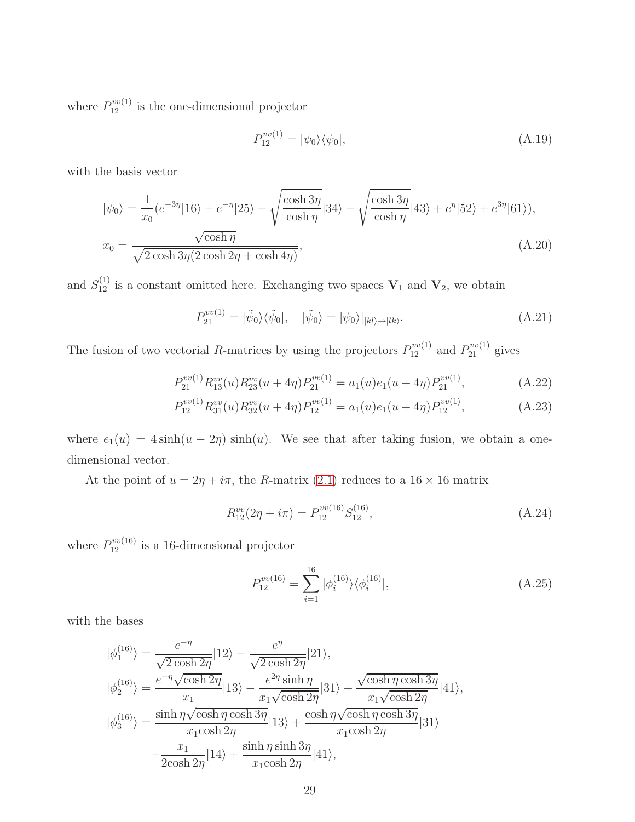where  $P_{12}^{vv(1)}$  is the one-dimensional projector

<span id="page-28-3"></span>
$$
P_{12}^{vv(1)} = |\psi_0\rangle\langle\psi_0|,\tag{A.19}
$$

with the basis vector

$$
|\psi_0\rangle = \frac{1}{x_0} (e^{-3\eta} |16\rangle + e^{-\eta} |25\rangle - \sqrt{\frac{\cosh 3\eta}{\cosh \eta}} |34\rangle - \sqrt{\frac{\cosh 3\eta}{\cosh \eta}} |43\rangle + e^{\eta} |52\rangle + e^{3\eta} |61\rangle),
$$
  

$$
x_0 = \frac{\sqrt{\cosh \eta}}{\sqrt{2 \cosh 3\eta (2 \cosh 2\eta + \cosh 4\eta)}},
$$
 (A.20)

and  $S_{12}^{(1)}$  is a constant omitted here. Exchanging two spaces  $V_1$  and  $V_2$ , we obtain

<span id="page-28-0"></span>
$$
P_{21}^{vv(1)} = |\tilde{\psi}_0\rangle\langle\tilde{\psi}_0|, \quad |\tilde{\psi}_0\rangle = |\psi_0\rangle|_{|kl\rangle \to |lk\rangle}.
$$
\n(A.21)

The fusion of two vectorial R-matrices by using the projectors  $P_{12}^{vv(1)}$  and  $P_{21}^{vv(1)}$  gives

<span id="page-28-2"></span>
$$
P_{21}^{vv(1)}R_{13}^{vv}(u)R_{23}^{vv}(u+4\eta)P_{21}^{vv(1)} = a_1(u)e_1(u+4\eta)P_{21}^{vv(1)},
$$
\n(A.22)

$$
P_{12}^{vv(1)} R_{31}^{vv}(u) R_{32}^{vv}(u+4\eta) P_{12}^{vv(1)} = a_1(u)e_1(u+4\eta) P_{12}^{vv(1)}, \tag{A.23}
$$

where  $e_1(u) = 4 \sinh(u - 2\eta) \sinh(u)$ . We see that after taking fusion, we obtain a onedimensional vector.

At the point of  $u = 2\eta + i\pi$ , the R-matrix [\(2.1\)](#page-3-0) reduces to a  $16 \times 16$  matrix

$$
R_{12}^{vv}(2\eta + i\pi) = P_{12}^{vv(16)} S_{12}^{(16)}, \tag{A.24}
$$

where  $P_{12}^{vv(16)}$  is a 16-dimensional projector

<span id="page-28-1"></span>
$$
P_{12}^{vv(16)} = \sum_{i=1}^{16} |\phi_i^{(16)}\rangle\langle\phi_i^{(16)}|,\tag{A.25}
$$

with the bases

$$
|\phi_1^{(16)}\rangle = \frac{e^{-\eta}}{\sqrt{2\cosh 2\eta}}|12\rangle - \frac{e^{\eta}}{\sqrt{2\cosh 2\eta}}|21\rangle,
$$
  
\n
$$
|\phi_2^{(16)}\rangle = \frac{e^{-\eta}\sqrt{\cosh 2\eta}}{x_1}|13\rangle - \frac{e^{2\eta}\sinh \eta}{x_1\sqrt{\cosh 2\eta}}|31\rangle + \frac{\sqrt{\cosh \eta \cosh 3\eta}}{x_1\sqrt{\cosh 2\eta}}|41\rangle,
$$
  
\n
$$
|\phi_3^{(16)}\rangle = \frac{\sinh \eta\sqrt{\cosh \eta \cosh 3\eta}}{x_1 \cosh 2\eta}|13\rangle + \frac{\cosh \eta\sqrt{\cosh \eta \cosh 3\eta}}{x_1 \cosh 2\eta}|31\rangle
$$
  
\n
$$
+\frac{x_1}{2\cosh 2\eta}|14\rangle + \frac{\sinh \eta \sinh 3\eta}{x_1 \cosh 2\eta}|41\rangle,
$$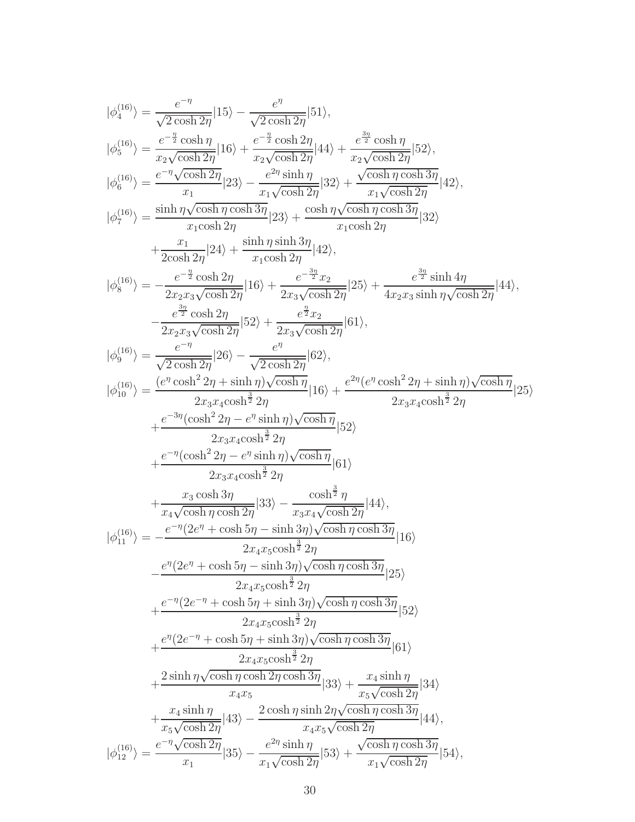$$
\begin{split} |\phi_{4}^{(16)}\rangle&=\frac{e^{-\eta}}{\sqrt{2\cosh 2\eta}}|15\rangle-\frac{e^{\eta}}{\sqrt{2\cosh 2\eta}}|51\rangle,\\ |\phi_{5}^{(16)}\rangle&=\frac{e^{-\frac{\eta}{2}\cosh\eta}}{x\sqrt{\cosh 2\eta}}|16\rangle+\frac{e^{-\frac{\eta}{2}\cosh 2\eta}}{x\sqrt{\cosh 2\eta}}|44\rangle+\frac{e^{\frac{3\eta}{2}\cosh\eta}}{x\sqrt{\cosh 2\eta}}|52\rangle,\\ |\phi_{6}^{(16)}\rangle&=\frac{e^{-\eta}\sqrt{\cosh 2\eta}}{x_{1}}|23\rangle-\frac{e^{2\eta}\sinh \eta}{x_{1}\sqrt{\cosh 2\eta}}|32\rangle+\frac{\sqrt{\cosh \eta\cosh 3\eta}}{x_{1}\sqrt{\cosh 2\eta}}|42\rangle,\\ |\phi_{7}^{(16)}\rangle&=\frac{\sinh \eta\sqrt{\cosh \eta\cosh 3\eta}}{x_{1}\cosh 2\eta}|23\rangle+\frac{\cosh \eta\sqrt{\cosh \eta\cosh 3\eta}}{x_{1}\cosh 2\eta}|32\rangle\\ +\frac{e^{-\eta}}{2\cosh 2\eta}|24\rangle+\frac{\sinh \eta\sinh 3\eta}{x_{1}\cosh 2\eta}|42\rangle,\\ |\phi_{8}^{(16)}\rangle&=-\frac{e^{-\frac{\eta}{2}\cosh 2\eta}}{2x_{2}\sqrt{\cosh 2\eta}}|16\rangle+\frac{e^{-\frac{3\eta}{2}\eta}}{2x_{3}\sqrt{\cosh 2\eta}}|25\rangle+\frac{e^{\frac{3\eta}{2}\sinh 4\eta}}{4x_{2}\sqrt{\cosh 2\eta}}|44\rangle,\\ |\phi_{8}^{(16)}\rangle&=\frac{e^{-\eta}\cosh 2\eta}{\sqrt{2\cosh 2\eta}}|52\rangle+\frac{e^{\frac{3\eta}{2}\eta}}{2x_{3}\sqrt{\cosh 2\eta}}|61\rangle,\\ |\phi_{16}^{(16)}\rangle&=\frac{(e^{\eta}\cosh 2\eta+\sinh \eta)\sqrt{\cosh \eta}}{x_{2}\sqrt{\cosh 2\eta}}|61\rangle\\ +\frac{e^{-\eta}\cosh 2\eta}{2x_{2}\sqrt{\cosh 2\eta}}|52\rangle+\frac{
$$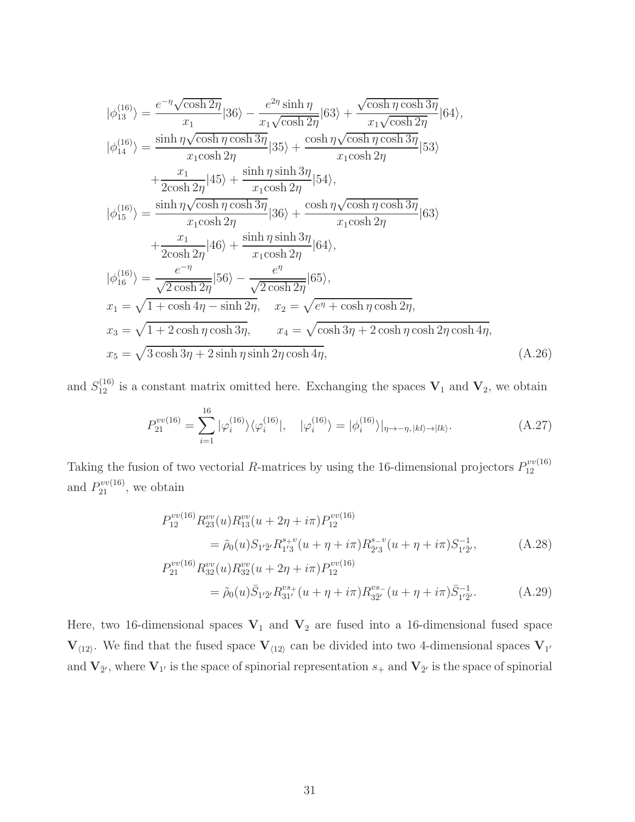$$
|\phi_{13}^{(16)}\rangle = \frac{e^{-\eta}\sqrt{\cosh 2\eta}}{x_1}|36\rangle - \frac{e^{2\eta}\sinh \eta}{x_1\sqrt{\cosh 2\eta}}|63\rangle + \frac{\sqrt{\cosh \eta \cosh 3\eta}}{x_1\sqrt{\cosh 2\eta}}|64\rangle,
$$
  
\n
$$
|\phi_{14}^{(16)}\rangle = \frac{\sinh \eta \sqrt{\cosh \eta \cosh 3\eta}}{x_1 \cosh 2\eta}|35\rangle + \frac{\cosh \eta \sqrt{\cosh \eta \cosh 3\eta}}{x_1 \cosh 2\eta}|53\rangle
$$
  
\n
$$
+ \frac{x_1}{2\cosh 2\eta}|45\rangle + \frac{\sinh \eta \sinh 3\eta}{x_1 \cosh 2\eta}|54\rangle,
$$
  
\n
$$
|\phi_{15}^{(16)}\rangle = \frac{\sinh \eta \sqrt{\cosh \eta \cosh 3\eta}}{x_1 \cosh 2\eta}|36\rangle + \frac{\cosh \eta \sqrt{\cosh \eta \cosh 3\eta}}{x_1 \cosh 2\eta}|63\rangle
$$
  
\n
$$
+ \frac{x_1}{2\cosh 2\eta}|46\rangle + \frac{\sinh \eta \sinh 3\eta}{x_1 \cosh 2\eta}|64\rangle,
$$
  
\n
$$
|\phi_{16}^{(16)}\rangle = \frac{e^{-\eta}}{\sqrt{2\cosh 2\eta}}|56\rangle - \frac{e^{\eta}}{\sqrt{2\cosh 2\eta}}|65\rangle,
$$
  
\n
$$
x_1 = \sqrt{1 + \cosh 4\eta - \sinh 2\eta}, \quad x_2 = \sqrt{e^{\eta} + \cosh \eta \cosh 2\eta},
$$
  
\n
$$
x_3 = \sqrt{1 + 2\cosh \eta \cosh 3\eta}, \quad x_4 = \sqrt{\cosh 3\eta + 2\cosh \eta \cosh 2\eta \cosh 4\eta},
$$
  
\n
$$
x_5 = \sqrt{3\cosh 3\eta + 2\sinh \eta \sinh 2\eta \cosh 4\eta},
$$
  
\n(A.26)

and  $S_{12}^{(16)}$  is a constant matrix omitted here. Exchanging the spaces  $V_1$  and  $V_2$ , we obtain

$$
P_{21}^{vv(16)} = \sum_{i=1}^{16} |\varphi_i^{(16)}\rangle \langle \varphi_i^{(16)}|, \quad |\varphi_i^{(16)}\rangle = |\phi_i^{(16)}\rangle|_{\eta \to -\eta, |kl\rangle \to |lk\rangle}.
$$
 (A.27)

Taking the fusion of two vectorial R-matrices by using the 16-dimensional projectors  $P_{12}^{vv(16)}$ 12 and  $P_{21}^{vv(16)}$ , we obtain

<span id="page-30-0"></span>
$$
P_{12}^{vv(16)} R_{23}^{vv}(u) R_{13}^{vv}(u+2\eta+i\pi) P_{12}^{vv(16)}
$$
  
=  $\tilde{\rho}_0(u) S_{1'\bar{2}'} R_{1'3}^{s+v}(u+\eta+i\pi) R_{2'3}^{s-v}(u+\eta+i\pi) S_{1'\bar{2}'}^{-1},$  (A.28)

$$
P_{21}^{vv(16)} R_{32}^{vv}(u) R_{32}^{vv}(u+2\eta+i\pi) P_{12}^{vv(16)}
$$
  
=  $\tilde{\rho}_0(u) \bar{S}_{1'\bar{2}'} R_{31'}^{vs+}(u+\eta+i\pi) R_{3\bar{2}'}^{vs-}(u+\eta+i\pi) \bar{S}_{1'\bar{2}'}^{-1}.$  (A.29)

Here, two 16-dimensional spaces  $V_1$  and  $V_2$  are fused into a 16-dimensional fused space  $V_{\langle 12 \rangle}$ . We find that the fused space  $V_{\langle 12 \rangle}$  can be divided into two 4-dimensional spaces  $V_{1'}$ and  $V_{\bar{2}'}$ , where  $V_{1'}$  is the space of spinorial representation  $s_+$  and  $V_{\bar{2}'}$  is the space of spinorial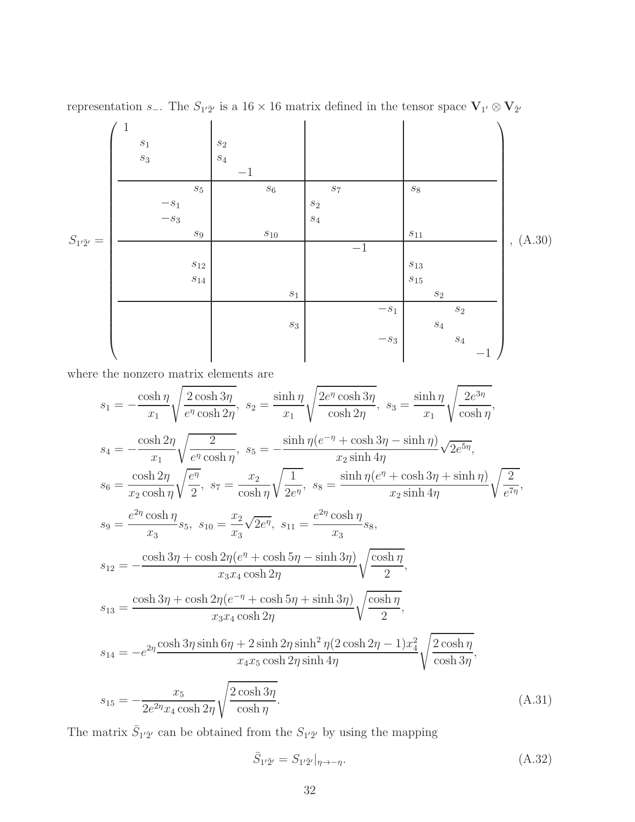representation s<sub>−</sub>. The  $S_{1'\bar{2}'}$  is a 16 × 16 matrix defined in the tensor space  $V_{1'} \otimes V_{\bar{2}'}$ 

<span id="page-31-0"></span>S1 ′¯2 ′ = 1 s<sup>1</sup> s<sup>2</sup> s<sup>3</sup> s<sup>4</sup> −1 s<sup>5</sup> s<sup>6</sup> s<sup>7</sup> s<sup>8</sup> −s<sup>1</sup> s<sup>2</sup> −s<sup>3</sup> s<sup>4</sup> s<sup>9</sup> s<sup>10</sup> s<sup>11</sup> −1 s<sup>12</sup> s<sup>13</sup> s<sup>14</sup> s<sup>15</sup> s<sup>1</sup> s<sup>2</sup> −s<sup>1</sup> s<sup>2</sup> s<sup>3</sup> s<sup>4</sup> −s<sup>3</sup> s<sup>4</sup> −1 , (A.30)

where the nonzero matrix elements are

$$
s_{1} = -\frac{\cosh\eta}{x_{1}} \sqrt{\frac{2\cosh 3\eta}{e^{\eta}\cosh 2\eta}}, \quad s_{2} = \frac{\sinh\eta}{x_{1}} \sqrt{\frac{2e^{\eta}\cosh 3\eta}{\cosh 2\eta}}, \quad s_{3} = \frac{\sinh\eta}{x_{1}} \sqrt{\frac{2e^{3\eta}}{\cosh \eta}},
$$
\n
$$
s_{4} = -\frac{\cosh 2\eta}{x_{1}} \sqrt{\frac{2}{e^{\eta}\cosh \eta}}, \quad s_{5} = -\frac{\sinh\eta(e^{-\eta} + \cosh 3\eta - \sinh \eta)}{x_{2}\sinh 4\eta} \sqrt{2e^{5\eta}},
$$
\n
$$
s_{6} = \frac{\cosh 2\eta}{x_{2}\cosh \eta} \sqrt{\frac{e^{\eta}}{2}}, \quad s_{7} = \frac{x_{2}}{\cosh \eta} \sqrt{\frac{1}{2e^{\eta}}}, \quad s_{8} = \frac{\sinh\eta(e^{\eta} + \cosh 3\eta + \sinh \eta)}{x_{2}\sinh 4\eta} \sqrt{\frac{2}{e^{7\eta}}},
$$
\n
$$
s_{9} = \frac{e^{2\eta}\cosh \eta}{x_{3}} s_{5}, \quad s_{10} = \frac{x_{2}}{x_{3}} \sqrt{2e^{\eta}}, \quad s_{11} = \frac{e^{2\eta}\cosh \eta}{x_{3}} s_{8},
$$
\n
$$
s_{12} = -\frac{\cosh 3\eta + \cosh 2\eta(e^{\eta} + \cosh 5\eta - \sinh 3\eta)}{x_{3}x_{4}\cosh 2\eta} \sqrt{\frac{\cosh \eta}{2}},
$$
\n
$$
s_{13} = \frac{\cosh 3\eta + \cosh 2\eta(e^{-\eta} + \cosh 5\eta + \sinh 3\eta)}{x_{3}x_{4}\cosh 2\eta} \sqrt{\frac{\cosh \eta}{2}},
$$
\n
$$
s_{14} = -e^{2\eta}\frac{\cosh 3\eta \sinh 6\eta + 2\sinh 2\eta \sinh^2 \eta (2\cosh 2\eta - 1)x_{4}^{2}}{\sqrt{\cosh 3\eta}},
$$
\n
$$
s_{15} = -\frac{x_{5}}{2e^{2\eta}x_{4}\cosh 2\eta} \
$$

The matrix  $\bar{S}_{1'\bar{2}'}$  can be obtained from the  $S_{1'\bar{2}'}$  by using the mapping

<span id="page-31-1"></span>
$$
\bar{S}_{1'\bar{2}'} = S_{1'\bar{2}'}|_{\eta \to -\eta}.
$$
\n(A.32)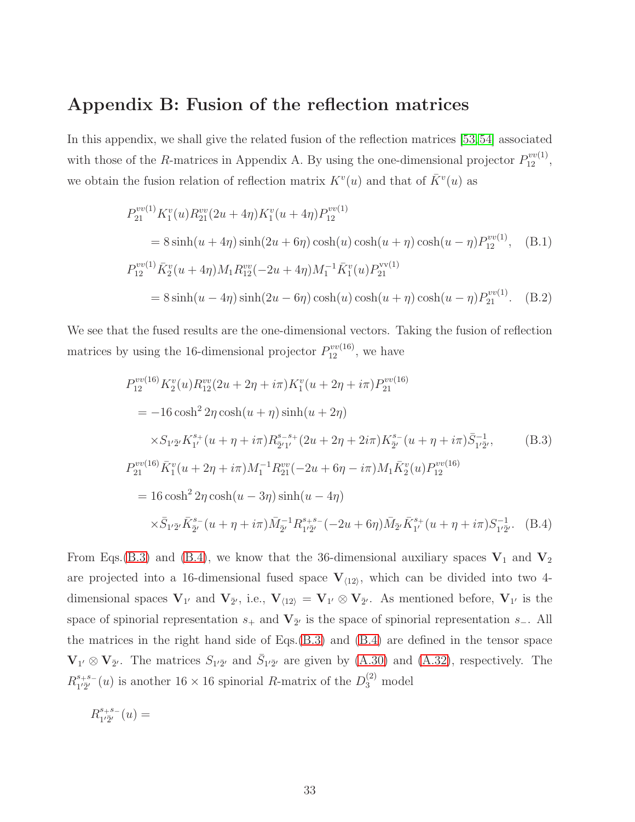## Appendix B: Fusion of the reflection matrices

In this appendix, we shall give the related fusion of the reflection matrices [\[53,](#page-39-1)[54\]](#page-39-2) associated with those of the R-matrices in Appendix A. By using the one-dimensional projector  $P_{12}^{vv(1)}$ , we obtain the fusion relation of reflection matrix  $K^v(u)$  and that of  $\bar{K}^v(u)$  as

<span id="page-32-0"></span>
$$
P_{21}^{vv(1)} K_1^v(u) R_{21}^{vv}(2u + 4\eta) K_1^v(u + 4\eta) P_{12}^{vv(1)}
$$
  
= 8 sinh(u + 4\eta) sinh(2u + 6\eta) cosh(u) cosh(u + \eta) cosh(u - \eta) P\_{12}^{vv(1)}, (B.1)  

$$
P_{12}^{vv(1)} \bar{K}_2^v(u + 4\eta) M_1 R_{12}^{vv}(-2u + 4\eta) M_1^{-1} \bar{K}_1^v(u) P_{21}^{vv(1)}
$$
  
= 8 sinh(u - 4\eta) sinh(2u - 6\eta) cosh(u) cosh(u + \eta) cosh(u - \eta) P\_{21}^{vv(1)}. (B.2)

We see that the fused results are the one-dimensional vectors. Taking the fusion of reflection matrices by using the 16-dimensional projector  $P_{12}^{vv(16)}$ , we have

<span id="page-32-2"></span>
$$
P_{12}^{vv(16)} K_2^v(u) R_{12}^{vv}(2u + 2\eta + i\pi) K_1^v(u + 2\eta + i\pi) P_{21}^{vv(16)}
$$
  
= -16 cosh<sup>2</sup> 2 $\eta$  cosh(u +  $\eta$ ) sinh(u + 2 $\eta$ )  
 $\times S_{1'\bar{2}'} K_1^{s_+}(u + \eta + i\pi) R_{2'1'}^{s-s_+}(2u + 2\eta + 2i\pi) K_{2'}^{s_-}(u + \eta + i\pi) \bar{S}_{1'\bar{2}'}^{-1},$  (B.3)  

$$
P_{21}^{vv(16)} \bar{K}_1^v(u + 2\eta + i\pi) M_1^{-1} R_{21}^{vv}(-2u + 6\eta - i\pi) M_1 \bar{K}_2^v(u) P_{12}^{vv(16)}
$$
  
= 16 cosh<sup>2</sup> 2 $\eta$  cosh(u - 3 $\eta$ ) sinh(u - 4 $\eta$ )  
 $\times \bar{S}_{1'\bar{2}'} \bar{K}_{\bar{2}'}^{s_-}(u + \eta + i\pi) \bar{M}_{\bar{2}'}^{-1} R_{1'\bar{2}'}^{s+s_-}(-2u + 6\eta) \bar{M}_{\bar{2}'} \bar{K}_{1'}^{s_+}(u + \eta + i\pi) S_{1'\bar{2}'}^{-1}.$  (B.4)

From Eqs.[\(B.3\)](#page-32-2) and [\(B.4\)](#page-32-2), we know that the 36-dimensional auxiliary spaces  $V_1$  and  $V_2$ are projected into a 16-dimensional fused space  $V_{\langle 12 \rangle}$ , which can be divided into two 4dimensional spaces  $V_{1'}$  and  $V_{\bar{2}'},$  i.e.,  $V_{\langle 12 \rangle} = V_{1'} \otimes V_{\bar{2}'}$ . As mentioned before,  $V_{1'}$  is the space of spinorial representation  $s_+$  and  $V_{\bar{2}'}$  is the space of spinorial representation  $s_-\$ . All the matrices in the right hand side of Eqs.[\(B.3\)](#page-32-2) and [\(B.4\)](#page-32-2) are defined in the tensor space  $\mathbf{V}_{1'} \otimes \mathbf{V}_{\bar{2}'}$ . The matrices  $S_{1'\bar{2}'}$  and  $\bar{S}_{1'\bar{2}'}$  are given by [\(A.30\)](#page-31-0) and [\(A.32\)](#page-31-1), respectively. The  $R^{s_+s_-}_{1'\bar{2}'}$  $j_1^{s+s-1}(u)$  is another  $16 \times 16$  spinorial R-matrix of the  $D_3^{(2)}$  model

<span id="page-32-1"></span>
$$
R^{s_+s_-}_{1'\bar{2}'}(u) =
$$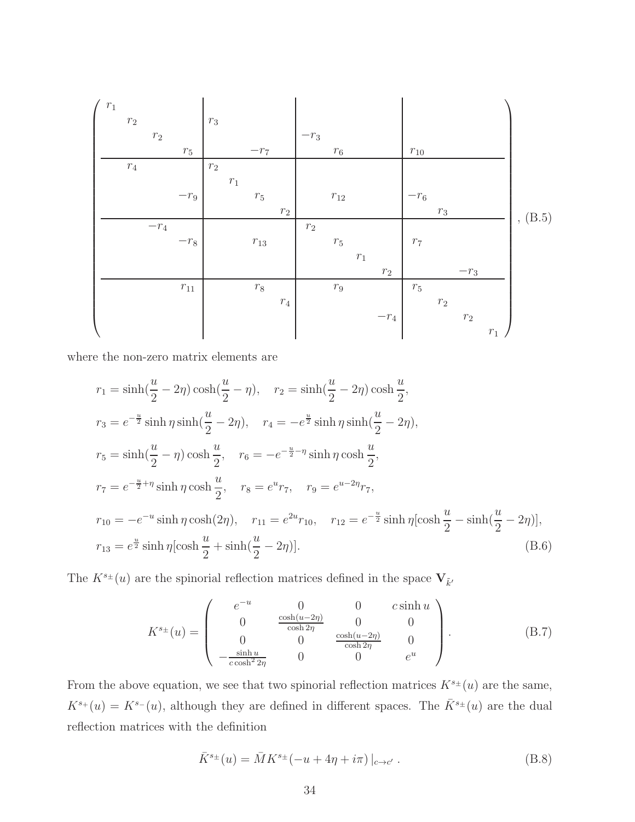r1 r<sup>2</sup> r<sup>3</sup> r<sup>2</sup> −r<sup>3</sup> r<sup>5</sup> −r<sup>7</sup> r<sup>6</sup> r<sup>10</sup> r<sup>4</sup> r<sup>2</sup> r1 −r<sup>9</sup> r<sup>5</sup> r<sup>12</sup> −r<sup>6</sup> r<sup>2</sup> r<sup>3</sup> −r<sup>4</sup> r<sup>2</sup> −r<sup>8</sup> r<sup>13</sup> r<sup>5</sup> r<sup>7</sup> r1 r<sup>2</sup> −r<sup>3</sup> r<sup>11</sup> r<sup>8</sup> r<sup>9</sup> r<sup>5</sup> r<sup>4</sup> r<sup>2</sup> −r<sup>4</sup> r<sup>2</sup> r1 , (B.5)

where the non-zero matrix elements are

$$
r_1 = \sinh(\frac{u}{2} - 2\eta) \cosh(\frac{u}{2} - \eta), \quad r_2 = \sinh(\frac{u}{2} - 2\eta) \cosh(\frac{u}{2}),
$$
  
\n
$$
r_3 = e^{-\frac{u}{2}} \sinh \eta \sinh(\frac{u}{2} - 2\eta), \quad r_4 = -e^{\frac{u}{2}} \sinh \eta \sinh(\frac{u}{2} - 2\eta),
$$
  
\n
$$
r_5 = \sinh(\frac{u}{2} - \eta) \cosh(\frac{u}{2}), \quad r_6 = -e^{-\frac{u}{2} - \eta} \sinh \eta \cosh(\frac{u}{2}),
$$
  
\n
$$
r_7 = e^{-\frac{u}{2} + \eta} \sinh \eta \cosh(\frac{u}{2}), \quad r_8 = e^u r_7, \quad r_9 = e^{u - 2\eta} r_7,
$$
  
\n
$$
r_{10} = -e^{-u} \sinh \eta \cosh(2\eta), \quad r_{11} = e^{2u} r_{10}, \quad r_{12} = e^{-\frac{u}{2}} \sinh \eta [\cosh(\frac{u}{2} - 2\eta)],
$$
  
\n
$$
r_{13} = e^{\frac{u}{2}} \sinh \eta [\cosh(\frac{u}{2} + \sinh(\frac{u}{2} - 2\eta)].
$$
\n(B.6)

The  $K^{s_{\pm}}(u)$  are the spinorial reflection matrices defined in the space  $\mathbf{V}_{\tilde{k}'}$ 

<span id="page-33-0"></span>
$$
K^{s_{\pm}}(u) = \begin{pmatrix} e^{-u} & 0 & 0 & c \sinh u \\ 0 & \frac{\cosh(u-2\eta)}{\cosh 2\eta} & 0 & 0 \\ 0 & 0 & \frac{\cosh(u-2\eta)}{\cosh 2\eta} & 0 \\ -\frac{\sinh u}{c \cosh^2 2\eta} & 0 & 0 & e^u \end{pmatrix}.
$$
 (B.7)

From the above equation, we see that two spinorial reflection matrices  $K^{s\pm}(u)$  are the same,  $K^{s_+}(u) = K^{s_-}(u)$ , although they are defined in different spaces. The  $\bar{K}^{s_+}(u)$  are the dual reflection matrices with the definition

<span id="page-33-1"></span>
$$
\bar{K}^{s\pm}(u) = \bar{M}K^{s\pm}(-u + 4\eta + i\pi)|_{c \to c'}.
$$
\n(B.8)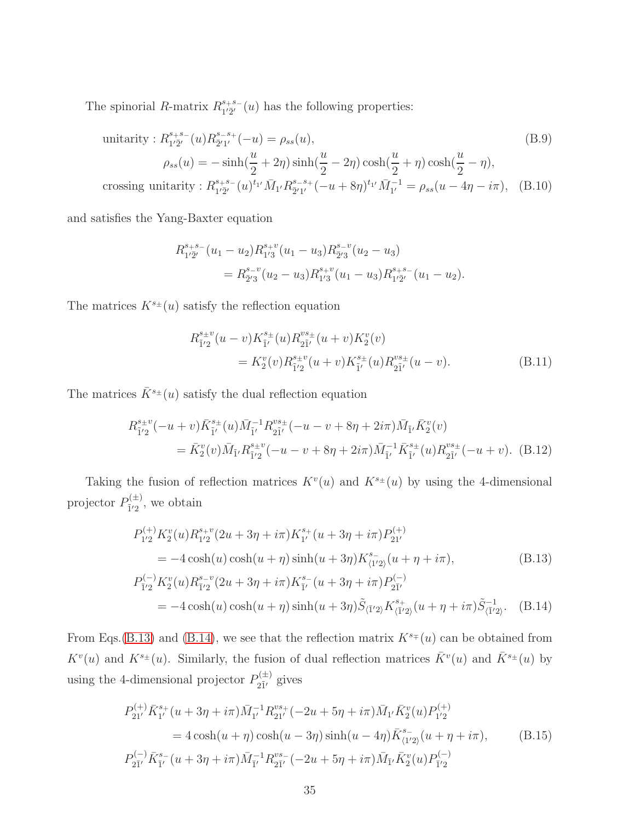The spinorial R-matrix  $R_{1'\bar{2}'}^{s+s-}$  $i_{12}^{s+s-}(u)$  has the following properties:

unitarity: 
$$
R_{1'\bar{2}'}^{s+s-}(u)R_{\bar{2}'1'}^{s-s+}(-u) = \rho_{ss}(u),
$$
  
\n
$$
\rho_{ss}(u) = -\sinh(\frac{u}{2} + 2\eta)\sinh(\frac{u}{2} - 2\eta)\cosh(\frac{u}{2} + \eta)\cosh(\frac{u}{2} - \eta),
$$
\ncrossing unitarity:  $R_{1'\bar{2}'}^{s+s-}(u)^{t_{1'}}\bar{M}_{1'}R_{\bar{2}'1'}^{s-s+}(-u + 8\eta)^{t_{1'}}\bar{M}_{1'}^{-1} = \rho_{ss}(u - 4\eta - i\pi),$  (B.10)

and satisfies the Yang-Baxter equation

$$
R_{1'\overline{2}'}^{s+s-}(u_1-u_2)R_{1'3}^{s+v}(u_1-u_3)R_{\overline{2}'3}^{s-v}(u_2-u_3)
$$
  
=  $R_{\overline{2}'3}^{s-v}(u_2-u_3)R_{1'3}^{s+v}(u_1-u_3)R_{1'\overline{2}'}^{s+s-}(u_1-u_2).$ 

The matrices  $K^{s_{\pm}}(u)$  satisfy the reflection equation

<span id="page-34-2"></span>
$$
R_{\tilde{1}'2}^{s_{\pm}v}(u-v)K_{\tilde{1}'}^{s_{\pm}}(u)R_{2\tilde{1}'}^{vs_{\pm}}(u+v)K_{2}^{v}(v)
$$
  
=  $K_{2}^{v}(v)R_{\tilde{1}'2}^{s_{\pm}v}(u+v)K_{\tilde{1}'}^{s_{\pm}}(u)R_{2\tilde{1}'}^{vs_{\pm}}(u-v).$  (B.11)

The matrices  $\bar{K}^{s_{\pm}}(u)$  satisfy the dual reflection equation

<span id="page-34-3"></span>
$$
R_{\tilde{1}'2}^{s_{\pm}v}(-u+v)\bar{K}_{\tilde{1}'}^{s_{\pm}}(u)\bar{M}_{\tilde{1}'}^{-1}R_{2\tilde{1}'}^{vs_{\pm}}(-u-v+8\eta+2i\pi)\bar{M}_{\tilde{1}'}\bar{K}_2^v(v)
$$
  
=  $\bar{K}_2^v(v)\bar{M}_{\tilde{1}'}R_{\tilde{1}'2}^{s_{\pm}v}(-u-v+8\eta+2i\pi)\bar{M}_{\tilde{1}'}^{-1}\bar{K}_{\tilde{1}'}^{s_{\pm}}(u)R_{2\tilde{1}'}^{vs_{\pm}}(-u+v).$  (B.12)

Taking the fusion of reflection matrices  $K^v(u)$  and  $K^{s_{\pm}}(u)$  by using the 4-dimensional projector  $P_{\tilde{i}'2}^{(\pm)}$  $\tilde{I}'^{\pm}_{12}$ , we obtain

<span id="page-34-0"></span>
$$
P_{1'2}^{(+)} K_2^v(u) R_{1'2}^{s+v} (2u + 3\eta + i\pi) K_{1'}^{s+}(u + 3\eta + i\pi) P_{21'}^{(+)}
$$
  
= -4 cosh(u) cosh(u +  $\eta$ ) sinh(u + 3 $\eta$ ) K\_{(1'2)}^{s-}(u + \eta + i\pi), (B.13)  

$$
P_{\bar{1}'2}^{(-)} K_2^v(u) R_{\bar{1}'2}^{s-v} (2u + 3\eta + i\pi) K_{\bar{1}'}^{s-}(u + 3\eta + i\pi) P_{2\bar{1}'}^{(-)}
$$
  
= -4 cosh(u) cosh(u +  $\eta$ ) sinh(u + 3 $\eta$ )  $\tilde{S}_{(\bar{1}'2)} K_{(\bar{1}'2)}^{s+}(u + \eta + i\pi) \tilde{S}_{(\bar{1}'2)}^{-1}$ . (B.14)

From Eqs.[\(B.13\)](#page-34-0) and [\(B.14\)](#page-34-0), we see that the reflection matrix  $K^{s}=(u)$  can be obtained from  $K^v(u)$  and  $K^{s_\pm}(u)$ . Similarly, the fusion of dual reflection matrices  $\bar{K}^v(u)$  and  $\bar{K}^{s_\pm}(u)$  by using the 4-dimensional projector  $P_{\tilde{j}i}^{(\pm)}$  $2\tilde{1}'$  gives

<span id="page-34-1"></span>
$$
P_{21'}^{(+)}\bar{K}_{1'}^{s+}(u+3\eta+i\pi)\bar{M}_{1'}^{-1}R_{21'}^{vs+}(-2u+5\eta+i\pi)\bar{M}_{1'}\bar{K}_2^v(u)P_{1'2}^{(+)}
$$
  
=  $4\cosh(u+\eta)\cosh(u-3\eta)\sinh(u-4\eta)\bar{K}_{\langle 1'2\rangle}^{s-}(u+\eta+i\pi),$  (B.15)  

$$
P_{2\bar{1}'}^{(-)}\bar{K}_{\bar{1}'}^{s-}(u+3\eta+i\pi)\bar{M}_{\bar{1}'}^{-1}R_{2\bar{1}'}^{vs-}(-2u+5\eta+i\pi)\bar{M}_{\bar{1}'}\bar{K}_2^v(u)P_{\bar{1}'2}^{(-)}
$$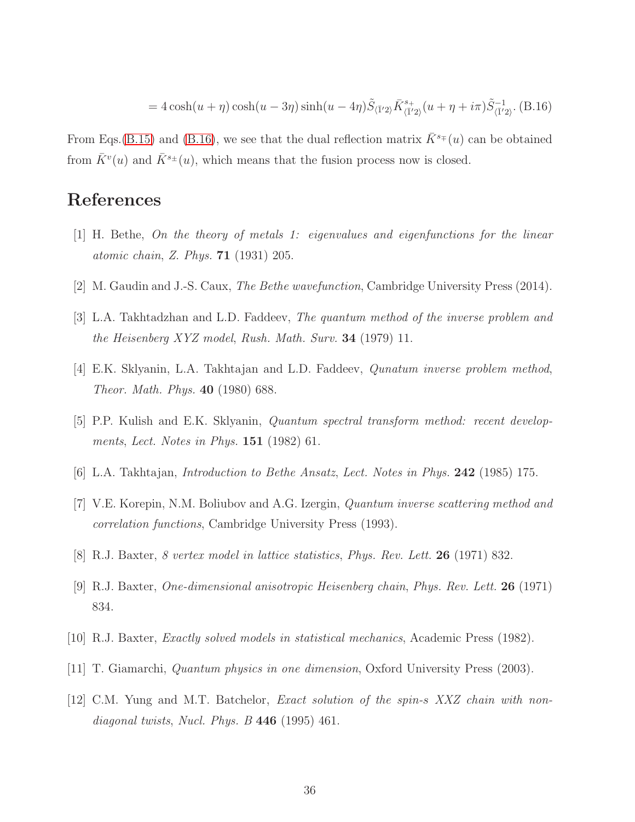$$
=4\cosh(u+\eta)\cosh(u-3\eta)\sinh(u-4\eta)\tilde{S}_{\langle \bar{1}'2\rangle}\bar{K}_{\langle \bar{1}'2\rangle}^{s_{+}}(u+\eta+i\pi)\tilde{S}_{\langle \bar{1}'2\rangle}^{-1}.
$$
 (B.16)

From Eqs.[\(B.15\)](#page-34-1) and [\(B.16\)](#page-34-1), we see that the dual reflection matrix  $\bar{K}^{s_{\mp}}(u)$  can be obtained from  $\bar{K}^v(u)$  and  $\bar{K}^{s_\pm}(u)$ , which means that the fusion process now is closed.

### <span id="page-35-0"></span>References

- <span id="page-35-1"></span>[1] H. Bethe, On the theory of metals 1: eigenvalues and eigenfunctions for the linear *atomic chain, Z. Phys.* **71** (1931) 205.
- <span id="page-35-2"></span>[2] M. Gaudin and J.-S. Caux, The Bethe wavefunction, Cambridge University Press (2014).
- [3] L.A. Takhtadzhan and L.D. Faddeev, The quantum method of the inverse problem and the Heisenberg XYZ model, Rush. Math. Surv. 34 (1979) 11.
- [4] E.K. Sklyanin, L.A. Takhtajan and L.D. Faddeev, Qunatum inverse problem method, Theor. Math. Phys. 40 (1980) 688.
- [5] P.P. Kulish and E.K. Sklyanin, Quantum spectral transform method: recent developments, Lect. Notes in Phys. **151** (1982) 61.
- <span id="page-35-3"></span>[6] L.A. Takhtajan, Introduction to Bethe Ansatz, Lect. Notes in Phys. 242 (1985) 175.
- <span id="page-35-4"></span>[7] V.E. Korepin, N.M. Boliubov and A.G. Izergin, Quantum inverse scattering method and correlation functions, Cambridge University Press (1993).
- [8] R.J. Baxter, 8 vertex model in lattice statistics, Phys. Rev. Lett. 26 (1971) 832.
- <span id="page-35-5"></span>[9] R.J. Baxter, One-dimensional anisotropic Heisenberg chain, Phys. Rev. Lett. 26 (1971) 834.
- <span id="page-35-6"></span>[10] R.J. Baxter, Exactly solved models in statistical mechanics, Academic Press (1982).
- <span id="page-35-7"></span>[11] T. Giamarchi, Quantum physics in one dimension, Oxford University Press (2003).
- [12] C.M. Yung and M.T. Batchelor, Exact solution of the spin-s XXZ chain with nondiagonal twists, Nucl. Phys.  $B$  446 (1995) 461.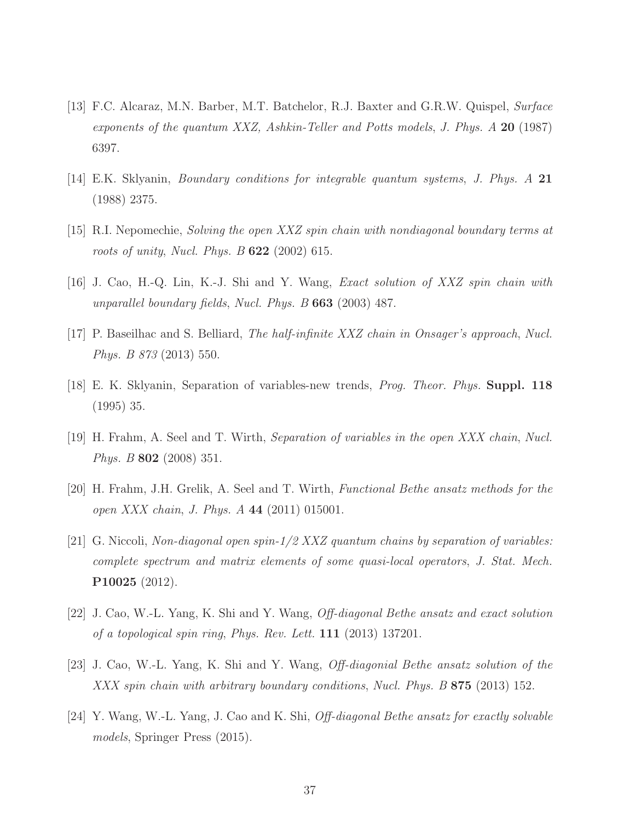- <span id="page-36-7"></span><span id="page-36-0"></span>[13] F.C. Alcaraz, M.N. Barber, M.T. Batchelor, R.J. Baxter and G.R.W. Quispel, Surface exponents of the quantum XXZ, Ashkin-Teller and Potts models, J. Phys.  $A$  20 (1987) 6397.
- [14] E.K. Sklyanin, Boundary conditions for integrable quantum systems, J. Phys. A 21 (1988) 2375.
- <span id="page-36-1"></span>[15] R.I. Nepomechie, Solving the open XXZ spin chain with nondiagonal boundary terms at roots of unity, Nucl. Phys. B 622 (2002) 615.
- <span id="page-36-2"></span>[16] J. Cao, H.-Q. Lin, K.-J. Shi and Y. Wang, Exact solution of XXZ spin chain with unparallel boundary fields, Nucl. Phys. B 663 (2003) 487.
- <span id="page-36-3"></span>[17] P. Baseilhac and S. Belliard, The half-infinite XXZ chain in Onsager's approach, Nucl. Phys. B 873 (2013) 550.
- [18] E. K. Sklyanin, Separation of variables-new trends, Prog. Theor. Phys. Suppl. 118 (1995) 35.
- [19] H. Frahm, A. Seel and T. Wirth, Separation of variables in the open XXX chain, Nucl. Phys. B 802 (2008) 351.
- <span id="page-36-4"></span>[20] H. Frahm, J.H. Grelik, A. Seel and T. Wirth, Functional Bethe ansatz methods for the open XXX chain, J. Phys. A 44 (2011) 015001.
- [21] G. Niccoli, Non-diagonal open spin-1/2 XXZ quantum chains by separation of variables: complete spectrum and matrix elements of some quasi-local operators, J. Stat. Mech. P10025 (2012).
- <span id="page-36-5"></span>[22] J. Cao, W.-L. Yang, K. Shi and Y. Wang, Off-diagonal Bethe ansatz and exact solution of a topological spin ring, Phys. Rev. Lett. 111 (2013) 137201.
- <span id="page-36-6"></span>[23] J. Cao, W.-L. Yang, K. Shi and Y. Wang, Off-diagonial Bethe ansatz solution of the XXX spin chain with arbitrary boundary conditions, Nucl. Phys. B 875 (2013) 152.
- [24] Y. Wang, W.-L. Yang, J. Cao and K. Shi, Off-diagonal Bethe ansatz for exactly solvable models, Springer Press (2015).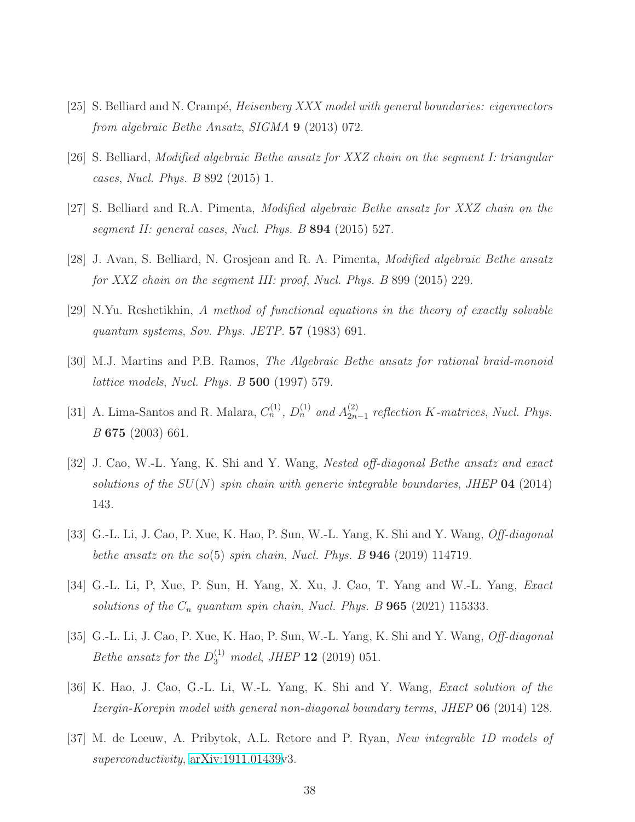- <span id="page-37-0"></span>[25] S. Belliard and N. Crampé, *Heisenberg XXX model with general boundaries: eigenvectors* from algebraic Bethe Ansatz, SIGMA 9 (2013) 072.
- [26] S. Belliard, Modified algebraic Bethe ansatz for XXZ chain on the segment I: triangular cases, Nucl. Phys. B 892 (2015) 1.
- <span id="page-37-1"></span>[27] S. Belliard and R.A. Pimenta, Modified algebraic Bethe ansatz for XXZ chain on the segment II: general cases, Nucl. Phys. B 894 (2015) 527.
- <span id="page-37-2"></span>[28] J. Avan, S. Belliard, N. Grosjean and R. A. Pimenta, Modified algebraic Bethe ansatz for XXZ chain on the segment III: proof, Nucl. Phys. B 899 (2015) 229.
- [29] N.Yu. Reshetikhin, A method of functional equations in the theory of exactly solvable quantum systems, Sov. Phys. JETP.  $57$  (1983) 691.
- <span id="page-37-3"></span>[30] M.J. Martins and P.B. Ramos, The Algebraic Bethe ansatz for rational braid-monoid lattice models, Nucl. Phys. B 500 (1997) 579.
- <span id="page-37-4"></span>[31] A. Lima-Santos and R. Malara,  $C_n^{(1)}$ ,  $D_n^{(1)}$  and  $A_{2n}^{(2)}$ .  $_{2n-1}^{(2)}$  reflection K-matrices, Nucl. Phys. B 675 (2003) 661.
- [32] J. Cao, W.-L. Yang, K. Shi and Y. Wang, Nested off-diagonal Bethe ansatz and exact solutions of the  $SU(N)$  spin chain with generic integrable boundaries, JHEP 04 (2014) 143.
- <span id="page-37-6"></span><span id="page-37-5"></span>[33] G.-L. Li, J. Cao, P. Xue, K. Hao, P. Sun, W.-L. Yang, K. Shi and Y. Wang, Off-diagonal bethe ansatz on the so(5) spin chain, Nucl. Phys. B  $946$  (2019) 114719.
- <span id="page-37-7"></span>[34] G.-L. Li, P, Xue, P. Sun, H. Yang, X. Xu, J. Cao, T. Yang and W.-L. Yang, Exact solutions of the  $C_n$  quantum spin chain, Nucl. Phys. B **965** (2021) 115333.
- <span id="page-37-8"></span>[35] G.-L. Li, J. Cao, P. Xue, K. Hao, P. Sun, W.-L. Yang, K. Shi and Y. Wang, *Off-diagonal Bethe ansatz for the*  $D_3^{(1)}$  *model, JHEP* **12** (2019) 051.
- <span id="page-37-9"></span>[36] K. Hao, J. Cao, G.-L. Li, W.-L. Yang, K. Shi and Y. Wang, Exact solution of the Izergin-Korepin model with general non-diagonal boundary terms, JHEP 06 (2014) 128.
- [37] M. de Leeuw, A. Pribytok, A.L. Retore and P. Ryan, New integrable 1D models of superconductivity,  $arXiv:1911.01439v3$ .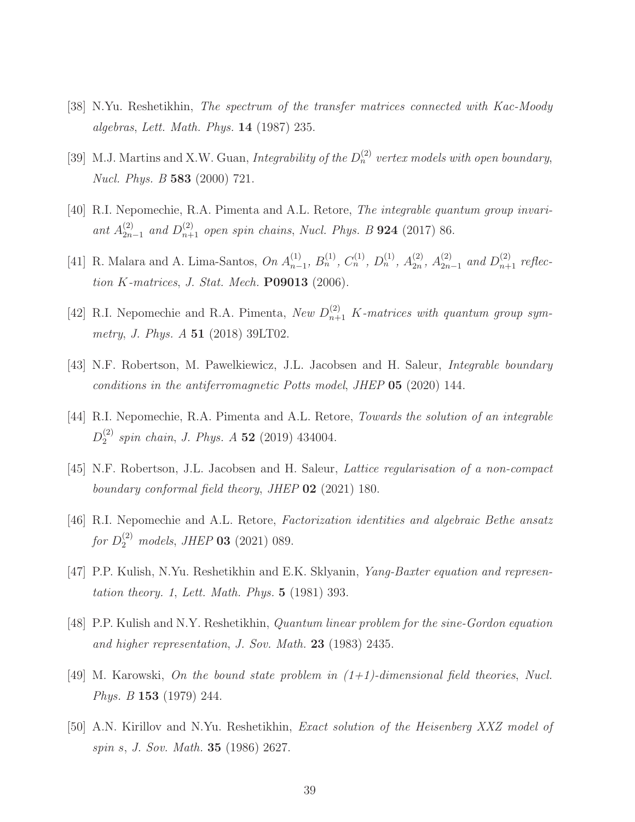- <span id="page-38-4"></span><span id="page-38-0"></span>[38] N.Yu. Reshetikhin, The spectrum of the transfer matrices connected with Kac-Moody algebras, Lett. Math. Phys.  $14$  (1987) 235.
- <span id="page-38-5"></span>[39] M.J. Martins and X.W. Guan, Integrability of the  $D_n^{(2)}$  vertex models with open boundary, Nucl. Phys. B 583 (2000) 721.
- <span id="page-38-6"></span>[40] R.I. Nepomechie, R.A. Pimenta and A.L. Retore, *The integrable quantum group invari*ant  $A_{2n}^{(2)}$  $_{2n-1}^{(2)}$  and  $D_{n+1}^{(2)}$  open spin chains, Nucl. Phys. B **924** (2017) 86.
- <span id="page-38-1"></span>[41] R. Malara and A. Lima-Santos, On  $A_{n-}^{(1)}$  $\binom{1}{n-1}$ ,  $B_n^{(1)}$ ,  $C_n^{(1)}$ ,  $D_n^{(1)}$ ,  $A_{2n}^{(2)}$  $\binom{2}{2n}$ ,  $A_{2n}^{(2)}$  $_{2n-1}^{(2)}$  and  $D_{n+1}^{(2)}$  reflection  $K$ -matrices, J. Stat. Mech.  $P09013$  (2006).
- <span id="page-38-8"></span>[42] R.I. Nepomechie and R.A. Pimenta, New  $D_{n+1}^{(2)}$  K-matrices with quantum group symmetry, J. Phys. A 51 (2018) 39LT02.
- <span id="page-38-2"></span>[43] N.F. Robertson, M. Pawelkiewicz, J.L. Jacobsen and H. Saleur, *Integrable boundary* conditions in the antiferromagnetic Potts model, JHEP 05 (2020) 144.
- <span id="page-38-7"></span>[44] R.I. Nepomechie, R.A. Pimenta and A.L. Retore, *Towards the solution of an integrable*  $D_2^{(2)}$  $_2^{(2)}$  spin chain, J. Phys. A 52 (2019) 434004.
- <span id="page-38-3"></span>[45] N.F. Robertson, J.L. Jacobsen and H. Saleur, Lattice regularisation of a non-compact boundary conformal field theory, JHEP 02 (2021) 180.
- <span id="page-38-9"></span>[46] R.I. Nepomechie and A.L. Retore, Factorization identities and algebraic Bethe ansatz for  $D_2^{(2)}$  models, JHEP **03** (2021) 089.
- [47] P.P. Kulish, N.Yu. Reshetikhin and E.K. Sklyanin, Yang-Baxter equation and representation theory. 1, Lett. Math. Phys. 5 (1981) 393.
- [48] P.P. Kulish and N.Y. Reshetikhin, Quantum linear problem for the sine-Gordon equation and higher representation, J. Sov. Math.  $23$  (1983) 2435.
- [49] M. Karowski, On the bound state problem in  $(1+1)$ -dimensional field theories, Nucl. *Phys. B* **153** (1979) 244.
- [50] A.N. Kirillov and N.Yu. Reshetikhin, Exact solution of the Heisenberg XXZ model of spin s, J. Sov. Math. 35 (1986) 2627.